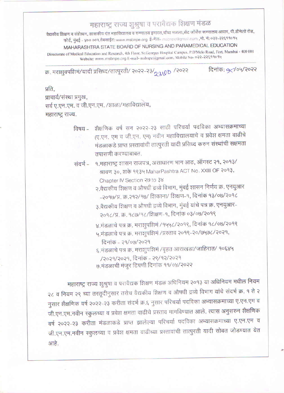## महाराष्ट्र राज्य शुश्रुषा व परावैद्यक शिक्षण मंडळ

वैद्यकीय शिक्षण व संशेषिन, शासकीय दंत महाविद्यालय व रुग्णालय इमारत,चौथा मजला,सेंट जॉर्जेस रूग्णालय आवार, पी.डीमेलो रोड, फोर्ट, मुंबई – ४०० ००१.वेबसाईट: www.msbnpe.org ई-मेल- msbnpe@gmail.com ,मो. नं: ०२२-२२६११०१५

## MAHARASHTRA STATE BOARD OF NURSING AND PARAMEDICAL EDUCATION

Directorate of Medical Education and Research, 4th Floor, St.Georges Hospital Campus, P.D'Melo Road, Fort, Mumbai - 400 001 Website: www.msbnpe.org E-mail- msbnpe@gmail.com, Mobile No- 022-22899094

क्र. मराशुवपशिमं/यादी प्रसिध्द/तात्पूरती/ २०२२-२३/000 /२०२२

दिनांक: 9 104/२०२२

## प्रति.

प्राचार्य/संस्था प्रमुख, सर्व ए.एन.एम. व जी.एन.एम. /शाळा/महाविद्यालय, महाराष्ट्र राज्य.

- शैक्षणिक वर्ष सन २०२२-२३ साठी परिचर्या पदविका अभ्यासक्रमाच्या विषय – (ए.एन. एम व जी.एन. एम) नवीन महाविद्यालयाचे व प्रवेश क्षमता वाढीचे मंडळाकडे प्राप्त प्रस्तावांची तात्पुरती यादी प्रसिध्द करुन संस्थांची सक्षमता तपासणी करण्याबाबत.
- १.महाराष्ट्र शासन राजपत्र, असाधारण भाग आठ, ऑगस्ट २१, २०१३/ संदर्भ – श्रावण ३०, शके १९३५ MaharPashtra ACT No. XXIII OF २०१३, Chapter IV Section 20 to 38
	- २.वैद्यकीय शिक्षण व औषधी द्रव्ये विभाग, मुंबई शासन निर्णय क्र. एनयुआर -२०१७/प्र. क्र.२१२/१७/ शिकाना/ शिक्षण-१, दिनांक १३/०७/२०१८
	- ३.वैद्यकीय शिक्षण व औषधी द्रव्ये विभाग, मुंबई यांचे पत्र क्र. एनयुआर-२०१८/प्र. क्र. १८७/१८/शिक्षण-१, दिनांक ०३/०७/२०१९

४.मंडळाचे पत्र क्र. मराशुपशिमं /१५५८/२०१९, दिनांक १८/०७/२०१९ ५.मंडळाचे पत्र क्र. मराशुपशिमं /प्रस्ताव २०१९-२०/७५७८/२०२१,

दिनांक - २१/०७/२०२१

६.मंडळाचे पत्र क्र. मराशुपशिमं /बृहत आराखडा/जाहिरात/ १०६४५ /२०२१/२०२१, दिनांक - २९/१२/२०२१ ७.मंडळाची मंजूर टिपणी दिनांक ११/०४/२०२२

महाराष्ट्र राज्य शुश्रुषा व परावैद्यक शिक्षण मंडळ अधिनियम २०१३ या अधिनियम मधील नियम २८ व नियम २९ च्या तरतूदीनुसार तसेच वैद्यकीय शिक्षण व औषधी द्रव्ये विभाग यांचे संदर्भ क्र. १ ते २ नुसार शैक्षणिक वर्ष २०२२-२३ करीता संदर्भ क्र.६ नुसार परिचर्या पदविका अभ्यासक्रमाच्या ए.एन.एम व जी.एन.एम.नवीन स्कुलच्या व प्रवेश क्षमता वाढीचे प्रस्ताव मागविण्यात आले. त्यास अनुसरुन शैक्षणिक वर्ष २०२२-२३ करीता मंडळाकडे प्राप्त झालेल्या परिचर्या पदविका अभ्यासक्रमाच्या ए.एन.एम व जी.एन.एम.नवीन स्कुलच्या व प्रवेश क्षमता वाढीच्या प्रस्तावांची तात्पुरती यादी सोबत जोडण्यात येत आहे.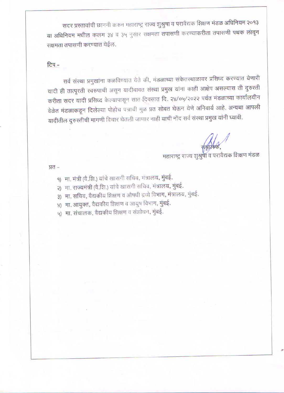सदर प्रस्तावांची छाननी करुन महाराष्ट्र राज्य शुश्रुषा व परावैद्यक शिक्षण मंडळ अधिनियम २०१३ या अधिनियम मधील कलम ३४ व ३५ नुसार सक्षमता तपासणी करण्याकरीता तपासणी पथक लावून सक्षमता तपासणी करण्यात येईल.

## टिप -

सर्व संस्था प्रमुखांना कळविण्यात येते की, मंडळाच्या संकेतस्थाळावर प्रसिध्द करण्यात येणारी यादी ही तात्पूरती स्वरुपाची असून यादीबाबत संस्था प्रमुख यांना काही आक्षेप असल्यास ती दुरुस्ती करीता सदर यादी प्रसिध्द केल्यापासून सात दिवसात दि. २४/०५/२०२२ पर्यत मंडळाच्या कार्यालयीन वेळेत मंडळाकडून दिलेल्या पोहोच पत्राची मुळ प्रत सोबत घेऊन येणे अनिवार्य आहे. अन्यथा आपली यादीतील दुरुस्तीची मागणी विचार घेतली जाणार नाही याची नोंद सर्व संस्था प्रमुख यांनी घ्यावी.

महाराष्ट्र राज्य शुश्रुषा व परावेद्यक शिक्षण मंडळ

प्रत -

- १) मा. मंत्री (वै.शि.) यांचे खासगी सचिव, मंत्रालय, मुंबई.
- २) मा. राज्यमंत्री (वे.शि.) यांचे खासगी सचिव, मंत्रालय, मुंबई.
- ३) मा. सचिव, वैद्यकीय शिक्षण व औषधी द्रव्ये विभाग, मंत्रालय, मुंबई.
- ४) .मा. आयुक्त, वैद्यकीय शिक्षण व आयुष विभाग, मुंबई.
- ५) मा. संचालक, वैद्यकीय शिक्षण व संशोधन, मुंबई.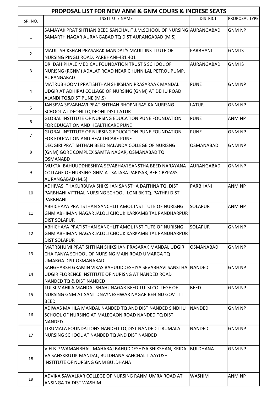| <b>PROPOSAL LIST FOR NEW ANM &amp; GNM COURS &amp; INCRESE SEATS</b> |                                                                                                                      |                  |                      |
|----------------------------------------------------------------------|----------------------------------------------------------------------------------------------------------------------|------------------|----------------------|
| SR. NO.                                                              | <b>INSTITUTE NAME</b>                                                                                                | <b>DISTRICT</b>  | <b>PROPOSAL TYPE</b> |
|                                                                      | SAMAYAK PRATISHTHAN BEED SANCHALIT J.M.SCHOOL OF NURSING AURANGABAD                                                  |                  | <b>GNM NP</b>        |
| $\mathbf{1}$                                                         | SAMARTH NAGAR AURANGABAD TQ DIST AURANGABAD (M,S)                                                                    |                  |                      |
| $\overline{2}$                                                       | MAULI SHIKSHAN PRASARAK MANDAL'S MAULI INSTITUTE OF<br>NURSING PINGLI ROAD, PARBHANI-431 401                         | PARBHANI         | <b>GNM IS</b>        |
|                                                                      | DR. DAHIPHALE MEDICAL FOUNDATION TRUST'S SCHOOL OF                                                                   | AURANGABAD       | <b>GNM IS</b>        |
| 3                                                                    | NURISNG (RGNM) ADALAT ROAD NEAR CHUNNILAL PETROL PUMP,                                                               |                  |                      |
|                                                                      | AURANGABAD                                                                                                           |                  |                      |
|                                                                      | MATRUBHOOMI PRATISHTHAN SHIKSHAN PRASARAAK MANDAL                                                                    | <b>PUNE</b>      | <b>GNM NP</b>        |
| 4                                                                    | UDGIR AT ADHIRAJ COLLAGE OF NURSING (GNM) AT DEHU ROAD                                                               |                  |                      |
|                                                                      | ALANDI TQ&DIST PUNE (M.S)                                                                                            |                  |                      |
| 5                                                                    | JANSEVA SEVABHAVI PRATISHTHAN BHOPNI RASIKA NURISNG                                                                  | <b>LATUR</b>     | <b>GNM NP</b>        |
|                                                                      | SCHOOL AT DEONI TQ DEONI DIST LATUR                                                                                  |                  |                      |
| 6                                                                    | <b>GLOBAL INSTITUTE OF NURSING EDUCATION PUNE FOUNDATION</b>                                                         | <b>PUNE</b>      | ANM NP               |
|                                                                      | FOR EDUCATION AND HEALTHCARE PUNE                                                                                    |                  |                      |
| $\overline{7}$                                                       | <b>GLOBAL INSTITUTE OF NURSING EDUCATION PUNE FOUNDATION</b>                                                         | <b>PUNE</b>      | <b>GNM NP</b>        |
|                                                                      | FOR EDUCATION AND HEALTHCARE PUNE                                                                                    |                  |                      |
|                                                                      | DEOGIRI PRATISHTHAN BEED NALANDA COLLEGE OF NURISNG                                                                  | OSMANABAD        | <b>GNM NP</b>        |
| 8                                                                    | (GNM) GORE COMPLEX SAMTA NAGAR, OSMANABAD TQ                                                                         |                  |                      |
|                                                                      | <b>OSMANABD</b><br>MUKTAI BAHUUDDHESHIYA SEVABHAVI SANSTHA BEED NARAYANA                                             | laurangabad      | <b>GNM NP</b>        |
| 9                                                                    | COLLAGE OF NURSING GNM AT SATARA PARISAR, BEED BYPASS,                                                               |                  |                      |
|                                                                      | AURANGABAD (M.S)                                                                                                     |                  |                      |
|                                                                      | ADHIVASI THAKURBUVA SHIKSHAN SANSTHA DAITHNA TQ. DIST                                                                | PARBHANI         | ANM NP               |
| 10                                                                   | PARBHANI VITTHAL NURSING SCHOOL, LONI BK TQ. PATHRI DIST.                                                            |                  |                      |
|                                                                      | <b>PARBHANI</b>                                                                                                      |                  |                      |
|                                                                      | ABHICHAYA PRATISTHAN SANCHLIT AMOL INSTITUTE OF NURISNG                                                              | <b>SOLAPUR</b>   | <b>ANM NP</b>        |
| 11                                                                   | GNM ABHIMAN NAGAR JALOLI CHOUK KARKAMB TAL PANDHARPUR                                                                |                  |                      |
|                                                                      | <b>DIST SOLAPUR</b>                                                                                                  |                  |                      |
|                                                                      | ABHICHAYA PRATISTHAN SANCHLIT AMOL INSTITUTE OF NURISNG                                                              | <b>SOLAPUR</b>   | <b>GNM NP</b>        |
| 12                                                                   | GNM ABHIMAN NAGAR JALOLI CHOUK KARKAMB TAL PANDHARPUR                                                                |                  |                      |
|                                                                      | <b>DIST SOLAPUR</b>                                                                                                  |                  |                      |
|                                                                      | MATRBHUMI PRATISHTHAN SHIKSHAN PRASARAK MANDAL UDGIR                                                                 | <b>OSMANABAD</b> | <b>GNM NP</b>        |
| 13                                                                   | CHAITANYA SCHOOL OF NURSING MAIN ROAD UMARGA TO                                                                      |                  |                      |
|                                                                      | UMARGA DIST OSMANABAD                                                                                                |                  |                      |
| 14                                                                   | SANGHARSH GRAMIN VIKAS BAHUUDDESHIYA SEVABHAVI SANSTHA (NANDED<br>UDGIR FLORENCE INSTITUTE OF NURISNG AT NANDED ROAD |                  | <b>GNM NP</b>        |
|                                                                      | NANDED TQ & DIST NANDED                                                                                              |                  |                      |
|                                                                      | TULSI MAHILA MANDAL SHAHUNAGAR BEED TULSI COLLEGE OF                                                                 | <b>BEED</b>      | <b>GNM NP</b>        |
| 15                                                                   | INURSING GNM AT SANT DNAYNESHWAR NAGAR BEHIND GOVT ITI                                                               |                  |                      |
|                                                                      | <b>BEED</b>                                                                                                          |                  |                      |
|                                                                      | ADIWAS MAHILA MANDAL NANDED TQ AND DIST NANDED SINDHU                                                                | <b>NANDED</b>    | <b>GNM NP</b>        |
| 16                                                                   | SCHOOL OF NURSING AT MALEGAON ROAD NANDED TO DIST                                                                    |                  |                      |
|                                                                      | <b>NANDED</b>                                                                                                        |                  |                      |
|                                                                      | TIRUMALA FOUNDATIONS NANDED TQ DIST NANDED TIRUMALA                                                                  | <b>NANDED</b>    | <b>GNM NP</b>        |
| 17                                                                   | NURSING SCHOOL AT NANDED TQ AND DIST NANDED                                                                          |                  |                      |
|                                                                      | V.H.B.P WAMANBHAU MAHARAJ BAHUDDESHIYA SHIKSHAN, KRIDA                                                               | <b>BULDHANA</b>  | <b>GNM NP</b>        |
| 18                                                                   | VA SANSKRUTIK MANDAL, BULDHANA SANCHALIT AAYUSH                                                                      |                  |                      |
|                                                                      | INSTITUTE OF NURSING GNM BULDHANA                                                                                    |                  |                      |
|                                                                      |                                                                                                                      |                  |                      |
| 19                                                                   | ADVIKA SAWALKAR COLLEGE OF NURSING RANM UMRA ROAD AT                                                                 | <b>WASHIM</b>    | ANM NP               |
|                                                                      | ANSINGA TA DIST WASHIM                                                                                               |                  |                      |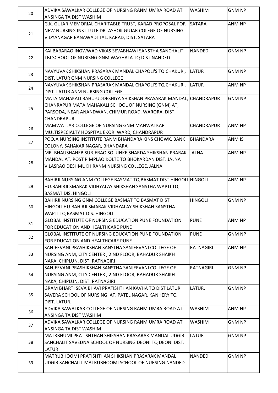| 20 | ADVIKA SAWALKAR COLLEGE OF NURSING RANM UMRA ROAD AT                                   | <b>WASHIM</b>     | <b>GNM NP</b> |
|----|----------------------------------------------------------------------------------------|-------------------|---------------|
|    | ANSINGA TA DIST WASHIM                                                                 |                   |               |
| 21 | G.K. GUJAR MEMORIAL CHARITABLE TRUST, KARAD PROPOSAL FOR                               | <b>SATARA</b>     | ANM NP        |
|    | NEW NURSING INSTITUTE DR. ASHOK GUJAR COLEGE OF NURSING                                |                   |               |
|    | VIDYANAGAR BANAWADI TAL. KARAD, DIST. SATARA                                           |                   |               |
|    |                                                                                        |                   |               |
|    | KAI BABARAO INGWWAD VIKAS SEVABHAWI SANSTHA SANCHALIT                                  | <b>NANDED</b>     | <b>GNM NP</b> |
| 22 | TBI SCHOOL OF NURISNG GNM WAGHALA TQ DIST NANDED                                       |                   |               |
|    |                                                                                        |                   |               |
| 23 | NAVYUVAK SHIKSHAN PRASARAK MANDAL CHAPOLI'S TQ CHAKUR,                                 | LATUR             | <b>GNM NP</b> |
|    | DIST. LATUR GNM NURSING COLLEGE                                                        |                   |               |
| 24 | NAVYUVAK SHIKSHAN PRASARAK MANDAL CHAPOLI'S TQ CHAKUR,                                 | <b>LATUR</b>      | ANM NP        |
|    | DIST. LATUR ANM NURSING COLLEGE                                                        |                   |               |
|    | MATA MAHAKALI BAHU-UDDESHIYA SHIKSHAN PRASARAK MANDAL, CHANDRAPUR                      |                   | <b>GNM NP</b> |
| 25 | CHANRAPUR MATA MAHAKALI SCHOOL OF NURSING (GNM) AT,                                    |                   |               |
|    | PARSODA, NEAR ANANDWAN, CHIMUR ROAD, WARORA, DIST.<br><b>CHANDRAPUR</b>                |                   |               |
|    | MAMWATLAR COLLEGE OF NURSING GNM MANWATKAR                                             | <b>CHANDRAPUR</b> | ANM NP        |
| 26 | MULTISPECIALTY HOSPITAL EKORI WARD, CHANDRAPUR                                         |                   |               |
|    | POOJA NURSING INSTITUTE RANM BHANDARA KINS CHOWK, BANK                                 | <b>BHANDARA</b>   | ANM IS        |
| 27 | COLONY, SAHAKAR NAGAR, BHANDARA                                                        |                   |               |
|    | MR. BHAUSHAHEB SURJERAO SOLUNKE SHARDA SHIKSHAN PRARAK                                 | <b>JALNA</b>      | ANM NP        |
|    | MANDAL AT. POST PIMPLAO KOLTE TQ BHOKARDAN DIST. JALNA                                 |                   |               |
| 28 | VILASRAO DESHMUKH RANM NURSING COLLEGE, JALNA                                          |                   |               |
|    |                                                                                        |                   |               |
|    | BAHIRJI NURSING ANM COLLEGE BASMAT TQ BASMAT DIST HINGOLI HINGOLI                      |                   | ANM NP        |
| 29 | HU.BAHIRJI SMARAK VIDHYALAY SHIKSHAN SANSTHA WAPTI TQ                                  |                   |               |
|    | <b>BASMAT DIS. HINGOLI</b>                                                             |                   |               |
|    | BAHIRJI NURSING GNM COLLEGE BASMAT TQ BASMAT DIST                                      | <b>HINGOLI</b>    | <b>GNM NP</b> |
| 30 | HINGOLI HU.BAHIRJI SMARAK VIDHYALAY SHIKSHAN SANSTHA                                   |                   |               |
|    | WAPTI TQ BASMAT DIS. HINGOLI                                                           |                   |               |
| 31 | <b>GLOBAL INSTITUTE OF NURSING EDUCATION PUNE FOUNDATION</b>                           | <b>PUNE</b>       | ANM NP        |
|    | FOR EDUCATION AND HEALTHCARE PUNE                                                      |                   |               |
| 32 | <b>GLOBAL INSTITUTE OF NURSING EDUCATION PUNE FOUNDATION</b>                           | <b>PUNE</b>       | <b>GNM NP</b> |
|    | FOR EDUCATION AND HEALTHCARE PUNE                                                      |                   |               |
|    | SANJEEVANI PRASHIKSHAN SANSTHA SANJEEVANI COLLEGE OF                                   | <b>RATNAGIRI</b>  | ANM NP        |
| 33 | NURSING ANM, CITY CENTER, 2 ND FLOOR, BAHADUR SHAIKH                                   |                   |               |
|    | NAKA, CHIPLUN, DIST. RATNAGIRI<br>SANJEEVANI PRASHIKSHAN SANSTHA SANJEEVANI COLLEGE OF | <b>RATNAGIRI</b>  | <b>GNM NP</b> |
| 34 | NURSING ANM, CITY CENTER, 2 ND FLOOR, BAHADUR SHAIKH                                   |                   |               |
|    | NAKA, CHIPLUN, DIST. RATNAGIRI                                                         |                   |               |
|    | GRAM BHARTI SEVA BHAVI PRATISHTHAN KAVHA TQ DIST LATUR                                 | LATUR.            | <b>GNM NP</b> |
| 35 | SAVERA SCHOOL OF NURSING, AT. PATEL NAGAR, KANHERY TQ                                  |                   |               |
|    | DIST. LATUR.                                                                           |                   |               |
|    | ADVIKA SAWALKAR COLLEGE OF NURSING RANM UMRA ROAD AT                                   | <b>WASHIM</b>     | ANM NP        |
| 36 | ANSINGA TA DIST WASHIM                                                                 |                   |               |
|    | ADVIKA SAWALKAR COLLEGE OF NURSING RANM UMRA ROAD AT                                   | <b>WASHIM</b>     | <b>GNM NP</b> |
| 37 | ANSINGA TA DIST WASHIM                                                                 |                   |               |
|    | MATRBHUMI PRATISHTHAN SHIKSHAN PRASARAK MANDAL UDGIR                                   | LATUR             | <b>GNM NP</b> |
| 38 | SANCHALIT SAVEDNA SCHOOL OF NURSING DEONI TQ DEONI DIST.                               |                   |               |
|    | LATUR                                                                                  |                   |               |
|    | MATRUBHOOMI PRATISHTHAN SHIKSHAN PRASARAK MANDAL                                       | <b>NANDED</b>     | <b>GNM NP</b> |
| 39 | UDGIR SANCHALIT MATRUBHOOMI SCHOOL OF NURSING.NANDED                                   |                   |               |
|    |                                                                                        |                   |               |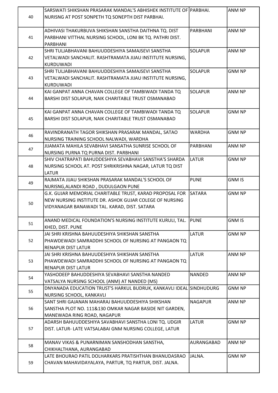| 40 | SARSWATI SHIKSHAN PRASARAK MANDAL'S ABHISHEK INSTITUTE OF PARBHAI.<br>NURISNG AT POST SONPETH TQ SONEPTH DIST PARBHAI.                                              |                | ANM NP        |
|----|---------------------------------------------------------------------------------------------------------------------------------------------------------------------|----------------|---------------|
| 41 | ADHIVASI THAKURBUVA SHIKSHAN SANSTHA DAITHNA TQ. DIST<br>PARBHANI VITTHAL NURSING SCHOOL, LONI BK TQ. PATHRI DIST.<br>PARBHANI                                      | PARBHANI       | ANM NP        |
| 42 | SHRI TULJABHAVANI BAHUUDDESHIYA SAMAJSEVI SANSTHA<br>VETALWADI SANCHALIT. RASHTRAMATA JIJAU INSTITUTE NURSING,<br>KURDUWADI                                         | <b>SOLAPUR</b> | ANM NP        |
| 43 | SHRI TULJABHAVANI BAHUUDDESHIYA SAMAJSEVI SANSTHA<br>VETALWADI SANCHALIT. RASHTRAMATA JIJAU INSTITUTE NURSING,<br>IKURDUWADI                                        | <b>SOLAPUR</b> | <b>GNM NP</b> |
| 44 | KAI GANPAT ANNA CHAVAN COLLEGE OF TAMBIWADI TANDA TQ<br>BARSHI DIST SOLAPUR, NAIK CHARITABLE TRUST OSMANABAD                                                        | <b>SOLAPUR</b> | ANM NP        |
| 45 | KAI GANPAT ANNA CHAVAN COLLEGE OF TAMBIWADI TANDA TQ<br>BARSHI DIST SOLAPUR, NAIK CHARITABLE TRUST OSMANABAD                                                        | <b>SOLAPUR</b> | <b>GNM NP</b> |
| 46 | RAVINDRANATH TAGOR SHIKSHAN PRASARAK MANDAL, SATAO<br>NURSING TRAINING SCHOOL NALWADI, WARDHA                                                                       | <b>WARDHA</b>  | <b>GNM NP</b> |
| 47 | JIJAMATA MAHILA SEVABHAVI SANSATHA SUNRISE SCHOOL OF<br>NURSING PURNA TQ PURNA DIST. PARBHANI                                                                       | PARBHANI       | ANM NP        |
| 48 | SHIV CHATRAPATI BAHUDDESHIYA SEVABHAVI SANSTHA'S SHARDA<br>NURSING SCHOOL AT. POST SHRIKRISHNA NAGAR, LATUR TQ DIST<br><b>LATUR</b>                                 | <b>LATUR</b>   | <b>GNM NP</b> |
| 49 | RAJMATA JIJAU SHIKSHAN PRASARAK MANDAL'S SCHOOL OF<br>NURISNG, ALANDI ROAD, DUDULGAON PUNE                                                                          | <b>PUNE</b>    | <b>GNM IS</b> |
| 50 | G.K. GUJAR MEMORIAL CHARITABLE TRUST, KARAD PROPOSAL FOR<br>NEW NURSING INSTITUTE DR. ASHOK GUJAR COLEGE OF NURSING<br>VIDYANAGAR BANAWADI TAL. KARAD, DIST. SATARA | <b>SATARA</b>  | <b>GNM NP</b> |
| 51 | ANAND MEDICAL FOUNDATION'S NURSING INSTITUTE KURULI, TAL.<br>KHED, DIST. PUNE                                                                                       | <b>PUNE</b>    | <b>GNM IS</b> |
| 52 | JAI SHRI KRISHNA BAHUUDESHIYA SHIKSHAN SANSTHA<br>PHAWDEWADI SAMRADDHI SCHOOL OF NURSING AT PANGAON TQ<br><b>RENAPUR DIST LATUR</b>                                 | <b>LATUR</b>   | <b>GNM NP</b> |
| 53 | JAI SHRI KRISHNA BAHUUDESHIYA SHIKSHAN SANSTHA<br>PHAWDEWADI SAMRADDHI SCHOOL OF NURSING AT PANGAON TQ<br><b>RENAPUR DIST LATUR</b>                                 | <b>LATUR</b>   | ANM NP        |
| 54 | YASHODEEP BAHUDDESHIYA SEVABHAVI SANSTHA NANDED<br>VATSALYA NURSING SCHOOL (ANM) AT NANDED (MS)                                                                     | <b>NANDED</b>  | ANM NP        |
| 55 | DNYANADA EDUCATION TRUST'S HARKUL BUDRUK, KANKAVLI IDEAL SINDHUDURG<br>NURSING SCHOOL, KANKAVLI                                                                     |                | <b>GNM NP</b> |
| 56 | SANT SHRI GAJANAN MAHARAJ BAHUUDDESHIYA SHIKSHAN<br>SANSTHA PLOT NO. 111&130 OMKAR NAGAR BASIDE NIT GARDEN,<br>MANEWADA RING ROAD, NAGAPUR                          | <b>NAGAPUR</b> | ANM NP        |
| 57 | ADARSH BAHUUDDESHIYA SAVABHAVI SANSTHA LONI TQ. UDGIR<br>DIST. LATUR- LATE VATSALABAI GNM NURSING COLLEGE, LATUR                                                    | <b>LATUR</b>   | <b>GNM NP</b> |
| 58 | MANAV VIKAS & PUNARNIMAN SANSHODHAN SANSTHA,<br>CHIKHALTHANA, AURANGABAD                                                                                            | AURANGABAD     | ANM NP        |
| 59 | LATE BHOURAO PATIL DOLHARKARS PRATISHTHAN BHANUDASRAO<br>CHAVAN MAHAVIDAYALAYA, PARTUR, TQ PARTUR, DIST. JALNA.                                                     | JALNA.         | <b>GNM NP</b> |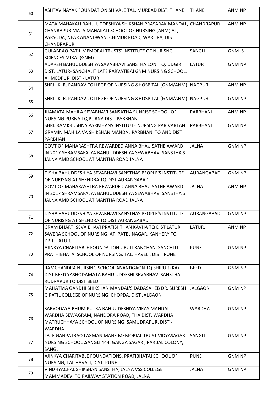| 60 | ASHTAVINAYAK FOUNDATION SHIVALE TAL. MURBAD DIST. THANE           | <b>THANE</b>    | <b>ANM NP</b> |
|----|-------------------------------------------------------------------|-----------------|---------------|
|    | MATA MAHAKALI BAHU-UDDESHIYA SHIKSHAN PRASARAK MANDAL, CHANDRAPUR |                 | ANM NP        |
| 61 | CHANRAPUR MATA MAHAKALI SCHOOL OF NURSING (ANM) AT,               |                 |               |
|    | PARSODA, NEAR ANANDWAN, CHIMUR ROAD, WARORA, DIST.                |                 |               |
|    | CHANDRAPUR                                                        |                 |               |
| 62 | GULABRAO PATIL MEMORAI TRUSTS' INSTITUTE OF NURISNG               | SANGLI          | <b>GNM IS</b> |
|    | <b>SCIENCES MIRAJ (GNM)</b>                                       |                 |               |
|    | ADARSH BAHUUDDESHIYA SAVABHAVI SANSTHA LONI TQ. UDGIR             | LATUR           | <b>GNM NP</b> |
| 63 | DIST. LATUR-SANCHALIT LATE PARVATIBAI GNM NURSING SCHOOL,         |                 |               |
|    | AHMEDPUR, DIST - LATUR                                            |                 |               |
| 64 | SHRI. K. R. PANDAV COLLEGE OF NURSING & HOSPITAL (GNM/ANM)        | <b>NAGPUR</b>   | ANM NP        |
|    |                                                                   |                 |               |
| 65 | SHRI. K. R. PANDAV COLLEGE OF NURSING & HOSPITAL (GNM/ANM) NAGPUR |                 | <b>GNM NP</b> |
|    |                                                                   |                 |               |
| 66 | JIJAMATA MAHILA SEVABHAVI SANSATHA SUNRISE SCHOOL OF              | <b>PARBHANI</b> | <b>ANM NP</b> |
|    | NURSING PURNA TQ PURNA DIST. PARBHANI                             |                 |               |
|    | SHRI. RAMKRUSHNA PARMHANS INSTITUTE NURSING PARIVARTAN            | PARBHANI        | <b>GNM NP</b> |
| 67 | GRAMIN MAHILA VA SHIKSHAN MANDAL PARBHANI TQ AND DIST             |                 |               |
|    | PARBHANI                                                          |                 |               |
|    | GOVT OF MAHARASHTRA REWARDED ANNA BHAU SATHE AWARD                | <b>JALNA</b>    | <b>GNM NP</b> |
| 68 | IN 2017 SHRAMSAFALYA BAHUUDDESHIYA SEWABHAVI SANSTHA'S            |                 |               |
|    | JALNA AMD SCHOOL AT MANTHA ROAD JALNA                             |                 |               |
|    | DISHA BAHUDDESHIYA SEVABHAVI SANSTHAS PEOPLE'S INSTITUTE          | AURANGABAD      | <b>GNM NP</b> |
| 69 | OF NURISNG AT SHENDRA TQ DIST AURANGABAD                          |                 |               |
|    | GOVT OF MAHARASHTRA REWARDED ANNA BHAU SATHE AWARD                | <b>JALNA</b>    | ANM NP        |
|    | IN 2017 SHRAMSAFALYA BAHUUDDESHIYA SEWABHAVI SANSTHA'S            |                 |               |
| 70 | JALNA AMD SCHOOL AT MANTHA ROAD JALNA                             |                 |               |
|    |                                                                   |                 |               |
|    | DISHA BAHUDDESHIYA SEVABHAVI SANSTHAS PEOPLE'S INSTITUTE          | IAURANGABAD     | <b>GNM NP</b> |
| 71 | OF NURISNG AT SHENDRA TO DIST AURANGABAD                          |                 |               |
|    | GRAM BHARTI SEVA BHAVI PRATISHTHAN KAVHA TQ DIST LATUR            | LATUR.          | ANM NP        |
| 72 | SAVERA SCHOOL OF NURSING, AT. PATEL NAGAR, KANHERY TQ             |                 |               |
|    | DIST. LATUR.                                                      |                 |               |
|    | AJINKYA CHARITABLE FOUNDATION URULI KANCHAN, SANCHLIT             | <b>PUNE</b>     | <b>GNM NP</b> |
| 73 | PRATHIBHATAI SCHOOL OF NURSING, TAL. HAVELI. DIST. PUNE           |                 |               |
|    |                                                                   |                 |               |
|    | RAMCHANDRA NURSING SCHOOL ANANDGAON TQ SHIRUR (KA)                | <b>BEED</b>     | <b>GNM NP</b> |
| 74 | DIST BEED YASHODAMATA BAHU UDDESHI SEVABHAVI SANSTHA              |                 |               |
|    | RUDRAPUR TQ DIST BEED                                             |                 |               |
|    | MAHATMA GANDHI SHIKSHAN MANDAL'S DADASAHEB DR. SURESH             | <b>JALGAON</b>  | <b>GNM NP</b> |
| 75 | G PATIL COLLEGE OF NURSING, CHOPDA, DIST JALGAON                  |                 |               |
|    |                                                                   |                 |               |
|    | SARVODAYA BHUMIPUTRA BAHUUDESHIYA VIKAS MANDAL,                   | <b>WARDHA</b>   | <b>GNM NP</b> |
| 76 | WARDHA SEWAGRAM, NANDORA ROAD, THA DIST. WARDHA                   |                 |               |
|    | MATRUCHHAYA SCHOOL OF NURSING, SAMUDRAPUR, DIST -                 |                 |               |
|    | <b>WARDHA</b>                                                     |                 |               |
|    | LATE GANPATRAO LAXMAN MANE MEMORIAL TRUST VIDYASAGAR              | SANGLI          | <b>GNM NP</b> |
| 77 | NURSING SCHOOL, SANGLI 444, GANGA SAGAR, PARIJAL COLONY,          |                 |               |
|    | SANGLI                                                            |                 |               |
| 78 | AJINKYA CHARITABLE FOUNDATIONS, PRATIBHATAI SCHOOL OF             | <b>PUNE</b>     | <b>GNM NP</b> |
|    | NURSING, TAL HAVALI, DIST. PUNE-                                  |                 |               |
| 79 | VINDHYACHAL SHIKSHAN SANSTHA, JALNA VSS COLLEGE                   | <b>JALNA</b>    | <b>GNM NP</b> |
|    | MAMMADEVI TO RAILWAY STATION ROAD, JALNA                          |                 |               |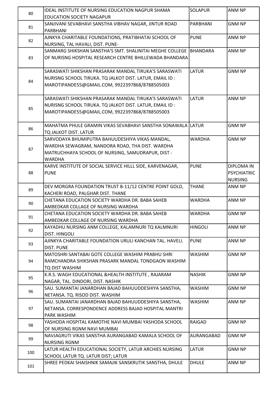| 80  | <b>IDEAL INSTITUTE OF NURSING EDUCATION NAGPUR SHAMA</b>             | <b>SOLAPUR</b> | ANM NP             |
|-----|----------------------------------------------------------------------|----------------|--------------------|
|     | <b>EDUCATION SOCIETY NAGAPUR</b>                                     |                |                    |
| 81  | SANJIVANI SEVABHAVI SANSTHA VIBHAV NAGAR, JINTUR ROAD                | PARBHANI       | <b>GNM NP</b>      |
|     | <b>PARBHANI</b>                                                      |                |                    |
| 82  | AJNKYA CHARITABLE FOUNDATIONS, PRATIBHATAI SCHOOL OF                 | <b>PUNE</b>    | ANM NP             |
|     | NURSING, TAL HAVALI, DIST. PUNE-                                     |                |                    |
|     | SANMARG SHIKSHAN SANSTHA'S SMT. SHALINITAI MEGHE COLLEGE BHANDARA    |                | ANM NP             |
| 83  | OF NURISNG HOSPITAL RESEARCH CENTRE BHILLEWADA BHANDARA              |                |                    |
|     |                                                                      |                |                    |
|     | SARASWATI SHIKSHAN PRASARAK MANDAL TIRUKA'S SARASWATI                | <b>LATUR</b>   | <b>GNM NP</b>      |
| 84  | NURISNG SCHOOL TIRUKA. TQ JALKOT DIST. LATUR, EMAIL ID:              |                |                    |
|     | MAROTIPANDE55@GMAIL.COM, 9922397868/8788505003                       |                |                    |
|     | SARASWATI SHIKSHAN PRASARAK MANDAL TIRUKA'S SARASWATI                | <b>LATUR</b>   | ANM NP             |
|     | NURISNG SCHOOL TIRUKA. TQ JALKOT DIST. LATUR, EMAIL ID:              |                |                    |
| 85  | MAROTIPANDE55@GMAIL.COM, 9922397868/8788505003                       |                |                    |
|     |                                                                      |                |                    |
|     | MAHATMA PHULE GRAMIN VIKAS SEVABHAVI SANSTHA SONAWALA LLATUR         |                | <b>GNM NP</b>      |
| 86  | TQ JALKOT DIST. LATUR                                                |                |                    |
|     | SARVODAYA BHUMIPUTRA BAHUUDESHIYA VIKAS MANDAL,                      | <b>WARDHA</b>  | <b>GNM NP</b>      |
|     | WARDHA SEWAGRAM, NANDORA ROAD, THA DIST. WARDHA                      |                |                    |
| 87  | MATRUCHHAYA SCHOOL OF NURSING, SAMUDRAPUR, DIST -                    |                |                    |
|     | <b>WARDHA</b>                                                        |                |                    |
|     | KARVE INSTITUTE OF SOCIAL SERVICE HILLL SIDE, KARVENAGAR,            | <b>PUNE</b>    | <b>DIPLOMA IN</b>  |
| 88  | <b>PUNE</b>                                                          |                | <b>PSYCHIATRIC</b> |
|     |                                                                      |                | <b>NURSING</b>     |
|     | DEV MORGRA FOUNDATION TRUST B-11/12 CENTRE POINT GOLD,               | <b>THANE</b>   | ANM NP             |
| 89  | KACHERI ROAD, PALGHAR DIST. THANE                                    |                |                    |
| 90  | CHETANA EDUCATION SOCIETY WARDHA DR. BABA SAHEB                      | <b>WARDHA</b>  | ANM NP             |
|     | AMBEDKAR COLLAGE OF NURSING WARDHA                                   |                |                    |
| 91  | CHETANA EDUCATION SOCIETY WARDHA DR. BABA SAHEB                      | <b>WARDHA</b>  | <b>GNM NP</b>      |
|     | AMBEDKAR COLLAGE OF NURSING WARDHA                                   |                |                    |
| 92  | KAYADHU NURSING ANM COLLEGE, KALAMNURI TQ KALMNURI                   | <b>HINGOLI</b> | ANM NP             |
|     | DIST. HINGOLI                                                        |                |                    |
| 93  | AJINKYA CHARITABLE FOUNDATION URULI KANCHAN TAL. HAVELI.             | <b>PUNE</b>    | ANM NP             |
|     | <b>DIST. PUNE</b>                                                    |                |                    |
|     | MATOSHRI SANTABAI GOTE COLLEGE WASHIM PRABHU SHRI                    | <b>WASHIM</b>  | <b>GNM NP</b>      |
| 94  | RAMCHANDRA SHIKSHAN PRASARK MANDAL TONDGAON WASHIM<br>TQ DIST WASHIM |                |                    |
|     | K.R.S. WAGH EDUCATIONAL &HEALTH INSTITUTE, RAJARAM                   | <b>NASHIK</b>  | <b>GNM NP</b>      |
| 95  | NAGAR, TAL. DINDORI, DIST. NASHIK                                    |                |                    |
|     | SAU. SUMANTAI JANARDHAN BAJAD BAHUUDDESHIYA SANSTHA,                 | <b>WASHIM</b>  | <b>GNM NP</b>      |
| 96  | NETANSA. TQ. RISOD DIST. WASHIM                                      |                |                    |
|     | SAU. SUMANTAI JANARDHAN BAJAD BAHUUDDESHIYA SANSTHA,                 | <b>WASHIM</b>  | ANM NP             |
| 97  | NETANSA. CORRESPONDENCE ADDRESS BAJAD HOSPITAL MANTRI                |                |                    |
|     | <b>PARK WASHIM</b>                                                   |                |                    |
|     | YASHODA HOSPITAL KAMOTHE NAVI MUMBAI YASHODA SCHOOL                  | <b>RAIGAD</b>  | <b>GNM NP</b>      |
| 98  | OF NURSING RGNM NAVI MUMBAI                                          |                |                    |
|     | NAVJAGRUTI VIKAS SANSTHA AURANGABAD KAMALA SCHOOL OF                 | AURANGABAD     | <b>GNM NP</b>      |
| 99  | <b>NURSING RGNM</b>                                                  |                |                    |
|     | LATUR HEALTH EDUCATIONAL SOCIETY, LATUR ARCHIES NURSING              | <b>LATUR</b>   | <b>GNM NP</b>      |
| 100 | SCHOOL LATUR TQ. LATUR DIST; LATUR                                   |                |                    |
| 101 | SHREE PEDKAI SHAISHNIK SAMAJIK SANSKRUTIK SANSTHA, DHULE             | <b>DHULE</b>   | ANM NP             |
|     |                                                                      |                |                    |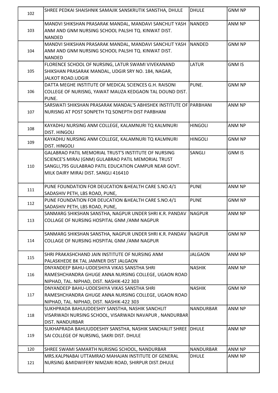| 102 | SHREE PEDKAI SHAISHNIK SAMAJIK SANSKRUTIK SANSTHA, DHULE                                                                                                                                                      | <b>DHULE</b>     | <b>GNM NP</b> |
|-----|---------------------------------------------------------------------------------------------------------------------------------------------------------------------------------------------------------------|------------------|---------------|
| 103 | MANDVI SHIKSHAN PRASARAK MANDAL, MANDAVI SANCHLIT YASH<br>ANM AND GNM NURSING SCHOOL PALSHI TQ. KINWAT DIST.<br>NANDED                                                                                        | <b>NANDED</b>    | <b>ANM NP</b> |
| 104 | MANDVI SHIKSHAN PRASARAK MANDAL, MANDAVI SANCHLIT YASH<br>ANM AND GNM NURSING SCHOOL PALSHI TQ. KINWAT DIST.<br><b>NANDED</b>                                                                                 | <b>NANDED</b>    | <b>GNM NP</b> |
| 105 | FLORENCE SCHOOL OF NURSING, LATUR SWAMI VIVEKANAND<br>SHIKSHAN PRASARAK MANDAL, UDGIR SRY NO. 184, NAGAR,<br><b>JALKOT ROAD.UDGIR</b>                                                                         | <b>LATUR</b>     | <b>GNM IS</b> |
| 106 | DATTA MEGHE INSTITUTE OF MEDICAL SCIENCES G.H. RAISONI<br>COLLEGE OF NURISNG, YAWAT MAUZA KEDGAON TAL DOUND DIST.<br>PUNE.                                                                                    | PUNE.            | <b>GNM NP</b> |
| 107 | SARSWATI SHIKSHAN PRASARAK MANDAL'S ABHISHEK INSTITUTE OF PARBHANI<br>NURISNG AT POST SONPETH TO SONEPTH DIST PARBHANI                                                                                        |                  | ANM NP        |
| 108 | KAYADHU NURSING ANM COLLEGE, KALAMNURI TQ KALMNURI<br><b>DIST. HINGOLI</b>                                                                                                                                    | <b>HINGOLI</b>   | ANM NP        |
| 109 | KAYADHU NURSING ANM COLLEGE, KALAMNURI TQ KALMNURI<br><b>DIST. HINGOLI</b>                                                                                                                                    | <b>HINGOLI</b>   | <b>GNM NP</b> |
| 110 | GALABRAO PATIL MEMORIAL TRUST'S INSTITUTE OF NURSING<br>SCIENCE'S MIRAJ (GNM) GULABRAO PATIL MEMORIAL TRUST<br>SANGLI, 795 GULABRAO PATIL EDUCATION CAMPUR NEAR GOVT.<br>MILK DAIRY MIRAJ DIST. SANGLI 416410 | SANGLI           | <b>GNM IS</b> |
| 111 | PUNE FOUNDATION FOR DEUCATION & HEALTH CARE S.NO.4/1<br>SADASHIV PETH, LBS ROAD, PUNE,                                                                                                                        | <b>PUNE</b>      | ANM NP        |
| 112 | PUNE FOUNDATION FOR DEUCATION & HEALTH CARE S.NO.4/1<br>SADASHIV PETH, LBS ROAD, PUNE,                                                                                                                        | <b>PUNE</b>      | <b>GNM NP</b> |
| 113 | SANMARG SHIKSHAN SANSTHA, NAGPUR UNDER SHRI K.R. PANDAV<br>COLLAGE OF NURSING HOSPITAL GNM / ANM NAGPUR                                                                                                       | <b>NAGPUR</b>    | ANM NP        |
| 114 | SANMARG SHIKSHAN SANSTHA, NAGPUR UNDER SHRI K.R. PANDAV<br>COLLAGE OF NURSING HOSPITAL GNM / ANM NAGPUR                                                                                                       | <b>NAGPUR</b>    | <b>GNM NP</b> |
| 115 | SHRI PRAKASHCHAND JAIN INSTITUTE OF NURSING ANM<br>PALASKHEDE BK TAL JAMNER DIST JALGAON                                                                                                                      | <b>JALGAON</b>   | ANM NP        |
| 116 | DNYANDEEP BAHU-UDDESHIYA VIKAS SANSTHA SHRI<br>RAMESHCHANDRA GHUGE ANNA NURSING COLLEGE, UGAON ROAD<br>NIPHAD, TAL. NIPHAD, DIST. NASHIK-422 303                                                              | <b>NASHIK</b>    | ANM NP        |
| 117 | DNYANDEEP BAHU-UDDESHIYA VIKAS SANSTHA SHRI<br>RAMESHCHANDRA GHUGE ANNA NURSING COLLEGE, UGAON ROAD<br>NIPHAD, TAL. NIPHAD, DIST. NASHIK-422 303                                                              | <b>NASHIK</b>    | <b>GNM NP</b> |
| 118 | SUKHPRADA BAHUUDDESHIY SANSTHA, NASHIK SANCHLIT<br>VISARWADI NURSING SCHOOL, VISARWADI NAVAPUR, NANDURBAR<br><b>DIST. NANDURBAR</b>                                                                           | <b>NANDURBAR</b> | ANM NP        |
| 119 | SUKHAPRADA BAHUUDDESHIY SANSTHA, NASHIK SANCHALIT SHREE DHULE<br>SAI COLLEGE OF NURSING, SAKRI DIST. DHULE                                                                                                    |                  | ANM NP        |
| 120 | SHREE SWAMI SAMARTH NURISNG SCHOOL, NANDURBAR                                                                                                                                                                 | <b>NANDURBAR</b> | ANM NP        |
| 121 | MRS.KALPNABAI UTTAMRAO MAHAJAN INSTITUTE OF GENERAL<br>NURSING & MIDWIFERY NIMZARI ROAD, SHIRPUR DIST.DHULE                                                                                                   | <b>DHULE</b>     | ANM NP        |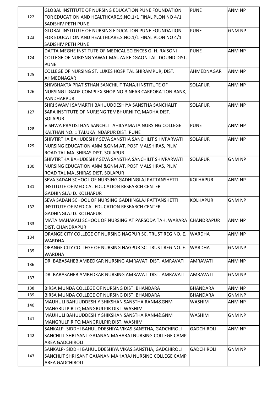|     | GLOBAL INSTITUTE OF NURSING EDUCATION PUNE FOUNDATION             | <b>PUNE</b>       | <b>ANM NP</b> |
|-----|-------------------------------------------------------------------|-------------------|---------------|
| 122 | FOR EDUCATION AND HEALTHCARE.S.NO.1/1 FINAL PLON NO 4/1           |                   |               |
|     | SADISHIV PETH PUNE                                                |                   |               |
|     | GLOBAL INSTITUTE OF NURSING EDUCATION PUNE FOUNDATION             | <b>PUNE</b>       | <b>GNM NP</b> |
| 123 | FOR EDUCATION AND HEALTHCARE.S.NO.1/1 FINAL PLON NO 4/1           |                   |               |
|     | SADISHIV PETH PUNE                                                |                   |               |
|     | DATTA MEGHE INSTITUTE OF MEDICAL SCIENCES G. H. RAISONI           | <b>PUNE</b>       | ANM NP        |
| 124 | COLLEGE OF NURISNG YAWAT MAUZA KEDGAON TAL. DOUND DIST.           |                   |               |
|     | <b>PUNE</b>                                                       |                   |               |
|     | COLLEGE OF NURSING ST. LUKES HOSPITAL SHIRAMPUR, DIST.            | AHMEDNAGAR        | ANM NP        |
| 125 |                                                                   |                   |               |
|     | AHMEDNAGAR                                                        |                   |               |
|     | SHIVBHAKTA PRATISTHAN SANCHILIT TANAJI INSTITUTE OF               | <b>SOLAPUR</b>    | ANM NP        |
| 126 | NURSING LIGADE COMPLEX SHOP NO-3 NEAR CARPORATION BANK,           |                   |               |
|     | <b>PANDHARPUR</b>                                                 |                   |               |
|     | SHRI SWAMI SAMARTH BAHUUDDESHIYA SANSTHA SANCHALIT                | <b>SOLAPUR</b>    | ANM NP        |
| 127 | SARA INSTITUTE OF NURISNG TEMBHURNI TQ MADHA DIST.                |                   |               |
|     | <b>SOLAPUR</b>                                                    |                   |               |
| 128 | VISHWA PRATISTHAN SANCHLIT AHILYAMATA NURSING COLLEGE             | <b>PUNE</b>       | ANM NP        |
|     | KALTHAN NO. 1 TALUKA INDAPUR DIST. PUNE                           |                   |               |
|     | SHIVTIRTHA BAHUDESHIY SEVA SANSTHA SANCHILIT SHIVPARVATI          | <b>SOLAPUR</b>    | ANM NP        |
| 129 | NURSING EDUCATION ANM & GNM AT. POST MALSHIRAS, PILIV             |                   |               |
|     | ROAD TAL MALSHIRAS DIST. SOLAPUR                                  |                   |               |
|     | SHIVTIRTHA BAHUDESHIY SEVA SANSTHA SANCHILIT SHIVPARVATI          | <b>SOLAPUR</b>    | <b>GNM NP</b> |
| 130 | NURSING EDUCATION ANM & GNM AT. POST MALSHIRAS, PILIV             |                   |               |
|     | ROAD TAL MALSHIRAS DIST. SOLAPUR                                  |                   |               |
|     | SEVA SADAN SCHOOL OF NURSING GADHINGLAJ PATTANSHETTI              | <b>KOLHAPUR</b>   | ANM NP        |
| 131 | INSTITUTE OF MEDICAL EDUCATION RESEARCH CENTER                    |                   |               |
|     | <b>GADHINGLAJ D. KOLHAPUR</b>                                     |                   |               |
|     | SEVA SADAN SCHOOL OF NURSING GADHINGLAJ PATTANSHETTI              | <b>KOLHAPUR</b>   | <b>GNM NP</b> |
| 132 | INSTITUTE OF MEDICAL EDUCATION RESEARCH CENTER                    |                   |               |
|     | <b>GADHINGLAJ D. KOLHAPUR</b>                                     |                   |               |
|     | MATA MAHAKALI SCHOOL OF NURSING AT PARSODA TAH. WARARA CHANDRAPUR |                   | ANM NP        |
| 133 | DIST. CHANDRAPUR                                                  |                   |               |
|     | ORANGE CITY COLLEGE OF NURSING NAGPUR SC. TRUST REG NO. E.        | <b>WARDHA</b>     | ANM NP        |
| 134 | <b>WARDHA</b>                                                     |                   |               |
|     | ORANGE CITY COLLEGE OF NURSING NAGPUR SC. TRUST REG NO. E.        | <b>WARDHA</b>     | <b>GNM NP</b> |
| 135 | <b>WARDHA</b>                                                     |                   |               |
|     | DR. BABASAHEB AMBEDKAR NURSING AMRAVATI DIST. AMRAVATI            | <b>AMRAVATI</b>   | ANM NP        |
| 136 |                                                                   |                   |               |
|     | DR. BABASAHEB AMBEDKAR NURSING AMRAVATI DIST. AMRAVATI            | <b>AMRAVATI</b>   | <b>GNM NP</b> |
| 137 |                                                                   |                   |               |
| 138 | BIRSA MUNDA COLLEGE OF NURSING DIST. BHANDARA                     | <b>BHANDARA</b>   | ANM NP        |
| 139 | BIRSA MUNDA COLLEGE OF NURSING DIST. BHANDARA                     | <b>BHANDARA</b>   | <b>GNM NP</b> |
|     |                                                                   |                   |               |
| 140 | MAUHULI BAHUUDDESHIY SHIKSHAN SANSTHA RANM&GNM                    | <b>WASHIM</b>     | ANM NP        |
|     | MANGRULPIR TQ MANGRULPIR DIST. WASHIM                             |                   |               |
| 141 | MAUHULI BAHUUDDESHIY SHIKSHAN SANSTHA RANM&GNM                    | <b>WASHIM</b>     | <b>GNM NP</b> |
|     | MANGRULPIR TQ MANGRULPIR DIST. WASHIM                             |                   |               |
|     | SANKALP-SIDDHI BAHUUDDESHIYA VIKAS SANSTHA, GADCHIROLI            | <b>GADCHIROLI</b> | ANM NP        |
| 142 | SANCHLIT SHRI SANT GAJANAN MAHARAJ NURSING COLLEGE CAMP           |                   |               |
|     | <b>AREA GADCHIROLI</b>                                            |                   |               |
|     | SANKALP- SIDDHI BAHUUDDESHIYA VIKAS SANSTHA, GADCHIROLI           | <b>GADCHIROLI</b> | <b>GNM NP</b> |
| 143 | SANCHLIT SHRI SANT GAJANAN MAHARAJ NURSING COLLEGE CAMP           |                   |               |
|     | AREA GADCHIROLI                                                   |                   |               |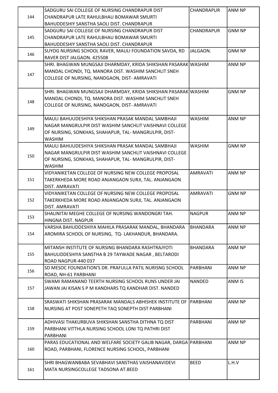|     | SADGURU SAI COLLEGE OF NURSING CHANDRAPUR DIST                         | <b>CHANDRAPUR</b> | <b>ANM NP</b> |
|-----|------------------------------------------------------------------------|-------------------|---------------|
| 144 | CHANDRAPUR LATE RAHULBHAU BOMAWAR SMURTI                               |                   |               |
|     | BAHUDDESHIY SANSTHA SAOLI DIST. CHANDRAPUR                             |                   |               |
|     | SADGURU SAI COLLEGE OF NURSING CHANDRAPUR DIST                         | <b>CHANDRAPUR</b> | <b>GNM NP</b> |
| 145 | CHANDRAPUR LATE RAHULBHAU BOMAWAR SMURTI                               |                   |               |
|     | BAHUDDESHIY SANSTHA SAOLI DIST. CHANDRAPUR                             |                   |               |
|     | SUYOG NURSING SCHOOL RAVER, MAULI FOUNDATION SAVDA, RD                 | JALGAON.          | <b>GNM NP</b> |
| 146 | RAVER DIST JALGAON. 425508                                             |                   |               |
|     | SHRI. BHAGWAN MUNGSAJI DHARMDAY, KRIDA SHIKSHAN PASARAK WASHIM         |                   | ANM NP        |
|     | MANDAL CHONDI, TQ. MANORA DIST. WASHIM SANCHLIT SNEH                   |                   |               |
| 147 | COLLEGE OF NURSING, NANDGAON, DIST- AMRAVATI                           |                   |               |
|     |                                                                        |                   |               |
|     | SHRI. BHAGWAN MUNGSAJI DHARMDAY, KRIDA SHIKSHAN PASARAK WASHIM         |                   | <b>GNM NP</b> |
|     | MANDAL CHONDI, TQ. MANORA DIST. WASHIM SANCHLIT SNEH                   |                   |               |
| 148 | COLLEGE OF NURSING, NANDGAON, DIST-AMRAVATI                            |                   |               |
|     |                                                                        |                   |               |
|     | MAULI BAHUUDESHIYA SHIKSHAN PRASAK MANDAL SAMBHAJI                     | <b>WASHIM</b>     | ANM NP        |
|     | NAGAR MANGRULPIR DIST WASHIM SANCHLIT VAISHNAVI COLLEGE                |                   |               |
| 149 | OF NURSING, SONKHAS, SHAHAPUR, TAL-MANGRULPIR, DIST-                   |                   |               |
|     | <b>WASHIM</b>                                                          |                   |               |
|     | MAULI BAHUUDESHIYA SHIKSHAN PRASAK MANDAL SAMBHAJI                     | <b>WASHIM</b>     | <b>GNM NP</b> |
|     | NAGAR MANGRULPIR DIST WASHIM SANCHLIT VAISHNAVI COLLEGE                |                   |               |
| 150 | OF NURSING, SONKHAS, SHAHAPUR, TAL- MANGRULPIR, DIST-                  |                   |               |
|     | <b>WASHIM</b>                                                          |                   |               |
|     | VIDYANIKETAN COLLEGE OF NURSING NEW COLLEGE PROPOSAL                   | <b>AMRAVATI</b>   | ANM NP        |
| 151 |                                                                        |                   |               |
|     | TAKERKHEDA MORE ROAD ANJANGAON SURJI, TAL. ANJANGAON                   |                   |               |
|     | DIST. AMRAVATI<br>VIDYANIKETAN COLLEGE OF NURSING NEW COLLEGE PROPOSAL | <b>AMRAVATI</b>   | <b>GNM NP</b> |
|     |                                                                        |                   |               |
| 152 | TAKERKHEDA MORE ROAD ANJANGAON SURJI, TAL. ANJANGAON                   |                   |               |
|     | DIST. AMRAVATI                                                         |                   |               |
| 153 | SHALINITAI MEGHE COLLEGE OF NURSING WANDONGRI TAH.                     | <b>NAGPUR</b>     | <b>ANM NP</b> |
|     | HINGNA DIST. NAGPUR                                                    |                   |               |
|     | VARSHA BAHUDDESHIYA MAHILA PRASARAK MANDAL, BHANDARA                   | <b>BHANDARA</b>   | ANM NP        |
| 154 | AROMIRA SCHOOL OF NURSING, TQ- LAKHANDUR, BHANDARA.                    |                   |               |
|     |                                                                        |                   |               |
|     | MITANSH INSTITUTE OF NURSING BHANDARA RASHTRAJYOTI                     | <b>BHANDARA</b>   | ANM NP        |
| 155 | BAHUUDDESHIYA SANSTHA B 29 TAYWADE NAGAR, BELTARODI                    |                   |               |
|     | ROAD NAGPUR-440 037                                                    |                   |               |
| 156 | SD MESOC FOUNDATION'S DR. PRAFULLA PATIL NURISNG SCHOOL                | PARBHANI          | ANM NP        |
|     | ROAD, NH-61 PARBHANI                                                   |                   |               |
|     | SWAMI RAMANAND TEERTH NURSING SCHOOL RUNS UNDER JAI                    | <b>NANDED</b>     | ANM IS        |
| 157 | JAWAN JAI KISAN S P M KANDHARS TQ KANDHAR DIST. NANDED                 |                   |               |
|     |                                                                        |                   |               |
|     | SRASWATI SHIKSHAN PRASARAK MANDALS ABHISHEK INSTITUTE OF PARBHANI      |                   | ANM NP        |
| 158 | NURSING AT POST SONEPETH TAQ SONEPTH DIST PARBHANI                     |                   |               |
|     |                                                                        |                   |               |
|     | ADHIVASI THAKURBUVA SHIKSHAN SANSTHA DITHNA TQ DIST                    | PARBHANI          | ANM NP        |
| 159 | PARBHANI VITTHLA NURSING SCHOOL LONI TQ PATHRI DIST                    |                   |               |
|     | PARBHANI                                                               |                   |               |
|     | PARAS EDUCATIONAL AND WELFARE SOCIETY GALIB NAGAR, DARGA PARBHANI      |                   | ANM NP        |
| 160 | ROAD, PARBHANI, FLORENCE NURSING SCHOOL, PARBHANI                      |                   |               |
|     |                                                                        |                   |               |
|     | SHRI BHAGWANBABA SEVABHAVI SANSTHAS VAISHANAVIDEVI                     | <b>BEED</b>       | L.H.V         |
| 161 | MATA NURSINGCOLLEGE TADSONA AT.BEED                                    |                   |               |
|     |                                                                        |                   |               |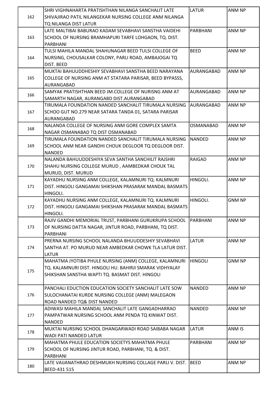|     | ISHRI VIGHNAHARTA PRATISHTHAN NILANGA SANCHALIT LATE      | <b>LATUR</b>     | ANM NP        |
|-----|-----------------------------------------------------------|------------------|---------------|
| 162 | SHIVAJIRAO PATIL NILANGEKAR NURSING COLLEGE ANM NILANGA   |                  |               |
|     | TQ NILANGA DIST LATUR                                     |                  |               |
|     | LATE MALTIBAI BABURAO KADAM SEVABHAVI SANSTHA VAIDEHI     | PARBHANI         | ANM NP        |
| 163 | SCHOOL OF NURSING BRAMHAPURI TARFE LOHGAON, TQ. DIST.     |                  |               |
|     | PARBHANI                                                  |                  |               |
|     | TULSI MAHILA MANDAL SHAHUNAGAR BEED TULSI COLLEGE OF      | <b>BEED</b>      | ANM NP        |
| 164 | NURSING, CHOUSALKAR COLONY, PARLI ROAD, AMBAJOGAI TQ      |                  |               |
|     | DIST. BEED                                                |                  |               |
|     | MUKTAI BAHUUDDHESHIY SEVABHAVI SANSTHA BEED NARAYANA      | AURANGABAD       | ANM NP        |
| 165 | COLLEGE OF NURSING ANM AT STATARA PARISAR, BEED BYPASSS,  |                  |               |
|     | AURANGABAD                                                |                  |               |
|     | SAMYAK PRATISHTHAN BEED JM.COLLEGE OF NURISNG ANM AT      | AURANGABAD       | ANM NP        |
| 166 | SAMARTH NAGAR, AURANGABD DIST.AURANGABAD                  |                  |               |
|     | TIRUMALA FOUNDATION NANDED SANCHALIT TIRUMALA NURSING     | AURANGABAD       | ANM NP        |
| 167 | SCHOO GUT NO.279 NEAR SATARA TANDA 01, SATARA PARISAR     |                  |               |
|     | AURANGABAD                                                |                  |               |
|     | NALANDA COLLEGE OF NURSING ANM GORE COMPLEX SAMTA         | <b>OSMANABAD</b> | ANM NP        |
| 168 |                                                           |                  |               |
|     | NAGAR OSMANABAD TQ DIST OSMANABAD                         | NANDED           | ANM NP        |
|     | TIRUMALA FOUNDATION NANDED SANCHALIT TIRUMALA NURSING     |                  |               |
| 169 | SCHOOL ANM NEAR GANDHI CHOUK DEGLOOR TO DEGLOOR DIST.     |                  |               |
|     | <b>NANDED</b>                                             |                  |               |
|     | NALANDA BAHUUDDESHIYA SEVA SANTHA SANCHILIT RAJSHRI       | <b>RAIGAD</b>    | ANM NP        |
| 170 | SHAHU NURSING COLLEGE MURUD, AAMBEDKAR CHOUK TAL          |                  |               |
|     | MURUD, DIST. MURUD                                        |                  |               |
|     | KAYADHU NURSING ANM COLLEGE, KALAMNURI TQ. KALMNURI       | HINGOLI.         | ANM NP        |
| 171 | DIST. HINGOLI GANGAMAI SHIKSHAN PRASARAK MANDAL BASMATS   |                  |               |
|     | HINGOLI.                                                  |                  |               |
|     | KAYADHU NURSING ANM COLLEGE, KALAMNURI TQ. KALMNURI       | HINGOLI.         | <b>GNM NP</b> |
| 172 | DIST. HINGOLI GANGAMAI SHIKSHAN PRASARAK MANDAL BASMATS   |                  |               |
|     | HINGOLI.                                                  |                  |               |
|     | RAJIV GANDHI MEMORIAL TRUST, PARBHANI GURUKRUPA SCHOOL    | PARBHANI         | ANM NP        |
| 173 | OF NURSING DATTA NAGAR, JINTUR ROAD, PARBHANI, TQ DIST.   |                  |               |
|     | PARBHANI                                                  |                  |               |
|     | PRERNA NURSING SCHOOL NALANDA BHUUDDESHIY SEVABHAVI       | <b>LATUR</b>     | ANM NP        |
| 174 | SANTHA AT. PO MURUD NEAR AMBEDKAR CHOWK TLA LATUR DIST.   |                  |               |
|     | LATUR                                                     |                  |               |
|     | MAHATMA JYOTIBA PHULE NURSING (ANM) COLLEGE, KALAMNURI    | <b>HINGOLI</b>   | <b>GNM NP</b> |
| 175 | TQ. KALAMNURI DIST. HINGOLI HU. BAHIRJI SMARAK VIDHYALAY  |                  |               |
|     | SHIKSHAN SANSTHA WAPTI TQ. BASMAT DIST. HINGOLI           |                  |               |
|     |                                                           |                  |               |
|     | PANCHALI EDUCTION EDUCATION SOCIETY SANCHALIT LATE SOW    | <b>NANDED</b>    | ANM NP        |
| 176 | SULOCHANATAI KURDE NURSING COLLEGE (ANM) MALEGAON         |                  |               |
|     | ROAD NANDED TQ& DIST NANDED                               |                  |               |
|     | ADIWASI MAHILA MANDAL SANCHALIT LATE GANGADHARRAO         | <b>NANDED</b>    | ANM NP        |
| 177 | PAMPATWAR NURSING SCHOOL ANM PENDA TQ KINWAT DIST.        |                  |               |
|     | <b>NANDED</b>                                             |                  |               |
| 178 | MUKTAI NURSING SCHOOL DHANGARWADI ROAD SAIBABA NAGAR      | <b>LATUR</b>     | ANM IS        |
|     | WADI PATI NANDED LATUR                                    |                  |               |
|     | <b>MAHATMA PHULE EDUCATION SOCIETYS MAHATMA PHULE</b>     | PARBHANI         | ANM NP        |
| 179 | SCHOOL OF NURSING JINTUR ROAD, PARBHANI, TQ. & DIST.      |                  |               |
|     | PARBHANI                                                  |                  |               |
| 180 | LATE VAIJANATHRAO DESHMUKH NURSING COLLAGE PARLI V. DIST. | BEED             | ANM NP        |
|     | BEED-431 515                                              |                  |               |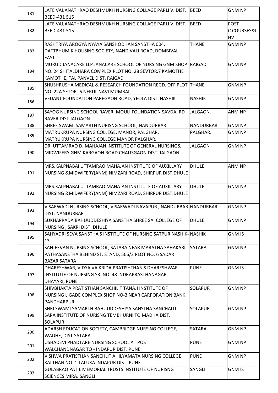| 181 | LATE VAIJANATHRAO DESHMUKH NURSING COLLAGE PARLI V. DIST.          | <b>BEED</b>    | <b>GNM NP</b> |
|-----|--------------------------------------------------------------------|----------------|---------------|
|     | BEED-431 515                                                       |                |               |
|     | LATE VAIJANATHRAO DESHMUKH NURSING COLLAGE PARLI V. DIST.          | BEED           | <b>POST</b>   |
| 182 | BEED-431 515                                                       |                | C.COURSES&L   |
|     |                                                                    |                | HV            |
|     | RASHTRIYA AROGYA NYAYA SANSHODHAN SANSTHA 004,                     | <b>THANE</b>   | <b>GNM NP</b> |
| 183 | DATTBHUMIK HOUSING SOCIETY, NANDIVALI ROAD, DOMBIVALI              |                |               |
|     | EAST.                                                              |                |               |
|     | MURUD JANACARE LLP JANACARE SCHOOL OF NURSING GNM SHOP             | RAIGAD         | <b>GNM NP</b> |
| 184 | NO. 24 SHITALDHARA COMPLEX PLOT NO. 28 SEVTOR.7 KAMOTHE            |                |               |
|     | KAMOTHE, TAL PANVEL DIST. RAIGAD                                   |                |               |
| 185 | SHUSHRUSHA MEDICAL & RESEARCH FOUNDATION REGD. OFF PLOT THANE      |                | <b>GNM NP</b> |
|     | NO. 22A SETOR -6 NERUL NAVI MUMBAI.                                | <b>NASHIK</b>  | <b>GNM NP</b> |
| 186 | VEDANT FOUNDATION PAREGAON ROAD, YEOLA DIST. NASHIK                |                |               |
|     | SAYOG NURSING SCHOOL RAVER, MOULI FOUNDATION SAVDA, RD             | JALGAON.       | ANM NP        |
| 187 | RAVER DIST JALGAON.                                                |                |               |
| 188 | SHREE SWAMI SAMARTH NURISNG SCHOOL, NANDURBAR                      | NANDURBAR      | <b>GNM NP</b> |
|     | MATRUKRUPA NURSING COLLEGE, MANOR, PALGHAR,                        | PALGHAR.       | <b>GNM NP</b> |
| 189 | MATRUKRUPA NURSING COLLEGE MANOR PALGHAR.                          |                |               |
|     | DR. UTTAMRAO D. MAHAJAN INSTITUTE OF GENERAL NURSING&              | <b>JALGAON</b> | <b>GNM NP</b> |
| 190 | MIDWIFERY GNM KARGAON ROAD CHALISGAON DIST. JALGAON                |                |               |
|     |                                                                    |                |               |
|     | MRS.KALPNABAI UTTAMRAO MAHAJAN INSTITUTE OF AUXILLARY              | <b>DHULE</b>   | <b>ANM NP</b> |
| 191 | NURSING & MIDWIFERY(ANM) NIMZARI ROAD, SHIRPUR DIST.DHULE          |                |               |
|     |                                                                    |                |               |
|     | MRS.KALPNABAI UTTAMRAO MAHAJAN INSTITUTE OF AUXILLARY              | <b>DHULE</b>   | <b>GNM NP</b> |
| 192 | NURSING & MIDWIFERY(ANM) NIMZARI ROAD, SHIRPUR DIST.DHULE          |                |               |
|     |                                                                    |                |               |
| 193 | VISARWADI NURSING SCHOOL, VISARWADI NAVAPUR , NANDURBAR NANDURBAR  |                | <b>GNM NP</b> |
|     | DIST. NANDURBAR                                                    |                |               |
| 194 | SUKHAPRADA BAHUUDDESHIYA SANSTHA SHREE SAI COLLEGE OF              | <b>DHULE</b>   | <b>GNM NP</b> |
|     | NURSING, SAKRI DIST. DHULE                                         |                |               |
| 195 | SAHYADRI SEVA SANSTHA'S INSTITUTE OF NURSING SATPUR NASHIK- NASHIK |                | <b>GNM IS</b> |
|     | 13<br>SANJEEVAN NURSING SCHOOL, SATARA NEAR MARATHA SAHAKARI       | <b>SATARA</b>  | <b>GNM NP</b> |
| 196 | PATHASANSTHA BEHIND ST. STAND, 506/2 PLOT NO. 6 SADAR              |                |               |
|     | <b>BAZAR SATARA</b>                                                |                |               |
|     | DHARESHWAR, VIDYA VA KRIDA PRATISHTHAN'S DHARESHWAR                | <b>PUNE</b>    | <b>GNM IS</b> |
| 197 | INSTITUTE OF NURSING SR. NO. 48 INDRAPRASTHANAGAR,                 |                |               |
|     | DHAYARI, PUNE                                                      |                |               |
|     | SHIVBHAKTA PRATISTHAN SANCHILIT TANAJI INSTITUTE OF                | <b>SOLAPUR</b> | <b>GNM NP</b> |
| 198 | NURSING LIGADE COMPLEX SHOP NO-3 NEAR CARPORATION BANK,            |                |               |
|     | PANDHARPUR                                                         |                |               |
|     | SHRI SWAMI SAMARTH BAHUUDDESHIYA SANSTHA SANCHALIT                 | <b>SOLAPUR</b> | <b>GNM NP</b> |
| 199 | SARA INSTITUTE OF NURISNG TEMBHURNI TQ MADHA DIST.                 |                |               |
|     | <b>SOLAPUR</b>                                                     |                |               |
| 200 | ADARSH EDUCATION SOCIETY, CAMBRIDGE NURSING COLLEGE,               | <b>SATARA</b>  | <b>GNM NP</b> |
|     | WADHE, DIST.SATARA                                                 |                |               |
| 201 | USHADEVI PHADTARE NURSING SCHOOL AT POST                           | <b>PUNE</b>    | <b>GNM NP</b> |
|     | WALCHANDNAGAR TQ - INDAPUR DIST. PUNE                              |                |               |
| 202 | VISHWA PRATISTHAN SANCHLIT AHILYAMATA NURSING COLLEGE              | <b>PUNE</b>    | <b>GNM NP</b> |
|     | KALTHAN NO. 1 TALUKA INDAPUR DIST. PUNE                            |                |               |
| 203 | <b>GULABRAO PATIL MEMORIAL TRUSTS INSTITUTE OF NURISNG</b>         | SANGLI         | <b>GNM IS</b> |
|     | <b>SCIENCES MIRAJ SANGLI</b>                                       |                |               |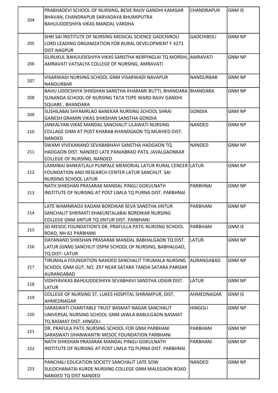|     | PRABHADEVI SCHOOL OF NURSING, BESIE RAJIV GANDHI KAMGAR           | <b>CHANDRAPUR</b> | <b>GNM IS</b> |
|-----|-------------------------------------------------------------------|-------------------|---------------|
|     | BHAVAN, CHANDRAPUR SARVADAYA BHUMIPUTRA                           |                   |               |
| 204 | BAHUUDDESHIYA VIKAS MANDAL VARDHA                                 |                   |               |
|     |                                                                   |                   |               |
|     | SHRI SAI INSTITUTE OF NURSING MEDICAL SCIENCE GADCHIROLI          | <b>GADCHIROLI</b> | <b>GNM NP</b> |
| 205 | LORD LEADING ORGANIZATION FOR RURAL DEVELOPMENT F 4271            |                   |               |
|     | DIST.NAGPUR                                                       |                   |               |
|     | GURUKUL BAHUUDESHIYA VIKAS SANSTHA NERPINGLAI TQ MORSHI, AMRAVATI |                   | <b>GNM NP</b> |
| 206 | AMRAVATI VATSALYA COLLEGE OF NURSING, AMRAVATI                    |                   |               |
|     |                                                                   |                   |               |
|     | VISARWADI NURSING SCHOOL GNM VISARWADI NAVAPUR                    | <b>NANDURBAR</b>  | <b>GNM NP</b> |
| 207 | NANDURBAR                                                         |                   |               |
|     | BAHU UDDESHIYA SHIKSHAN SANSTHA KHAMARI BUTTI, BHANDARA BHANDARA  |                   | <b>GNM NP</b> |
| 208 | SUNANDA SCHOOL OF NURSING TATA TOPE WARD RAJIV GANDHI             |                   |               |
|     | SQUARE, BHANDARA                                                  |                   |               |
|     | SUSHILABAI SHYAMRLAO BANEKAR NURSING SCHOOL SHRAI                 | <b>GONDIA</b>     | <b>GNM NP</b> |
| 209 | GANESH GRAMIN VIKAS SHIKSHAN SANSTHA GONDIA                       |                   |               |
|     | JANKALYAN VIKAS MANDAL SANCHALIT LILAWATI NURSING                 | <b>NANDED</b>     | <b>GNM NP</b> |
| 210 | COLLAGE GNM AT POST KHARAB KHANDGAON TQ MUKHED DIST.              |                   |               |
|     | <b>NANDED</b>                                                     |                   |               |
|     | SWAMI VIVEKANAND SEVABABHAVI SANSTHA HADGAON TQ.                  | NANDED            | <b>GNM NP</b> |
| 211 |                                                                   |                   |               |
|     | HADGAON DIST. NANDED LATE PANJABRAO PATIL JAVALGAONKAR            |                   |               |
|     | COLLEGE OF NURSING, NANDED                                        |                   |               |
|     | LAXMIBAI BANKATLALJI PUNPALE MEMORIAL LATUR RURAL CENCER LATUR    |                   | <b>GNM NP</b> |
| 212 | FOUNDATION AND RESEARCH CENTER LATUR SANCHLIT SAI                 |                   |               |
|     | <b>NURSING SCHOOL LATUR</b>                                       |                   |               |
|     | NATH SHIKSHAN PRASARAK MANDAL PINGLI GOKULNATH                    | PARBHNAI          | <b>GNM NP</b> |
| 213 | INSTITUTE OF NURISNG AT POST LIMLA TQ PURNA DIST. PARBHNAI        |                   |               |
|     |                                                                   |                   |               |
|     | LATE WAMNRAOJI KADAM BORDIKAR SEVA SANSTHA JINTUR                 | PARBHANI          | <b>GNM NP</b> |
| 214 | SANCHALIT SHRIMATI SHAKUNTALABAI BORDIKAR NURSING                 |                   |               |
|     | COLLEGE GNM JINTUR TQ JINTUR DIST. PARBHANI                       |                   |               |
| 215 | SD MESOC FOUNDATION'S DR. PRAFULLA PATIL NURISNG SCHOOL           | PARBHANI          | <b>GNM IS</b> |
|     | ROAD, NH-61 PARBHANI                                              |                   |               |
|     | DAYANAND SHIKSHAN PRASARAK MANDAL BABHALGAON TQ DIST.             | <b>LATUR</b>      | <b>GNM NP</b> |
| 216 | LATUR (GNM) SANCHLIT DSPM SCHOOL OF NURSING, BABHALGAO,           |                   |               |
|     | <b>TQ-DIST-LATUR</b>                                              |                   |               |
|     | TIRUMALA FOUNDATION NANDED SANCHALIT TIRUMALA NURSING             | <b>AURANGABAD</b> | <b>GNM NP</b> |
| 217 | SCHOOL GNM GUT. NO. 297 NEAR SATARA TANDA SATARA PARISAR          |                   |               |
|     | AURANGABAD                                                        |                   |               |
| 218 | VIDHYAVIKAS BAHUUDDESHIYA SEVABHAVI SANSTHA UDGIR DIST.           | <b>LATUR</b>      | <b>GNM NP</b> |
|     | LATUR                                                             |                   |               |
| 219 | COLLEGE OF NURSING ST. LUKES HOSPITAL SHIRAMPUR, DIST.            | AHMEDNAGAR        | <b>GNM IS</b> |
|     | AHMEDNAGAR                                                        |                   |               |
|     | SARASWATI CHARITABLE TRUST BASMAT NAGAR SANCHALIT                 | <b>HINGOLI</b>    | <b>GNM NP</b> |
| 220 | UNIVERSAL NURSING SCHOOL GNM JAWLA BABULGAON BASMAT               |                   |               |
|     | TQ BASMAT DIST. HINGOLI                                           |                   |               |
|     | DR. PRAFULA PATIL NURSING SCHOOL FOR GNM PARBHANI                 | PARBHANI          | <b>GNM NP</b> |
| 221 | SARASWATI DHANWANTRI MESOC FOUNDATION PARBHANI                    |                   |               |
|     | NATH SHIKSHAN PRASARAK MANDAL PINGLI GOKULNATH                    | PARBHANI          | <b>GNM NP</b> |
| 222 | INSTITUTE OF NURISNG AT POST LIMLA TQ PURNA DIST. PARBHNAI        |                   |               |
|     |                                                                   |                   |               |
|     | PANCHALI EDUCATION SOCIETY SANCHALIT LATE SOW                     | NANDED            | <b>GNM NP</b> |
| 223 | SULOCHANATAI KURDE NURSING COLLEGE GNM MALEGAON ROAD              |                   |               |
|     | NANDED TQ DIST NANDED                                             |                   |               |
|     |                                                                   |                   |               |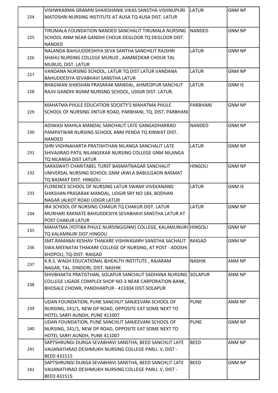|     | VISHWKARMA GRAMIN SHAIKSHANIK VIKAS SANSTHA VISHNUPURI           | LATUR          | <b>GNM NP</b> |
|-----|------------------------------------------------------------------|----------------|---------------|
| 224 | MATOSHRI NURSING INSTITUTE AT AUSA TO AUSA DIST. LATUR           |                |               |
|     |                                                                  |                |               |
|     | TIRUMALA FOUNDATION NANDED SANCHALIT TIRUMALA NURSING            | <b>NANDED</b>  | <b>GNM NP</b> |
| 225 | SCHOOL ANM NEAR GANDHI CHOUK DEGLOOR TO DEGLOOR DIST.            |                |               |
|     | <b>NANDED</b>                                                    |                |               |
|     | NALANDA BAHUUDDESHIYA SEVA SANTHA SANCHILIT RAJSHRI              | <b>LATUR</b>   | <b>GNM NP</b> |
| 226 | SHAHU NURSING COLLEGE MURUD, AAMBEDKAR CHOUK TAL                 |                |               |
|     | MURUD, DIST. LATUR                                               |                |               |
|     | VANDANA NURSING SCHOOL, LATUR TQ DIST LATUR VANDANA              | <b>LATUR</b>   | <b>GNM NP</b> |
| 227 | <b>BAHUDDESIYA SEVABHAVI SANSTHA LATUR</b>                       |                |               |
|     | BHAGWAN SHIKSHAN PRASARAK MANDAL, AHMEDPUR SANCHLIT              | <b>LATUR</b>   | <b>GNM IS</b> |
| 228 | RAJIV GANDHI RGNM NURISNG SCHOOL, UDGIR DIST. LATUR.             |                |               |
|     |                                                                  |                |               |
|     | MAHATMA PHULE EDUCATION SOCIETY'S MAHATMA PHULE                  | PARBHANI       | <b>GNM NP</b> |
| 229 | SCHOOL OF NURSING JINTUR ROAD, PARBHANI, TQ. DIST. PARBHANI      |                |               |
|     |                                                                  |                |               |
|     | ADIWASI MAHILA MANDAL SANCHALIT LATE GANGADHARRAO                | <b>NANDED</b>  | <b>GNM NP</b> |
| 230 | PAMPATWAR NURSING SCHOOL ANM PENDA TQ KINWAT DIST.               |                |               |
|     | INANDED                                                          |                |               |
|     | SHRI VIGHNAHARTA PRATISHTHAN NILANGA SANCHALIT LATE              | <b>LATUR</b>   | <b>GNM NP</b> |
| 231 | SHIVAJIRAO PATIL NILANGEKAR NURSING COLLEGE GNM NILANGA          |                |               |
|     | TQ NILANGA DIST LATUR                                            |                |               |
|     | SARASWATI CHARITABEL TURST BASMATNAGAR SANCHALIT                 | <b>HINGOLI</b> | <b>GNM NP</b> |
| 232 | UNIVERSAL NURSING SCHOOL GNM JAWLA BABULGAON BASMAT              |                |               |
|     | TQ BASMAT DIST. HINGOLI                                          |                |               |
|     | FLORENCE SCHOOL OF NURSING LATUR SWAMI VIVEKANAND                | LATUR          | <b>GNM IS</b> |
| 233 | SHIKSHAN PRASARAK MANDAL, UDGIR SRY NO 184, BODHAN               |                |               |
|     | NAGAR JALKOT ROAD UDGIR LATUR                                    |                |               |
|     | IRA SCHOOL OF NURSING CHAKUR TQ CHAKUR DIST. LATUR               | <b>LATUR</b>   | <b>GNM NP</b> |
| 234 | MURHARI KAKNATE BAHUDDESIYA SEVABHAVI SANSTHA LATUR AT           |                |               |
|     | <b>POST CHAKUR LATUR</b>                                         |                |               |
|     | MAHATMA JYOTIBA PHULE NURSING(GNM) COLLEGE, KALAMUNURI HINGOLI   |                | <b>GNM NP</b> |
| 235 | TQ KALAMNURI DIST.HINGOLI                                        |                |               |
|     | SMT.RAMABAI KESHAV THAKARE VISHWASARH SANSTHA SACHALIT           | RAIGAD         | <b>GNM NP</b> |
| 236 | SWA.MEENATAI THAKARE COLLEGE OF NURSING, AT POST - ADOSHI        |                |               |
|     | KHOPOLI, TQ-DIST- RAIGAD                                         |                |               |
|     | K.R.S. WAGH EDUCATIONAL &HEALTH INSTITUTE, RAJARAM               | <b>NASHIK</b>  | ANM NP        |
| 237 | NAGAR, TAL. DINDORI, DIST. NASHIK                                |                |               |
|     | SHIVBHAKTA PRATISTHAN, SOLAPUR SANCHILIT SADHANA NURSING SOLAPUR |                | ANM NP        |
|     | COLLEGE LIGADE COMPLEX SHOP NO-3 NEAR CARPORATION BANK,          |                |               |
| 238 | BHOSALE CHOWK, PANDHARPUR - 413304 DIST-SOLAPUR                  |                |               |
|     |                                                                  |                |               |
|     | UDAN FOUNDATION, PUNE SANCHLIT SANJEEVANI SCHOOL OF              | <b>PUNE</b>    | ANM NP        |
| 239 | NURSING, 241/1, NEW DP ROAD, OPPOSITE EAT SOME NEXT TO           |                |               |
|     | HOTEL SARFI AUNDH, PUNE 411007                                   |                |               |
|     | UDAN FOUNDATION, PUNE SANCHLIT SANJEEVANI SCHOOL OF              | <b>PUNE</b>    | <b>GNM NP</b> |
| 240 | NURSING, 241/1, NEW DP ROAD, OPPOSITE EAT SOME NEXT TO           |                |               |
|     | HOTEL SARFI AUNDH, PUNE 411007                                   |                |               |
|     | SAPTSHRUNGI DURGA SEVABHAVI SANSTHA, BEED SANCHLIT LATE          | <b>BEED</b>    | ANM NP        |
| 241 | VAIJANATHRAO DESHMUKH NURSING COLLEGE PARLI. V, DIST -           |                |               |
|     | <b>BEED 431515</b>                                               |                |               |
|     | SAPTSHRUNGI DURGA SEVABHAVI SANSTHA, BEED SANCHLIT LATE          | <b>BEED</b>    | <b>GNM NP</b> |
| 242 | VAIJANATHRAO DESHMUKH NURSING COLLEGE PARLI. V, DIST -           |                |               |
|     | <b>BEED 431515</b>                                               |                |               |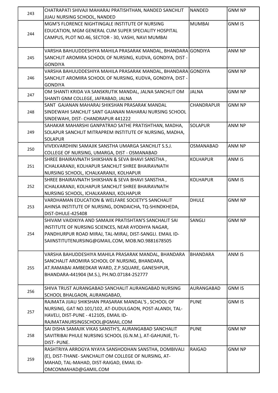| 243 | CHATRAPATI SHIVAJI MAHARAJ PRATISHTHAN, NANDED SANCHLIT                      | <b>NANDED</b>    | <b>GNM NP</b> |
|-----|------------------------------------------------------------------------------|------------------|---------------|
|     | JIJAU NURSING SCHOOL, NANDED                                                 |                  |               |
| 244 | MGM'S FLORENCE NIGHTINGALE INSTITUTE OF NURSING                              | <b>MUMBAI</b>    | <b>GNM IS</b> |
|     | EDUCATION, MGM GENERAL CUM SUPER SPECIALITY HOSPITAL                         |                  |               |
|     | CAMPUS, PLOT NO.46, SECTOR - 30, VASHI, NAVI MUMBAI                          |                  |               |
|     |                                                                              |                  |               |
|     | VARSHA BAHUUDDESHIYA MAHILA PRASARAK MANDAL, BHANDARA GONDIYA                |                  | ANM NP        |
| 245 | SANCHLIT AROMIRA SCHOOL OF NURSING, KUDVA, GONDIYA, DIST -                   |                  |               |
|     | <b>GONDIYA</b>                                                               |                  |               |
|     | VARSHA BAHUUDDESHIYA MAHILA PRASARAK MANDAL, BHANDARA GONDIYA                |                  | <b>GNM NP</b> |
| 246 | SANCHLIT AROMIRA SCHOOL OF NURSING, KUDVA, GONDIYA, DIST -                   |                  |               |
|     | <b>GONDIYA</b>                                                               |                  |               |
| 247 | OM SHANTI KRIDA VA SANSKRUTIK MANDAL, JALNA SANCHLIT OM                      | <b>JALNA</b>     | <b>GNM NP</b> |
|     | SHANTI GNM COLLEGE, JAFRABAD, JALNA                                          |                  |               |
|     | SANT GAJANAN MAHARAJ SHIKSHAN PRASARAK MANDAL                                | CHANDRAPUR       | <b>GNM NP</b> |
| 248 | SINDEWAHI SANCHLIT SANT GAJANAN MAHARAJ NURSING SCHOOL                       |                  |               |
|     | SINDEWAHI, DIST- CHANDRAPUR 441222                                           |                  |               |
|     | SAHAKAR MAHARSHI GANPATRAO SATHE PRATISHTHAN, MADHA,                         | <b>SOLAPUR</b>   | ANM NP        |
| 249 | SOLAPUR SANCHLIT MITRAPREM INSTITUTE OF NURSING, MADHA,                      |                  |               |
|     | <b>SOLAPUR</b>                                                               |                  |               |
| 250 | VIVEKVARDHINI SAMAJIK SANSTHA UMARGA SANCHLIT S.S.J.                         | <b>OSMANABAD</b> | ANM NP        |
|     | COLLEGE OF NURSING, UMARGA, DIST - OSMANABAD                                 |                  |               |
|     | SHREE BHAIRAVNATH SHIKSHAN & SEVA BHAVI SANSTHA,                             | <b>KOLHAPUR</b>  | <b>ANM IS</b> |
| 251 | ICHALKARANJI, KOLHAPUR SANCHLIT SHREE BHAIRAVNATH                            |                  |               |
|     | NURSING SCHOOL, ICHALKARANJI, KOLHAPUR                                       |                  |               |
|     | SHREE BHAIRAVNATH SHIKSHAN & SEVA BHAVI SANSTHA,                             | <b>KOLHAPUR</b>  | <b>GNM IS</b> |
| 252 | ICHALKARANJI, KOLHAPUR SANCHLIT SHREE BHAIRAVNATH                            |                  |               |
|     | NURSING SCHOOL, ICHALKARANJI, KOLHAPUR                                       |                  |               |
|     | VARDHAMAN EDUCATION & WELFARE SOCIETY'S SANCHALIT                            | <b>DHULE</b>     | <b>GNM NP</b> |
| 253 | AHINSA INSTITUTE OF NURSING, DONDAICHA, TQ-SHINDKHEDA,                       |                  |               |
|     | DIST-DHULE-425408<br>SHIVAM VAIDIKIYA AND SAMAJIK PRATISHTAN'S SANCHALIT SAI | SANGLI           | <b>GNM NP</b> |
|     | INSTITUTE OF NURSING SCIENCES, NEAR AYODHYA NAGAR,                           |                  |               |
| 254 | PANDHURPUR ROAD MIRAJ, TAL-MIRAJ, DIST-SANGLI. EMAIL ID-                     |                  |               |
|     | SAIINSTITUTENURSING@GMAIL.COM, MOB.NO.9881678505                             |                  |               |
|     |                                                                              |                  |               |
|     | VARSHA BAHUDDESHIYA MAHILA PRASARAK MANDAL, BHANDARA                         | <b>BHANDARA</b>  | ANM IS        |
|     | SANCHALIT AROMIRA SCHOOL OF NURSING, BHANDARA,                               |                  |               |
| 255 | AT.RAMABAI AMBEDKAR WARD, Z.P.SQUARE, GANESHPUR,                             |                  |               |
|     | BHANDARA-441904 (M.S.), PH.NO.07184-252777                                   |                  |               |
|     |                                                                              |                  |               |
|     | SHIVA TRUST AURANGABAD SANCHALIT AURANGABAD NURSING                          | AURANGABAD       | <b>GNM IS</b> |
| 256 | SCHOOL BHALGAON, AURANGABAD,                                                 |                  |               |
|     | RAJMATA JIJAU SHIKSHAN PRASARAK MANDAL'S, SCHOOL OF                          | <b>PUNE</b>      | <b>GNM IS</b> |
|     | NURSING, GAT NO.101/102, AT-DUDULGAON, POST-ALANDI, TAL-                     |                  |               |
| 257 | HAVELI, DIST-PUNE - 412105, EMAIL ID-                                        |                  |               |
|     | RAJMATANURSINGSCHOOL@GMAIL.COM                                               |                  |               |
|     | SAI DISHA SAMAJIK VIKAS SANSTH'S, AURANGABAD SANCHALIT                       | <b>PUNE</b>      | <b>GNM NP</b> |
| 258 | SAVITRIBAI PHULE NURSING SCHOOL (G.N.M.), AT-GAHUNJE, TL-                    |                  |               |
|     | <b>DIST-PUNE.</b>                                                            |                  |               |
|     | RASHTRIYA ARROGYA NYAYA SANSHODHAN SANSTHA, DOMBIVALI                        | <b>RAIGAD</b>    | <b>GNM NP</b> |
| 259 | (E), DIST-THANE- SANCHALIT OM COLLEGE OF NURSING, AT-                        |                  |               |
|     | MAHAD, TAL-MAHAD, DIST-RAIGAD, EMAIL ID-                                     |                  |               |
|     | OMCONMAHAD@GAMIL.COM                                                         |                  |               |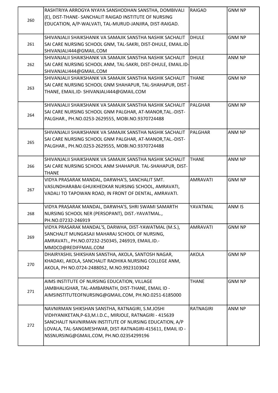|     | RASHTRIYA ARROGYA NYAYA SANSHODHAN SANSTHA, DOMBIVALI         | <b>RAIGAD</b>   | <b>GNM NP</b> |
|-----|---------------------------------------------------------------|-----------------|---------------|
|     | (E), DIST-THANE- SANCHALIT RAIGAD INSTITUTE OF NURSING        |                 |               |
| 260 | EDUCATION, A/P-WALVATI, TAL-MURUD-JANJIRA, DIST-RAIGAD.       |                 |               |
|     |                                                               |                 |               |
|     | SHIVANJALII SHAIKSHANIK VA SAMAJIK SANSTHA NASHIK SACHALIT    | <b>DHULE</b>    | <b>GNM NP</b> |
| 261 | SAI CARE NURSING SCHOOL GNM, TAL-SAKRI, DIST-DHULE, EMAIL.ID- |                 |               |
|     | SHIVANJALI444@GMAIL.COM                                       |                 |               |
|     | SHIVANJALII SHAIKSHANIK VA SAMAJIK SANSTHA NASHIK SACHALIT    | <b>DHULE</b>    | ANM NP        |
| 262 | SAI CARE NURSING SCHOOL ANM, TAL-SAKRI, DIST-DHULE, EMAIL.ID- |                 |               |
|     | SHIVANJALI444@GMAIL.COM                                       |                 |               |
|     | SHIVANJALII SHAIKSHANIK VA SAMAJIK SANSTHA NASHIK SACHALIT    | <b>THANE</b>    | <b>GNM NP</b> |
|     | SAI CARE NURSING SCHOOL GNM SHAHAPUR, TAL-SHAHAPUR, DIST -    |                 |               |
| 263 | THANE, EMAIL.ID- SHIVANJALI444@GMAIL.COM                      |                 |               |
|     |                                                               |                 |               |
|     | SHIVANJALII SHAIKSHANIK VA SAMAJIK SANSTHA NASHIK SACHALIT    | PALGHAR         | <b>GNM NP</b> |
|     | SAI CARE NURSING SCHOOL GNM PALGHAR, AT-MANOR, TAL.-DIST-     |                 |               |
| 264 | PALGHAR., PH.NO.0253-2629555, MOBI.NO.9370724488              |                 |               |
|     |                                                               |                 |               |
|     | SHIVANJALII SHAIKSHANIK VA SAMAJIK SANSTHA NASHIK SACHALIT    | lPALGHAR        | ANM NP        |
|     | SAI CARE NURSING SCHOOL GNM PALGHAR, AT-MANOR, TAL.-DIST-     |                 |               |
| 265 | PALGHAR., PH.NO.0253-2629555, MOBI.NO.9370724488              |                 |               |
|     |                                                               |                 |               |
|     | SHIVANJALII SHAIKSHANIK VA SAMAJIK SANSTHA NASHIK SACHALIT    | <b>THANE</b>    | ANM NP        |
| 266 | SAI CARE NURSING SCHOOL ANM SHAHAPUR. TAL-SHAHAPUR, DIST-     |                 |               |
|     | <b>THANE</b>                                                  |                 |               |
|     | VIDYA PRASARAK MANDAL, DARWHA'S, SANCHALIT SMT.               | <b>AMRAVATI</b> | <b>GNM NP</b> |
|     | VASUNDHARABAI GHUIKHEDKAR NURSING SCHOOL, AMRAVATI,           |                 |               |
| 267 | VADALI TO TAPOWAN ROAD, IN FRONT OF DENTAL, AMRAVATI.         |                 |               |
|     |                                                               |                 |               |
|     | VIDYA PRASARAK MANDAL, DARWHA'S, SHRI SWAMI SAMARTH           | YAVATMAL        | ANM IS        |
| 268 | NURSING SCHOOL NER (PERSOPANT), DIST.-YAVATMAL.,              |                 |               |
|     | PH.NO.07232-246919                                            |                 |               |
|     | VIDYA PRASARAK MANDAL'S, DARWHA, DIST-YAWATMAL (M.S.),        | <b>AMRAVATI</b> | <b>GNM NP</b> |
|     | SANCHALIT MUNGASAJI MAHARAJ SCHOOL OF NURSING,                |                 |               |
| 269 | AMRAVATI., PH.NO.07232-250345, 246919, EMAIL.ID.-             |                 |               |
|     | MMDCD@REDIFFMAIL.COM                                          |                 |               |
|     | DHAIRYASHIL SHIKSHAN SANSTHA, AKOLA, SANTOSH NAGAR,           | <b>AKOLA</b>    | <b>GNM NP</b> |
|     | KHADAKI, AKOLA, SANCHALIT RADHIKA NURSING COLLEGE ANM,        |                 |               |
| 270 | AKOLA, PH NO.0724-2488052, M.NO.9923103042                    |                 |               |
|     |                                                               |                 |               |
|     | AIMS INSTITUTE OF NURSING EDUCATION, VILLAGE                  | <b>THANE</b>    | <b>GNM NP</b> |
|     | JAMBHALIGHAR, TAL-AMBARNATH, DIST-THANE, EMAIL ID -           |                 |               |
| 271 | AIMSINSTITUTEOFNURSING@GMAIL.COM, PH.NO.0251-6185000          |                 |               |
|     |                                                               |                 |               |
|     | NAVNIRMAN SHIKSHAN SANSTHA, RATNAGIRI, S.M.JOSHI              | RATNAGIRI       | ANM NP        |
|     | VIDHYANIKETAN, P-63, M.I.D.C., MIRJOLE, RATNAGIRI - 415639    |                 |               |
|     | SANCHALIT NAVNIRMAN INSTITUTE OF NURSING EDUCATION, A/P       |                 |               |
| 272 | LOVALA, TAL-SANGMESHWAR, DIST-RATNAGIRI-415611, EMAIL ID -    |                 |               |
|     | NSSNURSING@GMAIL.COM, PH.NO.02354299196                       |                 |               |
|     |                                                               |                 |               |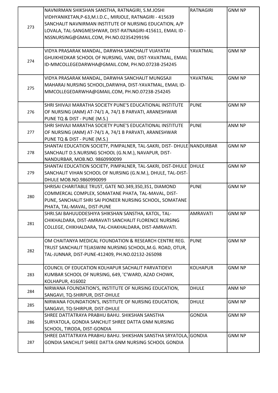|     | NAVNIRMAN SHIKSHAN SANSTHA, RATNAGIRI, S.M.JOSHI<br>VIDHYANIKETAN, P-63, M.I.D.C., MIRJOLE, RATNAGIRI - 415639<br>SANCHALIT NAVNIRMAN INSTITUTE OF NURSING EDUCATION, A/P | <b>RATNAGIRI</b> | <b>GNM NP</b> |
|-----|---------------------------------------------------------------------------------------------------------------------------------------------------------------------------|------------------|---------------|
| 273 | LOVALA, TAL-SANGMESHWAR, DIST-RATNAGIRI-415611, EMAIL ID -<br>NSSNURSING@GMAIL.COM, PH.NO.02354299196                                                                     |                  |               |
|     | VIDYA PRASARAK MANDAL, DARWHA SANCHALIT VIJAYATAI                                                                                                                         | YAVATMAL         | <b>GNM NP</b> |
| 274 | GHUIKHEDKAR SCHOOL OF NURSING, VANI, DIST-YAVATMAL, EMAIL                                                                                                                 |                  |               |
|     | ID-MMCOLLEGEDARWHA@GMAIL.COM, PH.NO.07238-254245                                                                                                                          |                  |               |
|     | VIDYA PRASARAK MANDAL, DARWHA SANCHALIT MUNGSAJI                                                                                                                          | YAVATMAL         | <b>GNM NP</b> |
| 275 | MAHARAJ NURSING SCHOOL, DARWHA, DIST-YAVATMAL, EMAIL ID-                                                                                                                  |                  |               |
|     | MMCOLLEGEDARWHA@GMAIL.COM, PH.NO.07238-254245                                                                                                                             |                  |               |
|     | SHRI SHIVAJI MARATHA SOCIETY PUNE'S EDUCATIONAL INSTITUTE                                                                                                                 | <b>PUNE</b>      | <b>GNM NP</b> |
| 276 | OF NURSING (ANM) AT-74/1 A, 74/1 B PARVATI, ARANESHWAR                                                                                                                    |                  |               |
|     | PUNE TQ & DIST - PUNE (M.S.)                                                                                                                                              |                  |               |
|     | SHRI SHIVAJI MARATHA SOCIETY PUNE'S EDUCATIONAL INSTITUTE                                                                                                                 | <b>PUNE</b>      | ANM NP        |
| 277 | OF NURSING (ANM) AT-74/1 A, 74/1 B PARVATI, ARANESHWAR                                                                                                                    |                  |               |
|     | PUNE TQ & DIST - PUNE (M.S.)                                                                                                                                              |                  |               |
|     | SHANTAI EDUCATION SOCIETY, PIMPALNER, TAL-SAKRI, DIST- DHULE NANDURBAR                                                                                                    |                  | <b>GNM NP</b> |
| 278 | SANCHALIT D.S.NURSING SCHOOL (G.N.M.), NAVAPUR, DIST-                                                                                                                     |                  |               |
|     | NANDURBAR, MOB.NO. 9860990099<br>SHANTAI EDUCATION SOCIETY, PIMPALNER, TAL-SAKRI, DIST-DHULE DHULE                                                                        |                  | <b>GNM NP</b> |
| 279 | SANCHALIT VIHAN SCHOOL OF NURSING (G.N.M.), DHULE, TAL-DIST-                                                                                                              |                  |               |
|     | DHULE MOB.NO.9860990099                                                                                                                                                   |                  |               |
|     | SHRISAI CHARITABLE TRUST, GATE NO.349,350,351, DIAMOND                                                                                                                    | <b>PUNE</b>      | <b>GNM NP</b> |
|     | COMMERCAL COMPLEX, SOMATANE PHATA, TAL-MAVAL, DIST-                                                                                                                       |                  |               |
| 280 | PUNE, SANCHALIT SHRI SAI PIONEER NURSING SCHOOL, SOMATANE                                                                                                                 |                  |               |
|     | PHATA, TAL-MAVAL, DIST-PUNE                                                                                                                                               |                  |               |
|     | SHRI.SAI BAHUUDDESHIYA SHIKSHAN SANSTHA, KATOL, TAL-                                                                                                                      | <b>AMRAVATI</b>  | <b>GNM NP</b> |
| 281 | CHIKHALDARA, DIST-AMRAVATI SANCHALIT FLORENCE NURSING                                                                                                                     |                  |               |
|     | COLLEGE, CHIKHALDARA, TAL-CHAKHALDARA, DIST-AMRAVATI.                                                                                                                     |                  |               |
|     | OM CHAITANYA MEDICAL FOUNDATION & RESEARCH CENTRE REG.                                                                                                                    | Ipune            | <b>GNM NP</b> |
| 282 | TRUST SANCHALIT TEJASWINI NURSING SCHOOL, M.G. ROAD, OTUR,                                                                                                                |                  |               |
|     | TAL-JUNNAR, DIST-PUNE-412409, PH.NO.02132-265098                                                                                                                          |                  |               |
|     | COUNCIL OF EDUCATION KOLHAPUR SACHALIT PARVATIDEVI                                                                                                                        | <b>KOLHAPUR</b>  | <b>GNM NP</b> |
| 283 | KUMBAR SCHOOL OF NURSING, 649, 'C'WARD, AZAD CHOWK,                                                                                                                       |                  |               |
|     | KOLHAPUR, 416002                                                                                                                                                          |                  |               |
| 284 | NIRWANA FOUNDATION'S, INSTITUTE OF NURSING EDUCATION,                                                                                                                     | <b>DHULE</b>     | ANM NP        |
|     | SANGAVI, TQ-SHIRPUR, DIST-DHULE                                                                                                                                           |                  |               |
| 285 | NIRWANA FOUNDATION'S, INSTITUTE OF NURSING EDUCATION,                                                                                                                     | <b>DHULE</b>     | <b>GNM NP</b> |
|     | SANGAVI, TQ-SHIRPUR, DIST-DHULE                                                                                                                                           |                  |               |
|     | SHREE DATTATRAYA PRABHU BAHU. SHIKSHAN SANSTHA                                                                                                                            | <b>GONDIA</b>    | <b>GNM NP</b> |
| 286 | SURYATOLA, GONDIA SANCHLIT SHREE DATTA GNM NURSING<br>SCHOOL, TIRODA, DIST-GONDIA                                                                                         |                  |               |
|     | SHREE DATTATRAYA PRABHU BAHU. SHIKSHAN SANSTHA SRYATOLA, GONDIA                                                                                                           |                  | <b>GNM NP</b> |
| 287 | GONDIA SANCHLIT SHREE DATTA GNM NURSING SCHOOL GONDIA                                                                                                                     |                  |               |
|     |                                                                                                                                                                           |                  |               |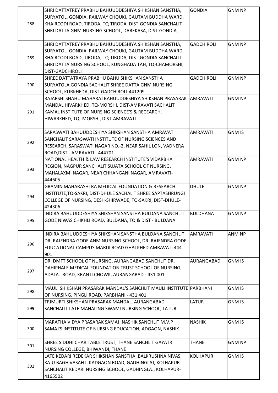| 288 | SHRI DATTATREY PRABHU BAHUUDDESHIYA SHIKSHAN SANSTHA,<br>SURYATOL, GONDIA, RAILWAY CHOUKI, GAUTAM BUDDHA WARD,<br>KHAIRCODI ROAD, TIRODA, TQ-TIRODA, DIST-GONDIA SANCHALIT<br>SHRI DATTA GNM NURSING SCHOOL, DAREKASA, DIST-GONDIA,                            | <b>GONDIA</b>     | <b>GNM NP</b> |
|-----|----------------------------------------------------------------------------------------------------------------------------------------------------------------------------------------------------------------------------------------------------------------|-------------------|---------------|
| 289 | SHRI DATTATREY PRABHU BAHUUDDESHIYA SHIKSHAN SANSTHA,<br>SURYATOL, GONDIA, RAILWAY CHOUKI, GAUTAM BUDDHA WARD,<br>KHAIRCODI ROAD, TIRODA, TQ-TIRODA, DIST-GONDIA SANCHALIT<br>SHRI DATTA NURSING SCHOOL, KUNGHADA TAH, TQ-CHAMORSHI,<br><b>DIST-GADCHIROLI</b> | <b>GADCHIROLI</b> | <b>GNM NP</b> |
| 290 | SHREE DATTATRAYA PRABHU BAHU SHIKSHAN SANSTHA<br>SURYATOLA GONDIA SACHALIT SHREE DATTA GNM NURSING<br>SCHOOL, KURKHEDA, DIST-GADCHIROLI-441209                                                                                                                 | <b>GADCHIROLI</b> | <b>GNM NP</b> |
| 291 | RAJARSHI SHAHU MAHARAJ BAHUUDDESHIYA SHIKSHAN PRASARAK  AMRAVATI<br>MANDAL HIVARKHED, TQ-MORSHI, DIST-AMRAVATI SACHALIT<br>KAMAL INSTITUTE OF NURSING SCIENCE'S & RECEARCH,<br>HIWARKHED, TQ.-MORSHI, DIST-AMRAVATI                                            |                   | <b>GNM NP</b> |
| 292 | SARASWATI BAHUUDDESHIYA SHIKSHAN SANSTHA AMRAVATI<br>SANCHALIT SARASWATI INSTITUTE OF NURSING SCIENCES AND<br>RESEARCH, SARASWATI NAGAR NO.-2, NEAR SAHIL LON, VADNERA<br>ROAD, DIST - AMRAVATI - 444701                                                       | <b>AMRAVATI</b>   | <b>GNM IS</b> |
| 293 | NATIONAL HEALTH & LAW RESEARCH INSTITUTE'S VIDARBHA<br>REGION, NAGPUR SANCHALIT SUJATA SCHOOL OF NURSING,<br>MAHALAXMI NAGAR, NEAR CHHANGANI NAGAR, AMRAVATI-<br>444605                                                                                        | <b>AMRAVATI</b>   | <b>GNM NP</b> |
| 294 | <b>GRAMIN MAHARASHTRA MEDICAL FOUNDATION &amp; RESEARCH</b><br>INSTITUTE,TQ-SAKRI, DIST-DHULE SACHALIT SHREE SAPTASHRUNGI<br>COLLEGE OF NURSING, DESH-SHIRWADE, TQ-SAKRI, DIST-DHULE-<br>424306                                                                | <b>DHULE</b>      | <b>GNM NP</b> |
| 295 | INDIRA BAHUUDDESHIYA SHIKSHAN SANSTHA BULDANA SANCHLIT<br>GODE NIWAS CHIKHLI ROAD, BULDANA, TQ & DIST - BULDANA                                                                                                                                                | <b>BULDHANA</b>   | <b>GNM NP</b> |
| 296 | INDIRA BAHUUDDESHIYA SHIKSHAN SANSTHA BULDANA SANCHLIT<br>DR. RAJENDRA GODE ANM NURSING SCHOOL, DR. RAJENDRA GODE<br>EDUCATIONAL CAMPUS MARDI ROAD GHATKHED AMRAVATI 444<br>901                                                                                | <b>AMRAVATI</b>   | ANM NP        |
| 297 | DR. DMFT SCHOOL OF NURSING, AURANGABAD SANCHLIT DR.<br>DAHIPHALE MEDICAL FOUNDATION TRUST SCHOOL OF NURSING,<br>ADALAT ROAD, KRANTI CHOWK, AURANGABAD - 431 001                                                                                                | AURANGABAD        | <b>GNM IS</b> |
| 298 | MAULI SHIKSHAN PRASARAK MANDAL'S SANCHLIT MAULI INSTITUTE PARBHANI<br>OF NURSING, PINGLI ROAD, PARBHANI - 431 401                                                                                                                                              |                   | <b>GNM IS</b> |
| 299 | TRIMURTI SHIKSHAN PRASARAK MANDAL, AURANGABAD<br>SANCHALIT LATE MAHALING SWAMI NURSING SCHOOL, LATUR                                                                                                                                                           | LATUR             | <b>GNM IS</b> |
| 300 | MARATHA VIDYA PRASARAK SAMAJ, NASHIK SANCHLIT M.V.P<br>SAMAJ'S INSTITUTE OF NURSING EDUCATION, ADGAON, NASHIK                                                                                                                                                  | <b>NASHIK</b>     | <b>GNM IS</b> |
| 301 | SHREE SIDDHI CHARITABLE TRUST, THANE SANCHLIT GAYATRI<br>NURSING COLLEGE, BHIWANDI, THANE                                                                                                                                                                      | <b>THANE</b>      | <b>GNM NP</b> |
| 302 | LATE KEDARI REDEKAR SHIKSHAN SANSTHA, BALKRUSHNA NIVAS,<br>KAJU BAGH VASAHT, KADGAON ROAD, GADHINGLAJ, KOLHAPUR<br>SANCHALIT KEDARI NURSING SCHOOL, GADHINGLAJ, KOLHAPUR-<br>4165502                                                                           | <b>KOLHAPUR</b>   | <b>GNM IS</b> |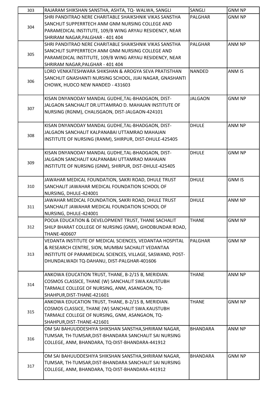| 303 | RAJARAM SHIKSHAN SANSTHA, ASHTA, TQ- WALWA, SANGLI         | SANGLI          | <b>GNM NP</b> |
|-----|------------------------------------------------------------|-----------------|---------------|
|     | SHRI PANDITRAO NERE CHARITABLE SHAIKSHNIK VIKAS SANSTHA    | <b>PALGHAR</b>  | <b>GNM NP</b> |
|     | SANCHLIT SUPPERRTECH ANM GNM NURSING COLLEGE AND           |                 |               |
| 304 | PARAMEDICAL INSTITUTE, 109/B WING ARYAU RESIDENCY, NEAR    |                 |               |
|     | SHRIRAM NAGAR, PALGHAR - 401 404                           |                 |               |
|     | SHRI PANDITRAO NERE CHARITABLE SHAIKSHNIK VIKAS SANSTHA    | PALGHAR         | ANM NP        |
|     | SANCHLIT SUPPERRTECH ANM GNM NURSING COLLEGE AND           |                 |               |
| 305 |                                                            |                 |               |
|     | PARAMEDICAL INSTITUTE, 109/B WING ARYAU RESIDENCY, NEAR    |                 |               |
|     | SHRIRAM NAGAR, PALGHAR - 401 404                           |                 |               |
|     | LORD VENKATESHWARA SHIKSHAN & AROGYA SEVA PRATISTHAN       | <b>NANDED</b>   | ANM IS        |
| 306 | SANCHLIT GNASHANTI NURSING SCHOOL, JIJAI NAGAR, GNASHANTI  |                 |               |
|     | CHOWK, HUDCO NEW NANDED - 431603                           |                 |               |
|     |                                                            |                 |               |
|     | KISAN DNYANODAY MANDAL GUDHE, TAL-BHADGAON, DIST-          | <b>JALGAON</b>  | <b>GNM NP</b> |
| 307 | JALGAON SANCHALIT DR.UTTAMRAO D. MAHAJAN INSTITUTE OF      |                 |               |
|     | NURSING (RGNM), CHALISGAON, DIST-JALGAON-424101            |                 |               |
|     |                                                            |                 |               |
|     | KISAN DNYANODAY MANDAL GUDHE, TAL-BHADGAON, DIST-          | <b>DHULE</b>    | ANM NP        |
|     | JALGAON SANCHALIT KALPANABAI UTTAMRAO MAHAJAN              |                 |               |
| 308 | INSTITUTE OF NURSING (RANM), SHIRPUR, DIST-DHULE-425405    |                 |               |
|     |                                                            |                 |               |
|     | KISAN DNYANODAY MANDAL GUDHE, TAL-BHADGAON, DIST-          | <b>DHULE</b>    | <b>GNM NP</b> |
|     | JALGAON SANCHALIT KALPANABAI UTTAMRAO MAHAJAN              |                 |               |
| 309 | INSTITUTE OF NURSING (GNM), SHIRPUR, DIST-DHULE-425405     |                 |               |
|     |                                                            |                 |               |
|     | JAWAHAR MEDICAL FOUNDATION, SAKRI ROAD, DHULE TRUST        | <b>DHULE</b>    | <b>GNM IS</b> |
| 310 | SANCHALIT JAWAHAR MEDICAL FOUNDATION SCHOOL OF             |                 |               |
|     | NURSING, DHULE-424001                                      |                 |               |
|     |                                                            | <b>DHULE</b>    | <b>ANM NP</b> |
|     | JAWAHAR MEDICAL FOUNDATION, SAKRI ROAD, DHULE TRUST        |                 |               |
| 311 | SANCHALIT JAWAHAR MEDICAL FOUNDATION SCHOOL OF             |                 |               |
|     | NURSING, DHULE-424001                                      |                 |               |
|     | POOJA EDUCATION & DEVELOPMENT TRUST, THANE SACHALIT        | <b>THANE</b>    | <b>GNM NP</b> |
| 312 | SHILP BHARAT COLLEGE OF NURSING (GNM), GHODBUNDAR ROAD,    |                 |               |
|     | THANE-400607                                               |                 |               |
|     | VEDANTA INSTITUTE OF MEDICAL SCIENCES, VEDANTAA HOSPITAL   | <b>PALGHAR</b>  | <b>GNM NP</b> |
|     | & RESEARCH CENTRE, SION, MUMBAI SACHALIT VEDANTAA          |                 |               |
| 313 | INSTITUTE OF PARAMEDICAL SCIENCES, VILLAGE, SASWAND, POST- |                 |               |
|     | DHUNDALWADI TQ-DAHANU, DIST-PALGHAR-401606                 |                 |               |
|     |                                                            |                 |               |
|     | ANKOWA EDUCATION TRUST, THANE, B-2/15 B, MERIDIAN.         | <b>THANE</b>    | ANM NP        |
|     | COSMOS CLASSICE, THANE (W) SANCHALIT SWA.KAUSTUBH          |                 |               |
| 314 | TARMALE COLLEGE OF NURSING, ANM, ASANGAON, TQ-             |                 |               |
|     | SHAHPUR, DIST-THANE-421601                                 |                 |               |
|     | ANKOWA EDUCATION TRUST, THANE, B-2/15 B, MERIDIAN.         | <b>THANE</b>    | <b>GNM NP</b> |
|     | COSMOS CLASSICE, THANE (W) SANCHALIT SWA.KAUSTUBH          |                 |               |
| 315 | TARMALE COLLEGE OF NURSING, GNM, ASANGAON, TQ-             |                 |               |
|     | SHAHPUR, DIST-THANE-421601                                 |                 |               |
|     | OM SAI BAHUUDDESHIYA SHIKSHAN SANSTHA, SHRIRAM NAGAR,      | <b>BHANDARA</b> | ANM NP        |
| 316 | TUMSAR, TH-TUMSAR, DIST-BHANDARA SANCHALIT SAI NURSING     |                 |               |
|     |                                                            |                 |               |
|     | COLLEGE, ANM, BHANDARA, TQ-DIST-BHANDARA-441912            |                 |               |
|     |                                                            |                 |               |
|     | OM SAI BAHUUDDESHIYA SHIKSHAN SANSTHA, SHRIRAM NAGAR,      | <b>BHANDARA</b> | <b>GNM NP</b> |
| 317 | TUMSAR, TH-TUMSAR, DIST-BHANDARA SANCHALIT SAI NURSING     |                 |               |
|     | COLLEGE, ANM, BHANDARA, TQ-DIST-BHANDARA-441912            |                 |               |
|     |                                                            |                 |               |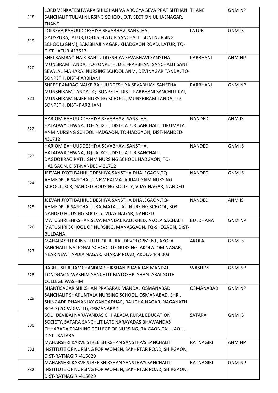| 318 | LORD VENKATESHWARA SHIKSHAN VA AROGYA SEVA PRATISHTHAN THANE<br>SANCHALIT TULJAI NURSING SCHOOL, O.T. SECTION ULHASNAGAR, |                 | <b>GNM NP</b> |
|-----|---------------------------------------------------------------------------------------------------------------------------|-----------------|---------------|
|     | <b>THANE</b>                                                                                                              |                 |               |
| 319 | LOKSEVA BAHUUDDESHIYA SEVABHAVI SANSTHA,                                                                                  | <b>LATUR</b>    | <b>GNM IS</b> |
|     | GAUSPURA, LATUR, TQ-DIST-LATUR SANCHALIT SONI NURSING                                                                     |                 |               |
|     | SCHOOL, (GNM), SAMBHAJI NAGAR, KHADGAON ROAD, LATUR, TQ-                                                                  |                 |               |
|     | DIST-LATUR-413512                                                                                                         |                 |               |
|     | SHRI RAMRAO NAIK BAHUUDDESHIYA SEVABHAVI SANSTHA                                                                          | PARBHANI        | ANM NP        |
| 320 | MUNSIRAM TANDA, TQ-SONPETH, DIST-PARBHANI SANCHALIT SANT                                                                  |                 |               |
|     | SEVALAL MAHARAJ NURSING SCHOOL ANM, DEVINAGAR TANDA, TQ-                                                                  |                 |               |
|     | SONPETH, DIST-PARBHANI                                                                                                    |                 |               |
|     | SHREE RAMRAO NAIKE BAHUUDDESHIYA SEVABHAVI SANSTHA                                                                        | PARBHANI        | <b>GNM NP</b> |
|     | MUNSHIRAM TANDA TQ-SONPETH, DIST-PARBHANI SANCHLIT KAI,                                                                   |                 |               |
| 321 | MUNSHIRAM NAIKE NURSING SCHOOL, MUNSHIRAM TANDA, TQ-                                                                      |                 |               |
|     | SONPETH, DIST- PARBHANI                                                                                                   |                 |               |
|     | HARIOM BAHUUDDESHIYA SEVABHAVI SANSTHA,                                                                                   | <b>NANDED</b>   | ANM IS        |
| 322 | HALADWADHWNA, TQ-JALKOT, DIST-LATUR SANCHALIT TIRUMALA                                                                    |                 |               |
|     | ANM NURSING SCHOOL HADGAON, TQ-HADGAON, DIST-NANDED-                                                                      |                 |               |
|     | 431712                                                                                                                    |                 |               |
|     | HARIOM BAHUUDDESHIYA SEVABHAVI SANSTHA,                                                                                   | <b>NANDED</b>   | <b>GNM IS</b> |
| 323 | HALADWADHWNA, TQ-JALKOT, DIST-LATUR SANCHALIT                                                                             |                 |               |
|     | DAGDOJIRAO PATIL GNM NURSING SCHOOL HADGAON, TQ-                                                                          |                 |               |
|     | HADGAON, DIST-NANDED-431712                                                                                               |                 |               |
|     | JEEVAN JYOTI BAHHUDDESHIYA SANSTHA DHALEGAON, TQ-                                                                         | <b>NANDED</b>   | <b>GNM IS</b> |
| 324 | AHMEDPUR SANCHALIT NEW RAJMATA JIJAU GNM NURSING                                                                          |                 |               |
|     | SCHOOL, 303, NANDED HOUSING SOCIETY, VIJAY NAGAR, NANDED                                                                  |                 |               |
|     | JEEVAN JYOTI BAHHUDDESHIYA SANSTHA DHALEGAON, TQ-                                                                         | <b>NANDED</b>   | ANM IS        |
| 325 | AHMEDPUR SANCHALIT RAJMATA JIJAU NURSING SCHOOL, 303,                                                                     |                 |               |
|     | NANDED HOUSING SOCIETY, VIJAY NAGAR, NANDED                                                                               |                 |               |
|     | MATUSHRI SHIKSHAN SEVA MANDAL KAULKHED, AKOLA SACHALIT                                                                    | <b>BULDHANA</b> | <b>GNM NP</b> |
| 326 | MATUSHRI SCHOOL OF NURSING, MANASGAON, TQ-SHEGAON, DIST-                                                                  |                 |               |
|     | BULDANA.                                                                                                                  |                 |               |
|     | MAHARASHTRA INSTITUTE OF RURAL DEVOLOPMENT, AKOLA                                                                         | <b>AKOLA</b>    | <b>GNM IS</b> |
|     | SANCHALIT NATIONAL SCHOOL OF NURSING, AKOLA. OM NAGAR,                                                                    |                 |               |
| 327 | NEAR NEW TAPDIA NAGAR, KHARAP ROAD, AKOLA-444 003                                                                         |                 |               |
|     | RABHU SHRI RAMCHANDRA SHIKSHAN PRASARAK MANDAL                                                                            | <b>WASHIM</b>   | <b>GNM NP</b> |
| 328 | TONDGAON WASHIM, SANCHLIT MATOSHRI SHANTABAI GOTE                                                                         |                 |               |
|     | <b>COLLEGE WASHIM</b>                                                                                                     |                 |               |
|     | SHANTISAGAR SHIKSHAN PRASARAK MANDAL, OSMANABAD                                                                           | OSMANABAD       | <b>GNM NP</b> |
|     | SANCHALIT SHAKUNTALA NURSING SCHOOL, OSMANABAD, SHRI.                                                                     |                 |               |
| 329 | SHINGADE DHANANJAY GANGADHAR, BAUDHA NAGAR, NAGANATH                                                                      |                 |               |
|     | ROAD (ZOPADPATTI), OSMANABAD                                                                                              |                 |               |
|     | SOU. DEVIBAI NARAYANDAS CHHABADA RURAL EDUCATION                                                                          | <b>SATARA</b>   | <b>GNM IS</b> |
|     | SOCIETY, SATARA SANCHLIT LATE NARAYADAS BHAWANDAS                                                                         |                 |               |
| 330 | CHHABADA TRAINING COLLEGE OF NURSING, RAIGAON TAL-JAOLI,                                                                  |                 |               |
|     | <b>DIST - SATARA</b>                                                                                                      |                 |               |
|     | MAHARSHRI KARVE STREE SHIKSHAN SANSTHA'S SANCHALIT                                                                        | RATNAGIRI       | ANM NP        |
| 331 | INSTITUTE OF NURSING FOR WOMEN, SAKHRTAR ROAD, SHIRGAON,                                                                  |                 |               |
|     | DIST-RATNAGIRI-415629                                                                                                     |                 |               |
|     | MAHARSHRI KARVE STREE SHIKSHAN SANSTHA'S SANCHALIT                                                                        | RATNAGIRI       | <b>GNM NP</b> |
| 332 | INSTITUTE OF NURSING FOR WOMEN, SAKHRTAR ROAD, SHIRGAON,                                                                  |                 |               |
|     | DIST-RATNAGIRI-415629                                                                                                     |                 |               |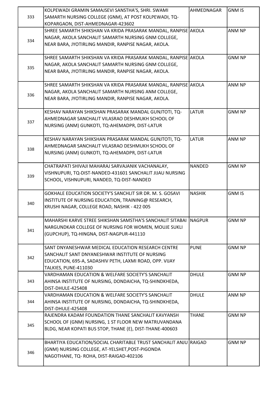|     | KOLPEWADI GRAMIN SAMAJSEVI SANSTHA'S, SHRI. SWAMI                | AHMEDNAGAR    | <b>GNM IS</b> |
|-----|------------------------------------------------------------------|---------------|---------------|
| 333 | SAMARTH NURSING COLLEGE (GNM), AT POST KOLPEWADI, TQ-            |               |               |
|     | KOPARGAON, DIST-AHMEDNAGAR-423602                                |               |               |
|     | SHREE SAMARTH SHIKSHAN VA KRIDA PRASARAK MANDAL, RANPISE AKOLA   |               | ANM NP        |
|     | NAGAR, AKOLA SANCHALIT SAMARTH NURSING GNM COLLEGE,              |               |               |
| 334 | NEAR BARA, JYOTIRLING MANDIR, RANPISE NAGAR, AKOLA.              |               |               |
|     |                                                                  |               |               |
|     | SHREE SAMARTH SHIKSHAN VA KRIDA PRASARAK MANDAL, RANPISE AKOLA   |               | <b>GNM NP</b> |
|     | NAGAR, AKOLA SANCHALIT SAMARTH NURSING GNM COLLEGE,              |               |               |
| 335 | NEAR BARA, JYOTIRLING MANDIR, RANPISE NAGAR, AKOLA.              |               |               |
|     |                                                                  |               |               |
|     | SHREE SAMARTH SHIKSHAN VA KRIDA PRASARAK MANDAL, RANPISE AKOLA   |               | ANM NP        |
|     | NAGAR, AKOLA SANCHALIT SAMARTH NURSING ANM COLLEGE,              |               |               |
| 336 | NEAR BARA, JYOTIRLING MANDIR, RANPISE NAGAR, AKOLA.              |               |               |
|     |                                                                  |               |               |
|     | KESHAV NARAYAN SHIKSHAN PRASARAK MANDAL GUNJTOTI, TQ-            | <b>LATUR</b>  | <b>GNM NP</b> |
|     | AHMEDNAGAR SANCHALIT VILASRAO DESHMUKH SCHOOL OF                 |               |               |
| 337 | NURSING (ANM) GUNKOTI, TQ-AHEMADPR, DIST-LATUR                   |               |               |
|     |                                                                  |               |               |
|     | KESHAV NARAYAN SHIKSHAN PRASARAK MANDAL GUNJTOTI, TQ-            | <b>LATUR</b>  | ANM NP        |
|     | AHMEDNAGAR SANCHALIT VILASRAO DESHMUKH SCHOOL OF                 |               |               |
| 338 | NURSING (ANM) GUNKOTI, TQ-AHEMADPR, DIST-LATUR                   |               |               |
|     |                                                                  |               |               |
|     | CHATRAPATI SHIVAJI MAHARAJ SARVAJANIK VACHANALAY,                | <b>NANDED</b> | <b>GNM NP</b> |
|     | VISHNUPURI, TQ-DIST-NANDED-431601 SANCHALIT JIJAU NURSING        |               |               |
| 339 | SCHOOL, VISHNUPURI, NANDED, TQ-DIST-NANDED                       |               |               |
|     |                                                                  |               |               |
|     | GOKHALE EDUCATION SOCIETY'S SANCHLIT SIR DR. M. S. GOSAVI        | <b>NASHIK</b> | <b>GNM IS</b> |
|     | INSTITUTE OF NURSING EDUCATION, TRAINING@ RESEARCH,              |               |               |
| 340 | KRUSHI NAGAR, COLLEGE ROAD, NASHIK - 422 005                     |               |               |
|     |                                                                  |               |               |
|     | MAHARSHI KARVE STREE SHIKSHAN SAMSTHA'S SANCHALIT SITABAI        | <b>NAGPUR</b> | <b>GNM NP</b> |
|     | NARGUNDKAR COLLEGE OF NURSING FOR WOMEN, MOUJE SUKLI             |               |               |
| 341 | (GUPCHUP), TQ-HINGNA, DIST-NAGPUR-441110                         |               |               |
|     |                                                                  |               |               |
|     | SANT DNYANESHWAR MEDICAL EDUCATION RESEARCH CENTRE               | <b>PUNE</b>   | <b>GNM NP</b> |
|     | SANCHALIT SANT DNYANESHWAR INSTITUTE OF NURSING                  |               |               |
| 342 | EDUCATION, 695-A, SADASHIV PETH, LAXMI ROAD, OPP. VIJAY          |               |               |
|     | TALKIES, PUNE-411030                                             |               |               |
|     | VARDHAMAN EDUCATION & WELFARE SOCIETY'S SANCHALIT                | <b>DHULE</b>  | <b>GNM NP</b> |
| 343 | AHINSA INSTITUTE OF NURSING, DONDAICHA, TQ-SHINDKHEDA,           |               |               |
|     | DIST-DHULE-425408                                                |               |               |
|     | VARDHAMAN EDUCATION & WELFARE SOCIETY'S SANCHALIT                | <b>DHULE</b>  | ANM NP        |
| 344 | AHINSA INSTITUTE OF NURSING, DONDAICHA, TQ-SHINDKHEDA,           |               |               |
|     | DIST-DHULE-425408                                                |               |               |
|     | RAJENDRA KADAM FOUNDATION THANE SANCHALIT KAVYANSH               | <b>THANE</b>  | <b>GNM NP</b> |
|     | SCHOOL OF (GNM) NURSING, 1 ST FLOOR NEW MATRUVANDANA             |               |               |
| 345 | BLDG, NEAR KOPATI BUS STOP, THANE (E), DIST-THANE-400603         |               |               |
|     |                                                                  |               |               |
|     | BHARTIYA EDUCATION/SOCIAL CHARITABLE TRUST SANCHALIT ANJU RAIGAD |               | <b>GNM NP</b> |
|     | (GNM) NURSING COLLEGE, AT-YELSHET, POST-PIGONDA                  |               |               |
| 346 | NAGOTHANE, TQ-ROHA, DIST-RAIGAD-402106                           |               |               |
|     |                                                                  |               |               |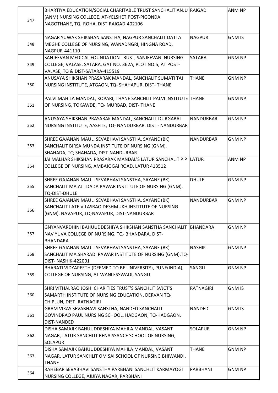| 347 | BHARTIYA EDUCATION/SOCIAL CHARITABLE TRUST SANCHALIT ANJU RAIGAD<br>(ANM) NURSING COLLEGE, AT-YELSHET, POST-PIGONDA<br>NAGOTHANE, TQ-ROHA, DIST-RAIGAD-402106 |                  | <b>ANM NP</b> |
|-----|---------------------------------------------------------------------------------------------------------------------------------------------------------------|------------------|---------------|
| 348 | NAGAR YUWAK SHIKSHAN SANSTHA, NAGPUR SANCHALIT DATTA<br>MEGHE COLLEGE OF NURSING, WANADNGRI, HINGNA ROAD,<br>NAGPUR-441110                                    | <b>NAGPUR</b>    | <b>GNM IS</b> |
| 349 | SANJEEVAN MEDICAL FOUNDATION TRUST, SANJEEVANI NURSING<br>COLLEGE, VALASE, SATARA, GAT NO. 362A, PLOT NO.5, AT POST-<br>VALASE, TQ & DIST-SATARA-415519       | <b>SATARA</b>    | <b>GNM NP</b> |
| 350 | ANUSAYA SHIKSHAN PRASARAK MANDAL, SANCHALIT SUMATI TAI<br>NURSING INSTITUTE, ATGAON, TQ-SHAHAPUR, DIST-THANE                                                  | <b>THANE</b>     | <b>GNM NP</b> |
| 351 | PALVI MAHILA MANDAL, KOPARI, THANE SANCHLIT PALVI INSTITUTE THANE<br>OF NURSING, TOKAWDE, TQ- MURBAD, DIST- THANE                                             |                  | <b>GNM NP</b> |
| 352 | ANUSAYA SHIKSHAN PRASARAK MANDAL, SANCHALIT DURGABAI<br>NURSING INSTITUTE, AASHTE, TQ- NANDURBAR, DIST - NANDURBAR                                            | <b>NANDURBAR</b> | <b>GNM NP</b> |
| 353 | SHREE GAJANAN MAULI SEVABHAVI SANSTHA, SAYANE (BK)<br>SANCHALIT BIRSA MUNDA INSTITUTE OF NURSING (GNM),<br>SHAHADA, TQ-SHAHADA, DIST-NANDURBAR                | <b>NANDURBAR</b> | <b>GNM NP</b> |
| 354 | JAI MALHAR SHIKSHAN PRASARAK MANDAL'S LATUR SANCHALIT P P<br>COLLEGE OF NURSING, AMBAJOGAI ROAD, LATUR 413512                                                 | <b>ILATUR</b>    | ANM NP        |
| 355 | SHREE GAJANAN MAULI SEVABHAVI SANSTHA, SAYANE (BK)<br>SANCHALIT MA.AJITDADA PAWAR INSTITUTE OF NURSING (GNM),<br>TQ-DIST-DHULE                                | <b>DHULE</b>     | <b>GNM NP</b> |
| 356 | SHREE GAJANAN MAULI SEVABHAVI SANSTHA, SAYANE (BK)<br>SANCHALIT LATE VILASRAO DESHMUKH INSTITUTE OF NURSING<br>(GNM), NAVAPUR, TQ-NAVAPUR, DIST-NANDURBAR     | <b>NANDURBAR</b> | <b>GNM NP</b> |
| 357 | GNYANVARDHINI BAHUUDDESHIYA SHIKSHAN SANSTHA SANCHALIT<br>NAV YUVA COLLEGE OF NURSING, TQ- BHANDARA, DIST-<br><b>BHANDARA</b>                                 | <b>IBHANDARA</b> | <b>GNM NP</b> |
| 358 | SHREE GAJANAN MAULI SEVABHAVI SANSTHA, SAYANE (BK)<br>SANCHALIT MA.SHARADI PAWAR INSTITUTE OF NURSING (GNM), TQ-<br>DIST-NASHIK-422001                        | <b>NASHIK</b>    | <b>GNM NP</b> |
| 359 | BHARATI VIDYAPEETH (DEEMED TO BE UNIVERSITY), PUNE(INDIA),<br>COLLEGE OF NURSING, AT WANLESSWADI, SANGLI                                                      | SANGLI           | <b>GNM NP</b> |
| 360 | SHRI VITHALRAO JOSHI CHARITIES TRUST'S SANCHLIT SVJCT'S<br>SAMARTH INSTITUTE OF NURSING EDUCATION, DERVAN TQ-<br>CHIPLUN, DIST-RATNAGIRI                      | <b>RATNAGIRI</b> | <b>GNM IS</b> |
| 361 | GRAM VIKAS SEVABHAVI SANSTHA, NANDED SANCHALIT<br>GOVINDRAO PAUL NURSING SCHOOL, HADGAON, TQ-HADGAON,<br>DIST-NANDED                                          | <b>NANDED</b>    | <b>GNM IS</b> |
| 362 | DISHA SAMAJIK BAHUUDDESHIYA MAHILA MANDAL, VASANT<br>NAGAR, LATUR SANCHLIT RENAISSANCE SCHOOL OF NURSING,<br><b>SOLAPUR</b>                                   | <b>SOLAPUR</b>   | <b>GNM NP</b> |
| 363 | DISHA SAMAJIK BAHUUDDESHIYA MAHILA MANDAL, VASANT<br>NAGAR, LATUR SANCHLIT OM SAI SCHOOL OF NURSING BHIWANDI,<br><b>THANE</b>                                 | <b>THANE</b>     | <b>GNM NP</b> |
| 364 | RAHEBAR SEVABHAVI SANSTHA PARBHANI SANCHLIT KARMAYOGI<br>NURSING COLLEGE, AJIJIYA NAGAR, PARBHANI                                                             | PARBHANI         | <b>GNM NP</b> |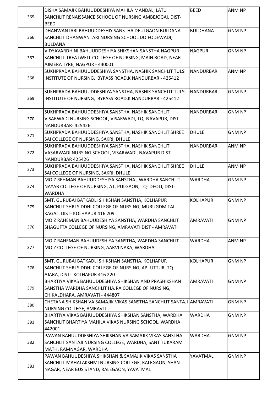|     | DISHA SAMAJIK BAHUUDDESHIYA MAHILA MANDAL, LATU                     | <b>BEED</b>      | ANM NP        |
|-----|---------------------------------------------------------------------|------------------|---------------|
| 365 | SANCHLIT RENAISSANCE SCHOOL OF NURSING AMBEJOGAI, DIST-             |                  |               |
|     | <b>BEED</b>                                                         |                  |               |
|     | DHANWANTARI BAHUUDDESHIY SANSTHA DEULGAON BULDANA                   | <b>BULDHANA</b>  | <b>GNM NP</b> |
| 366 | SANCHLIT DHANWANTARI NURSING SCHOOL DOIFODEWADI,                    |                  |               |
|     | BULDANA                                                             |                  |               |
|     |                                                                     |                  |               |
|     | VIDYAVARDHINI BAHUUDDESHIYA SHIKSHAN SANSTHA NAGPUR                 | <b>NAGPUR</b>    | <b>GNM NP</b> |
| 367 | SANCHLIT TREATWELL COLLEGE OF NURSING, MAIN ROAD, NEAR              |                  |               |
|     | AJMERA TYRE, NAGPUR - 440001                                        |                  |               |
|     | SUKHPRADA BAHUUUDDESHIYA SANSTHA, NASHIK SANCHLIT TULSI             | <b>NANDURBAR</b> | ANM NP        |
| 368 | INSTITUTE OF NURSING, BYPASS ROAD, K NANDURBAR - 425412             |                  |               |
|     |                                                                     |                  |               |
|     | SUKHPRADA BAHUUUDDESHIYA SANSTHA, NASHIK SANCHLIT TULSI             | NANDURBAR        | <b>GNM NP</b> |
| 369 | INSTITUTE OF NURSING, BYPASS ROAD, K NANDURBAR - 425412             |                  |               |
|     |                                                                     |                  |               |
|     | SUKHPRADA BAHUUDDESHIYA SANSTHA, NASHIK SANCHLIT                    | <b>NANDURBAR</b> | <b>GNM NP</b> |
| 370 | VISARWADI NURSING SCHOOL, VISARWADI, TQ- NAVAPUR, DIST-             |                  |               |
|     | NANDURBAR-425426                                                    |                  |               |
|     | SUKHPRADA BAHUUDDESHIYA SANSTHA, NASHIK SANCHLIT SHREE              | <b>DHULE</b>     | <b>GNM NP</b> |
| 371 | SAI COLLEGE OF NURSING, SAKRI, DHULE                                |                  |               |
|     | SUKHPRADA BAHUUDDESHIYA SANSTHA, NASHIK SANCHLIT                    | <b>NANDURBAR</b> | ANM NP        |
| 372 | VASARWADI NURSING SCHOOL, VISARWADI, NAVAPUR DIST-                  |                  |               |
|     | NANDURBAR 425426                                                    |                  |               |
|     | SUKHPRADA BAHUUDDESHIYA SANSTHA, NASHIK SANCHLIT SHREE              | <b>DHULE</b>     | ANM NP        |
| 373 | SAI COLLEGE OF NURSING, SAKRI, DHULE                                |                  |               |
|     | MOIZ REHMAN BAHUUDDESHIYA SANSTHA, WARDHA SANCHLIT                  | <b>WARDHA</b>    | <b>GNM NP</b> |
| 374 | NAYAB COLLEGE OF NURSING, AT, PULGAON, TQ- DEOLI, DIST-             |                  |               |
|     | <b>WARDHA</b>                                                       |                  |               |
|     |                                                                     |                  |               |
|     | SMT. GURUBAI BATKADLI SHIKSHAN SANSTHA, KOLHAPUR                    | <b>KOLHAPUR</b>  | <b>GNM NP</b> |
| 375 | SANCHLIT SHRI SIDDHI COLLEGE OF NURSING, MURUGDM TAL-               |                  |               |
|     | KAGAL, DIST-KOLHAPUR 416 209                                        |                  |               |
|     | MOIZ RAHEMAN BAHUUDESHIYA SANSTHA, WARDHA SANCHLIT                  | <b>AMRAVATI</b>  | <b>GNM NP</b> |
| 376 | SHAGUFTA COLLEGE OF NURSING, AMRAVATI DIST - AMRAVATI               |                  |               |
|     |                                                                     |                  |               |
|     | MOIZ RAHEMAN BAHUUDESHIYA SANSTHA, WARDHA SANCHLIT                  | <b>WARDHA</b>    | ANM NP        |
| 377 | MOIZ COLLEGE OF NURSING, AARVI NAKA, WARDHA                         |                  |               |
|     |                                                                     |                  |               |
|     | SMT. GURUBAI BATKADLI SHIKSHAN SANSTHA, KOLHAPUR                    | <b>KOLHAPUR</b>  | <b>GNM NP</b> |
| 378 | SANCHLIT SHRI SIDDHI COLLEGE OF NURSING, AP- UTTUR, TQ-             |                  |               |
|     | AJARA, DIST- KOLHAPUR 416 220                                       |                  |               |
|     | BHARTIYA VIKAS BAHUUDDESHIYA SHIKSHAN AND PRASHIKSHAN               | <b>AMRAVATI</b>  | <b>GNM NP</b> |
| 379 | SANSTHA WARDHA SANCHLIT HAJRA COLLEGE OF NURSING,                   |                  |               |
|     | CHIKALDHARA, AMRAVATI - 444807                                      |                  |               |
|     | CHETANA SHIKSHAN VA SAMAJIK VIKAS SANSTHA SANCHLIT SANTAJI AMRAVATI |                  | <b>GNM NP</b> |
| 380 | NURSING COLLEGE, AMRAVTI                                            |                  |               |
|     | BHARTIYA VIKAS BAHUUDDESHIYA SHIKSHAN SANSTHA, WARDHA               | <b>WARDHA</b>    | <b>GNM NP</b> |
| 381 | SANCHLIT BHARTIYA MAHILA VIKAS NURSING SCHOOL, WARDHA               |                  |               |
|     | 442001                                                              |                  |               |
|     | PAWAN BAHUUDDESHIYA SHIKSHAN VA SAMAJIK VIKAS SANSTHA               | <b>WARDHA</b>    | <b>GNM NP</b> |
| 382 |                                                                     |                  |               |
|     | SANCHLIT SANTAJI NURSING COLLEGE, WARDHA, SANT TUKARAM              |                  |               |
|     | MATH, RAMNAGAR, WARDHA                                              |                  |               |
|     | PAWAN BAHUUDESHIYA SHIKSHAN & SAMAJIK VIKAS SANSTHA                 | YAVATMAL         | <b>GNM NP</b> |
| 383 | SANCHLIT MAHALAKSHMI NURSING COLLEGE, RALEGAON, SHANTI              |                  |               |
|     | NAGAR, NEAR BUS STAND, RALEGAON, YAVATMAL                           |                  |               |
|     |                                                                     |                  |               |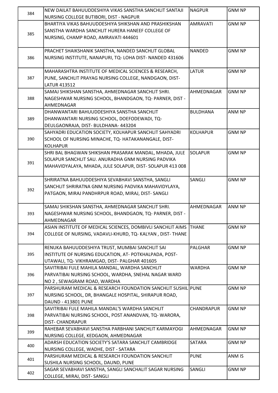|     | NEW DAILAT BAHUUDDESHIYA VIKAS SANSTHA SANCHLIT SANTAJI                                         | <b>NAGPUR</b>   | <b>GNM NP</b> |
|-----|-------------------------------------------------------------------------------------------------|-----------------|---------------|
| 384 | NURSING COLLEGE BUTIBORI, DIST - NAGPUR                                                         |                 |               |
|     | BHARTIYA VIKAS BAHUUDDESHIYA SHIKSHAN AND PRASHIKSHAN                                           | <b>AMRAVATI</b> | <b>GNM NP</b> |
|     | SANSTHA WARDHA SANCHLIT HURERA HANEEF COLLEGE OF                                                |                 |               |
| 385 | NURSING, CHAMP ROAD, AMRAVATI 444601                                                            |                 |               |
|     |                                                                                                 |                 |               |
|     | PRACHET SHAIKSHANIK SANSTHA, NANDED SANCHLIT GLOBAL                                             | <b>NANDED</b>   | <b>GNM NP</b> |
| 386 | NURSING INSTITUTE, NANAPURI, TQ- LOHA DIST- NANDED 431606                                       |                 |               |
|     |                                                                                                 |                 |               |
|     | MAHARASHTRA INSTITUTE OF MEDICAL SCIENCES & RESEARCH,                                           | <b>LATUR</b>    | <b>GNM NP</b> |
| 387 | PUNE, SANCHLIT PRAYAG NURSING COLLEGE, NANDGAON, DIST-                                          |                 |               |
|     | <b>LATUR 413512</b>                                                                             |                 |               |
|     | SAMAJ SHIKSHAN SANSTHA, AHMEDNAGAR SANCHLIT SHRI.                                               | AHMEDNAGAR      | <b>GNM NP</b> |
| 388 | NAGESHWAR NURSING SCHOOL, BHANDGAON, TQ- PARNER, DIST -                                         |                 |               |
|     | AHMEDNAGAR                                                                                      |                 |               |
|     | DHANWANTARI BAHUUDDESHIYA SANSTHA SANCHLIT                                                      | <b>BULDHANA</b> | ANM NP        |
| 389 | DHANWANTARI NURSING SCHOOL, DOEFODEWADI, TQ-                                                    |                 |               |
|     | DEULGAONRAJA, DIST- BULDHANA- 443204                                                            |                 |               |
|     | SAHYADRI EDUCATION SOCIETY, KOLHAPUR SANCHLIT SAHYADRI                                          | <b>KOLHAPUR</b> | <b>GNM NP</b> |
| 390 | SCHOOL OF NURSING MINACHE, TQ- HATAKANANGALE, DIST-                                             |                 |               |
|     | KOLHAPUR                                                                                        |                 |               |
|     | SHRI BAL BHAGWAN SHIKSHAN PRASARAK MANDAL, MHADA, JULE                                          | <b>SOLAPUR</b>  | <b>GNM NP</b> |
|     | SOLAPUR SANCHLIT SAU. ANURADHA GNM NURSING PADVIKA                                              |                 |               |
| 391 | MAHAVIDYALAYA, MHADA, JULE SOLAPUR, DIST- SOLAPUR 413 008                                       |                 |               |
|     |                                                                                                 |                 |               |
|     |                                                                                                 | SANGLI          |               |
|     | SHRIRATNA BAHUUDDESHIYA SEVABHAVI SANSTHA, SANGLI                                               |                 | <b>GNM NP</b> |
| 392 | SANCHLIT SHRIRATNA GNM NURSING PADVIKA MAHAVIDYLAYA,                                            |                 |               |
|     | PATGAON, MIRAJ PANDHRPUR ROAD, MIRAJ, DIST-SANGLI                                               |                 |               |
|     | SAMAJ SHIKSHAN SANSTHA, AHMEDNAGAR SANCHLIT SHRI.                                               | AHMEDNAGAR      | ANM NP        |
|     | NAGESHWAR NURSING SCHOOL, BHANDGAON, TQ- PARNER, DIST -                                         |                 |               |
| 393 | AHMEDNAGAR                                                                                      |                 |               |
|     | ASIAN INSTITUTE OF MEDICAL SCIENCES, DOMBIVLI SANCHLIT AIMS THANE                               |                 | <b>GNM NP</b> |
| 394 | COLLEGE OF NURSING, VADAVLI-KHURD, TQ- KALYAN, DIST- THANE                                      |                 |               |
|     |                                                                                                 |                 |               |
|     | RENUKA BAHUUDDESHIYA TRUST, MUMBAI SANCHLIT SAI                                                 | <b>PALGHAR</b>  | <b>GNM NP</b> |
| 395 | INSTITUTE OF NURSING EDUCATION, AT- POTKHALPADA, POST-                                          |                 |               |
|     |                                                                                                 |                 |               |
|     | UTAWALI, TQ- VIKHRAMGAD, DIST- PALGHAR 401605<br>SAVITRIBAI FULE MAHILA MANDAL, WARDHA SANCHLIT | <b>WARDHA</b>   | <b>GNM NP</b> |
| 396 |                                                                                                 |                 |               |
|     | PARVATIBAI NURSING SCHOOL, WARDHA, SNEHAL NAGAR WARD                                            |                 |               |
|     | NO 2, SEWAGRAM ROAD, WARDHA                                                                     |                 |               |
|     | PARSHURAM MEDICAL & RESEARCH FOUNDATION SANCHLIT SUSHIL PUNE                                    |                 | <b>GNM NP</b> |
| 397 | NURSING SCHOOL, DR, BHANGALE HOSPITAL, SHIRAPUR ROAD,                                           |                 |               |
|     | DAUND - 413801 PUNE                                                                             |                 |               |
|     | SAVITRIBAI FULE MAHILA MANDAL'S WARDHA SANCHLIT                                                 | CHANDRAPUR      | <b>GNM NP</b> |
| 398 | PARVATIBAI NURSING SCHOOL, POST ANANDVAN, TQ-WARORA,                                            |                 |               |
|     | <b>DIST- CHANDRAPUR</b>                                                                         |                 |               |
| 399 | RAHEBAR SEVABHAVI SANSTHA PARBHANI SANCHLIT KARMAYOGI                                           | AHMEDNAGAR      | <b>GNM NP</b> |
|     | NURSING COLLEGE, KEDGAON, AHMEDNAGAR                                                            |                 |               |
| 400 | ADARSH EDUCATION SOCIETY'S SATARA SANCHLIT CAMBRIDGE                                            | <b>SATARA</b>   | <b>GNM NP</b> |
|     | NURSING COLLEGE, WADHE, DIST - SATARA                                                           |                 |               |
| 401 | PARSHURAM MEDICAL & RESEARCH FOUNDATION SANCHLIT                                                | <b>PUNE</b>     | ANM IS        |
|     | SUSHILA NURSING SCHOOL, DAUND, PUNE                                                             |                 |               |
| 402 | SAGAR SEVABHAVI SANSTHA, SANGLI SANCHALIT SAGAR NURSING                                         | SANGLI          | <b>GNM NP</b> |
|     | COLLEGE, MIRAJ, DIST-SANGLI                                                                     |                 |               |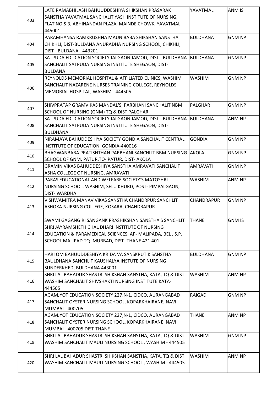|     | LATE RAMABHILASH BAHUUDDESHIYA SHIKSHAN PRASARAK                   | YAVATMAL        | ANM IS        |
|-----|--------------------------------------------------------------------|-----------------|---------------|
|     | SANSTHA YAVATMAL SANCHALIT YASH INSTITUTE OF NURSING,              |                 |               |
| 403 | FLAT NO.S-3, ABHINANDAN PLAZA, MAINDE CHOWK, YAVATMAL -            |                 |               |
|     | 445001                                                             |                 |               |
|     | PARAMHANSA RAMKRUSHNA MAUNIBABA SHIKSHAN SANSTHA                   | <b>BULDHANA</b> | <b>GNM NP</b> |
| 404 | CHIKHLI, DIST-BULDANA ANURADHA NURSING SCHOOL, CHIKHLI,            |                 |               |
|     | DIST - BULDANA - 443201                                            |                 |               |
|     | SATPUDA EDUCATION SOCIETY JALGAON JAMOD, DIST - BULDHANA BULDHANA  |                 | <b>GNM NP</b> |
| 405 | SANCHALIT SATPUDA NURSING INSTITUTE SHEGAON, DIST-                 |                 |               |
|     | <b>BULDANA</b>                                                     |                 |               |
|     | REYNOLDS MEMORIAL HOSPITAL & AFFILIATED CLINICS, WASHIM            | <b>WASHIM</b>   | <b>GNM NP</b> |
|     | SANCHALIT NAZARENE NURSES TRAINING COLLEGE, REYNOLDS               |                 |               |
| 406 | MEMORIAL HOSPITAL, WASHIM - 444505                                 |                 |               |
|     |                                                                    |                 |               |
|     | SHIVPRATAP GRAMVIKAS MANDAL'S, PARBHANI SANCHALIT NBM              | <b>PALGHAR</b>  | <b>GNM NP</b> |
| 407 | SCHOOL OF NURSING (GNM) TQ & DIST PALGHAR                          |                 |               |
|     | SATPUDA EDUCATION SOCIETY JALGAON JAMOD, DIST - BULDHANA BULDHANA  |                 | ANM NP        |
|     |                                                                    |                 |               |
| 408 | SANCHALIT SATPUDA NURSING INSTITUTE SHEGAON, DIST-                 |                 |               |
|     | BULDHANA<br>NIRAMAYA BAHUDDESHIYA SOCIETY GONDIA SANCHALIT CENTRAL |                 | <b>GNM NP</b> |
| 409 |                                                                    | <b>GONDIA</b>   |               |
|     | INSTITUTE OF EDUCATION, GONDIA-440016                              |                 |               |
| 410 | BHAGWANBABA PRATISHTHAN PARBHANI SANCHLIT BBM NURSING AKOLA        |                 | <b>GNM NP</b> |
|     | SCHOOL OF GNM, PATUR, TQ- PATUR, DIST- AKOLA                       |                 |               |
| 411 | GRAMIN VIKAS BAHUDDESHIYA SANSTHA AMRAVATI SANCHALIT               | <b>AMRAVATI</b> | <b>GNM NP</b> |
|     | ASHA COLLEGE OF NURSING, AMRAVATI                                  |                 |               |
|     | PARAS EDUCATIONAL AND WELFARE SOCIETY'S MATOSHRI                   | <b>WASHIM</b>   | ANM NP        |
| 412 | NURSING SCHOOL, WASHIM, SELU KHURD, POST- PIMPALGAON,              |                 |               |
|     | <b>DIST-WARDHA</b>                                                 |                 |               |
|     | VISHWAMITRA MANAV VIKAS SANSTHA CHANDRPUR SANCHLIT                 | CHANDRAPUR      | <b>GNM NP</b> |
| 413 | ASHOKA NURSING COLLEGE, KOSARA, CHANDRAPUR                         |                 |               |
|     |                                                                    |                 |               |
|     | SWAMI GAGANGIRI SANGANK PRASHIKSHAN SANSTHA'S SANCHLIT             | <b>THANE</b>    | <b>GNM IS</b> |
|     | SHRI JAYRAMSHETH CHAUDHARI INSTITUTE OF NURSING                    |                 |               |
| 414 | EDUCATION & PARAMEDICAL SCIENCES, AP- MALIPADA, BEL, S.P.          |                 |               |
|     | SCHOOL MALIPAD TQ- MURBAD, DIST- THANE 421 401                     |                 |               |
|     |                                                                    |                 |               |
|     | HARI OM BAHUUDDESHIYA KRIDA VA SANSKRUTIK SANSTHA                  | <b>BULDHANA</b> | <b>GNM NP</b> |
| 415 | BAULDHANA SANCHLIT KAUSHALYA INSTUTE OF NURSING                    |                 |               |
|     | SUNDERKHED, BULDHANA 443001                                        |                 |               |
|     | SHRI LAL BAHADUR SHASTRI SHIKSHAN SANSTHA, KATA, TQ & DIST         | <b>WASHIM</b>   | ANM NP        |
| 416 | WASHIM SANCHALIT SHIVSHAKTI NURSING INSTITUTE KATA-                |                 |               |
|     | 444505                                                             |                 |               |
|     | AGAMJYOT EDUCATION SOCIETY 227, N-1, CIDCO, AURANGABAD             | <b>RAIGAD</b>   | <b>GNM NP</b> |
| 417 | SANCHALIT OYSTER NURSING SCHOOL, KOPARKHAIRANE, NAVI               |                 |               |
|     | <b>MUMBAI - 400705</b>                                             |                 |               |
|     | AGAMJYOT EDUCATION SOCIETY 227, N-1, CIDCO, AURANGABAD             | <b>THANE</b>    | ANM NP        |
| 418 | SANCHALIT OYSTER NURSING SCHOOL, KOPARKHAIRANE, NAVI               |                 |               |
|     | MUMBAI - 400705 DIST-THANE                                         |                 |               |
|     | SHRI LAL BAHADUR SHASTRI SHIKSHAN SANSTHA, KATA, TQ & DIST         | <b>WASHIM</b>   | <b>GNM NP</b> |
| 419 | WASHIM SANCHALIT MAULI NURSING SCHOOL, WASHIM - 444505             |                 |               |
|     |                                                                    |                 |               |
|     | SHRI LAL BAHADUR SHASTRI SHIKSHAN SANSTHA, KATA, TQ & DIST         | <b>WASHIM</b>   | ANM NP        |
| 420 | WASHIM SANCHALIT MAULI NURSING SCHOOL, WASHIM - 444505             |                 |               |
|     |                                                                    |                 |               |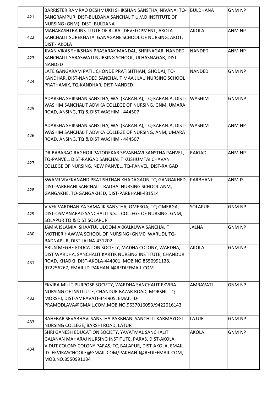| 421 | BARRISTER RAMRAO DESHMUKH SHIKSHAN SANSTHA, NIVANA, TQ-<br>SANGRAMPUR, DIST-BULDANA SANCHALIT U.V.D.INSTITUTE OF<br>NURSING (GNM), DIST- BULDANA                                                                                                   | <b>BULDHANA</b> | <b>GNM NP</b> |
|-----|----------------------------------------------------------------------------------------------------------------------------------------------------------------------------------------------------------------------------------------------------|-----------------|---------------|
| 422 | MAHARASHTRA INSTITUTE OF RURAL DEVELOPMENT, AKOLA<br>SANCHALIT SUREKHATAI GANAGANE SCHOOL OF NURSING, AKOT,<br><b>DIST - AKOLA</b>                                                                                                                 | <b>AKOLA</b>    | ANM NP        |
| 423 | JIVAN VIKAS SHIKSHAN PRASARAK MANDAL, SHRINAGAR, NANDED<br>SANCHALIT SARASWATI NURSING SCHOOL, ULHASNAGAR, DIST -<br><b>NANDED</b>                                                                                                                 | NANDED          | ANM NP        |
| 424 | LATE GANGARAM PATIL CHONDE PRATISHTHAN, GHODAJ, TQ-<br>KANDHAR, DIST-NANDED SANCHALIT MAA JIJAU NURSING SCHOOL<br>PRATHAMIK, TQ-KANDHAR, DIST-NANDED                                                                                               | <b>NANDED</b>   | <b>GNM NP</b> |
| 425 | ADARSHA SHIKSHAN SANSTHA, WAI (KARANJA), TQ-KARANJA, DIST-<br>WASHIM SANCHALIT ADVIKA COLLEGE OF NURSING, GNM, UMARA<br>ROAD, ANSING, TQ & DIST WASHIM - 444507                                                                                    | <b>WASHIM</b>   | <b>GNM NP</b> |
| 426 | ADARSHA SHIKSHAN SANSTHA, WAI (KARANJA), TQ-KARANJA, DIST-<br>WASHIM SANCHALIT ADVIKA COLLEGE OF NURSING, ANM, UMARA<br>ROAD, ANSING, TQ & DIST WASHIM - 444507                                                                                    | <b>WASHIM</b>   | ANM NP        |
| 427 | DR.BABARAO RAGHOJI PATODEKAR SEVABHAVI SANSTHA PANVEL,<br>TQ-PANVEL, DIST-RAIGAD SANCHALIT KUSHUMTAI CHAVAN<br>COLLEGE OF NURSING, NEW PANVEL, TQ-PANVEL, DIST-RAIGAD                                                                              | <b>RAIGAD</b>   | ANM NP        |
| 428 | SWAMI VIVEKANAND PRATISHTHAN KHADAGAON, TQ-GANGAKHED, PARBHANI<br>DIST-PARBHANI SANCHALIT RADHAI NURSING SCHOOL ANM,<br>GANGAKHE, TQ-GANGAKHED, DIST-PARBHANI-431514                                                                               |                 | ANM IS        |
| 429 | VIVEK VARDHANIYA SAMAJIK SANSTHA, OMERGA, TQ-OMERGA,<br>DIST-OSMANABAD SANCHALIT S.S.J. COLLEGE OF NURSING, GNM,<br><b>SOLAPUR TQ &amp; DIST SOLAPUR</b>                                                                                           | <b>SOLAPUR</b>  | <b>GNM NP</b> |
| 430 | JAMIA ISLAMIA ISHAATUL ULOOM AKKALKUWA SANCHALIT<br>MOTHER HAWWA SCHOOL OF NURSING (GNM0, WARUDI, TQ-<br>BADNAPUR, DIST-JALNA-431202                                                                                                               | <b>JALNA</b>    | <b>GNM NP</b> |
| 431 | ARUN MEGHE EDUCATION SOCIETY, MADHA COLONY, WARDHA,<br>DIST WARDHA, SANCHALIT KARTIK NURSING INSTITUTE, CHANDUR<br>ROAD, KHADKI, DIST-AKOLA-444001, MOB.NO.8550991138,<br>972256267, EMAIL ID-PAKHANJI@REDIFFMAIL.COM                              | <b>AKOLA</b>    | <b>GNM NP</b> |
| 432 | EKVIRA MULTIPURPOSE SOCIETY, WARDHA SANCHALIT EKVIRA<br>NURSING OF INSTITUTE, CHANDUR BAZAR ROAD, MORSHI, TQ-<br>MORSHI, DIST-AMRAVATI-444905, EMAIL ID-<br>PRAMODLAVA@GMAIL.COM,MOB.NO.9637016053/9422016143                                      | <b>AMRAVATI</b> | <b>GNM NP</b> |
| 433 | RAHEBAR SEVABHAVI SANSTHA PARBHANI SANCHLIT KARMAYOGI<br>NURSING COLLEGE, BARSHI ROAD, LATUR                                                                                                                                                       | <b>LATUR</b>    | <b>GNM NP</b> |
| 434 | SHRI GANESH EDUCATION SOCIETY, YAVATMAL SANCHALIT<br>GAJANAN MAHARAJ NURSING INSTITUTE, PARAS, DIST-AKOLA,<br>VIDUT COLONY COLONY PARAS, TQ-BALAPUR, DIST-AKOLA, EMAIL<br>ID-EKVIRASCHOOLE@GMAIL.COM/PAKHANJI@REDIFFMAIL.COM,<br>MOB.NO.8550991134 | <b>AKOLA</b>    | <b>GNM NP</b> |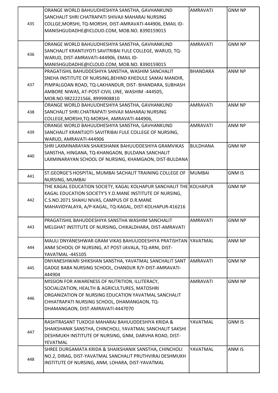|     | ORANGE WORLD BAHUUDHESHIYA SANSTHA, GAVHANKUND                     | <b>AMRAVATI</b> | <b>GNM NP</b> |
|-----|--------------------------------------------------------------------|-----------------|---------------|
| 435 | SANCHALIT SHRI CHATRAPATI SHIVAJI MAHARAJ NURSING                  |                 |               |
|     | COLLGE, MORSHI, TQ-MORSHI, DIST-AMRAVATI-444906, EMAIL ID-         |                 |               |
|     | MANISHGUDADHE@ICLOUD.COM, MOB.NO. 8390159015                       |                 |               |
|     |                                                                    |                 |               |
|     | ORANGE WORLD BAHUUDHESHIYA SANSTHA, GAVHANKUND                     | <b>AMRAVATI</b> | <b>GNM NP</b> |
|     | SANCHALIT KRANTIJYOTI SAVITRIBAI FULE COLLEGE, WARUD, TQ-          |                 |               |
| 436 | WARUD, DIST-AMRAVATI-444906, EMAIL ID-                             |                 |               |
|     | MANISHGUDADHE@ICLOUD.COM, MOB.NO. 8390159015                       |                 |               |
|     | PRAGATISHIL BAHUDDESHIYA SANSTHA, WASHIM SANCHALIT                 | <b>BHANDARA</b> | ANM NP        |
|     | SNEHA INSTITUTE OF NURSING, BEHIND KHEDULE SAMAJ MANDIR,           |                 |               |
| 437 | PIMPALGOAN ROAD, TQ-LAKHANDUR, DIST- BHANDARA, SUBHASH             |                 |               |
|     | AMBORE NIWAS, AT-POST-CIVIL LINE, WASHIM -444505,                  |                 |               |
|     | MOB.NO.9822221566, 8999908810                                      |                 |               |
|     | ORANGE WORLD BAHUUDHESHIYA SANSTHA, GAVHANKUND                     | <b>AMRAVATI</b> | ANM NP        |
| 438 | SANCHALIT SHRI.CHATRAPATI SHIVAJI MAHARAJ NURSING                  |                 |               |
|     | COLLEGE, MORSHI, TQ-MORSHI, AMRAVATI-444906,                       |                 |               |
|     | ORANGE WORLD BAHUUDHESHIYA SANSTHA, GAVHANKUND                     | <b>AMRAVATI</b> | ANM NP        |
| 439 | SANCHALIT KRANTIJOTI SAVITRIBAI FULE COLLEGE OF NURSING,           |                 |               |
|     | WARUD, AMRAVATI-444906                                             |                 |               |
|     | SHRI LAXMINARAYAN SHAIKSHANIK BAHUUDDESHIYA GRAMVIKAS              | <b>BULDHANA</b> | <b>GNM NP</b> |
|     | SANSTHA, HINGANA, TQ-KHANGAON, BULDANA SANCHALIT                   |                 |               |
| 440 | LAXMINARAYAN SCHOOL OF NURSING, KHAMGAON, DIST-BULDANA             |                 |               |
|     |                                                                    |                 |               |
| 441 | ST.GEORGE'S HOSPITAL, MUMBAI SACHALIT TRAINING COLLEGE OF          | <b>MUMBAI</b>   | <b>GNM IS</b> |
|     | NURSING, MUMBAI                                                    |                 |               |
|     | THE KAGAL EDUCATION SOCIETY, KAGAL KOLHAPUR SANCHALIT THE KOLHAPUR |                 | <b>GNM NP</b> |
|     | KAGAL EDUCATION SOCIETY'S Y.D.MANE INSTITUTE OF NURSING,           |                 |               |
| 442 | C.S.NO.2071 SHAHU NIVAS, CAMPUS OF D.R.MANE                        |                 |               |
|     | MAHAVIDYALAYA, A/P-KAGAL, TQ-KAGAL, DIST-KOLHAPUR-416216           |                 |               |
|     |                                                                    |                 |               |
|     | PRAGATISHIL BAHUDDESHIYA SANSTHA WASHIM SANCHALIT                  | <b>AMRAVATI</b> | <b>GNM NP</b> |
| 443 | MELGHAT INSTITUTE OF NURSING, CHIKALDHARA, DIST-AMRAVATI           |                 |               |
|     |                                                                    |                 |               |
|     | MAULI DNYANESHWAR GRAM VIKAS BAHUUDDESHIYA PRATISHTAN TYAVATMAL    |                 | ANM NP        |
| 444 | ANM SCHOOL OF NURSING, AT POST-JAVALA, TQ-ARNI, DIST-              |                 |               |
|     | YAVATMAL-445105                                                    |                 |               |
|     | DNYANESHWARI SHIKSHAN SANSTHA, YAVATMAL SANCHALIT SANT             | AMRAVATI        | <b>GNM NP</b> |
| 445 | GADGE BABA NURSING SCHOOL, CHANDUR R/Y-DIST-AMRAVATI-              |                 |               |
|     | 444904                                                             |                 |               |
|     | MISSION FOR AWARENESS OF NUTRITION, ILLITERACY,                    | <b>AMRAVATI</b> | <b>GNM NP</b> |
|     | SOCIALIZATION, HEALTH & AGRICULTURES, MATOSHRI                     |                 |               |
| 446 | ORGANIZATION OF NURSING EDUCATION YAVATMAL SANCHALIT               |                 |               |
|     | CHHATRAPATI NURSING SCHOOL, DHAMANGAON, TQ-                        |                 |               |
|     | DHAMANGAON, DIST-AMRAVATI-4447070                                  |                 |               |
|     | RASHTRASANT TUKDOJI MAHARAJ BAHUUDDESHIYA KRIDA &                  | YAVATMAL        | <b>GNM IS</b> |
|     | SHAIKSHANIK SANSTHA, CHINCHOLI, YAVATMAL SANCHALIT SAKSHI          |                 |               |
| 447 | DESHMUKH INSTITUTE OF NURSING, GNM, DARVHA ROAD, DIST-             |                 |               |
|     | YEVATMAL                                                           |                 |               |
|     | SHREE DURGAMATA KRIDA & SHAIKSHANIK SANSTHA, CHINCHOLI             | YAVATMAL        | ANM IS        |
|     | NO.2, DIRAG, DIST-YAVATMAL SANCHALIT PRUTHVIRAJ DESHMUKH           |                 |               |
| 448 | INSTITUTE OF NURSING, ANM, LOHARA, DIST-YAVATMAL                   |                 |               |
|     |                                                                    |                 |               |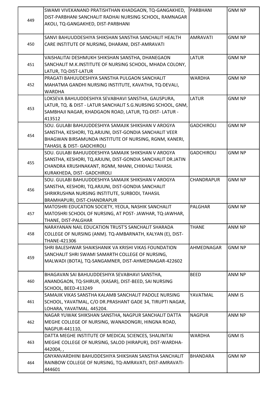|     | SWAMI VIVEKANAND PRATISHTHAN KHADGAON, TQ-GANGAKHED,         | PARBHANI          | <b>GNM NP</b> |
|-----|--------------------------------------------------------------|-------------------|---------------|
|     | DIST-PARBHANI SANCHALIT RADHAI NURSING SCHOOL, RAMNAGAR      |                   |               |
| 449 | AKOLI, TQ-GANGAKHED, DIST-PARBHANI                           |                   |               |
|     |                                                              |                   |               |
|     | SANVI BAHUUDDESHIYA SHIKSHAN SANSTHA SANCHALIT HEALTH        | <b>AMRAVATI</b>   | <b>GNM NP</b> |
| 450 | CARE INSTITUTE OF NURSING, DHARANI, DIST-AMRAVATI            |                   |               |
|     |                                                              |                   |               |
|     | VAISHALITAI DESHMUKH SHIKSHAN SANSTHA, DHANEGAON             | <b>LATUR</b>      | <b>GNM NP</b> |
| 451 | SANCHALIT M.K.INSTITUTE OF NURSING SCHOOL, MHADA COLONY,     |                   |               |
|     | LATUR, TQ-DIST-LATUR                                         |                   |               |
|     | PRAGATI BAHUUDESHIYA SANSTHA PULGAON SANCHALIT               | <b>WARDHA</b>     | <b>GNM NP</b> |
| 452 | MAHATMA GANDHI NURSING INSTITUTE, KAVATHA, TQ-DEVALI,        |                   |               |
|     | WARDHA                                                       |                   |               |
|     | LOKSEVA BAHUUDDESHIYA SEVABHAVI SANSTHA, GAUSPURA,           | <b>LATUR</b>      | <b>GNM NP</b> |
|     | LATUR, TQ. & DIST - LATUR SANCHALIT S.G.NURSING SCHOOL, GNM, |                   |               |
| 453 | SAMBHAJI NAGAR, KHADGAON ROAD, LATUR, TQ-DIST-LATUR -        |                   |               |
|     | 413512                                                       |                   |               |
|     | SOU. GULABI BAHUUDDESHIYA SAMAJIK SHIKSHAN V AROGYA          | <b>GADCHIROLI</b> | <b>GNM NP</b> |
|     | SANSTHA, KESHORI, TQ.ARJUNI, DIST-GONDIA SANCHALIT VEER      |                   |               |
| 454 | BHAGWAN BIRSAMUNDA INSTITUTE OF NURSING, RGNM, KANERI,       |                   |               |
|     | TAHASIL & DIST- GADCHIROLI                                   |                   |               |
|     | SOU. GULABI BAHUUDDESHIYA SAMAJIK SHIKSHAN V AROGYA          | <b>GADCHIROLI</b> | <b>GNM NP</b> |
|     | SANSTHA, KESHORI, TQ.ARJUNI, DIST-GONDIA SANCHALIT DR.JATIN  |                   |               |
| 455 | CHANDRA KRUSHNAKANT, RGNM, NHANI, CHIKHALI TAHASIL           |                   |               |
|     | KURAKHEDA, DIST- GADCHIROLI                                  |                   |               |
|     | SOU. GULABI BAHUUDDESHIYA SAMAJIK SHIKSHAN V AROGYA          | CHANDRAPUR        | <b>GNM NP</b> |
|     |                                                              |                   |               |
| 456 | SANSTHA, KESHORI, TQ.ARJUNI, DIST-GONDIA SANCHALIT           |                   |               |
|     | SHRIKRUSHNA NURSING INSTITUTE, SURBODI, TAHASIL              |                   |               |
|     | BRAMHAPURI, DIST-CHANDRAPUR                                  |                   |               |
|     | MATOSHRI EDUCATION SOCIETY, YEOLA, NASHIK SANCHALIT          | <b>PALGHAR</b>    | <b>GNM NP</b> |
| 457 | MATOSHRI SCHOOL OF NURSING, AT POST-JAWHAR, TQ-JAWHAR,       |                   |               |
|     | THANE, DIST-PALGHAR                                          |                   |               |
|     | NARAYANAN NAIL EDUCATION TRUST'S SANCHALIT SHARADA           | <b>THANE</b>      | ANM NP        |
| 458 | COLLEGE OF NURSING (ANM). TQ-AMBARNATH, KALYAN (E), DIST-    |                   |               |
|     | THANE-421306                                                 |                   |               |
|     | SHRI BALESHWAR SHAIKSHANIK VA KRISHI VIKAS FOUNDATION        | AHMEDNAGAR        | <b>GNM NP</b> |
| 459 | SANCHALIT SHRI SWAMI SAMARTH COLLEGE OF NURSING,             |                   |               |
|     | MALWADI (BOTA), TQ-SANGAMNER, DIST-AHMEDNAGAR-422602         |                   |               |
|     | BHAGAVAN SAI BAHUUDDESHIYA SEVABHAVI SANSTHA,                | <b>BEED</b>       | ANM NP        |
| 460 |                                                              |                   |               |
|     | ANANDGAON, TQ-SHIRUR, (KASAR), DIST-BEED, SAI NURSING        |                   |               |
|     | SCHOOL, BEED-413249                                          | YAVATMAL          |               |
|     | SAMAJIK VIKAS SANSTHA KALAMB SANCHALIT PADOLE NURSING        |                   | ANM IS        |
| 461 | SCHOOL, YAVATMAL, C/O DR.PRASHANT GADE 34, TIRUPTI NAGAR,    |                   |               |
|     | LOHARA, YAVATMAL. 445204.                                    |                   |               |
|     | NAGAR YUWAK SHIKSHAN SANSTHA, NAGPUR SANCHALIT DATTA         | <b>NAGPUR</b>     | ANM NP        |
| 462 | MEGHE COLLEGE OF NURSING, WANADONGRI, HINGNA ROAD,           |                   |               |
|     | NAGPUR-441110,                                               |                   |               |
|     | DATTA MEGHE INSTITUTE OF MEDICAL SCIENCES, SHALINITAI        | <b>WARDHA</b>     | <b>GNM IS</b> |
| 463 | MEGHE COLLEGE OF NURSING, SALOD (HIRAPUR), DIST-WARDHA-      |                   |               |
|     | 442004,,                                                     |                   |               |
|     | GNYANVARDHINI BAHUDDESHIYA SHIKSHAN SANSTHA SANCHALIT        | <b>BHANDARA</b>   | <b>GNM NP</b> |
| 464 | RAINBOW COLLEGE OF NURSING, TQ-AMRAVATI, DIST-AMRAVATI-      |                   |               |
|     | 444601                                                       |                   |               |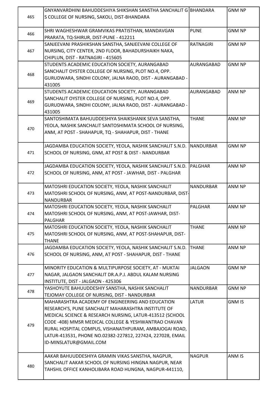|     | GNYANVARDHINI BAHUDDESHIYA SHIKSHAN SANSTHA SANCHALIT G BHANDARA |                         | <b>GNM NP</b> |
|-----|------------------------------------------------------------------|-------------------------|---------------|
| 465 | S COLLEGE OF NURSING, SAKOLI, DIST-BHANDARA                      |                         |               |
|     |                                                                  |                         |               |
| 466 | SHRI WAGHESHWAR GRAMVIKAS PRATISTHAN, MANDAVGAN                  | <b>PUNE</b>             | <b>GNM NP</b> |
|     | PRARATA, TQ-SHIRUR, DIST-PUNE - 412211                           |                         |               |
|     | SANJEEVANI PRASHIKSHAN SANSTHA, SANJEEVANI COLLEGE OF            | <b>RATNAGIRI</b>        | <b>GNM NP</b> |
| 467 | NURSING, CITY CENTER, 2ND FLOOR, BAHADURSHAIKH NAKA,             |                         |               |
|     | CHIPLUN, DIST - RATNAGIRI - 415605                               |                         |               |
|     | STUDENTS ACADEMIC EDUCATION SOCIETY, AURANGABAD                  | AURANGABAD              | <b>GNM NP</b> |
| 468 | SANCHALIT OYSTER COLLEGE OF NURSING, PLOT NO.4, OPP.             |                         |               |
|     | GURUDWARA, SINDHI COLONY, JALNA RAOD, DIST - AURANGABAD -        |                         |               |
|     | 431005                                                           |                         |               |
|     | STUDENTS ACADEMIC EDUCATION SOCIETY, AURANGABAD                  | AURANGABAD              | ANM NP        |
| 469 | SANCHALIT OYSTER COLLEGE OF NURSING, PLOT NO.4, OPP.             |                         |               |
|     | GURUDWARA, SINDHI COLONY, JALNA RAOD, DIST - AURANGABAD -        |                         |               |
|     | 431005                                                           |                         |               |
|     | SANTOSHIMATA BAHUUDDESHIYA SHAIKSHANIK SEVA SANSTHA,             | <b>THANE</b>            | <b>ANM NP</b> |
| 470 | YEOLA, NASHIK SANCHALIT SANTOSHIMATA SCHOOL OF NURSING,          |                         |               |
|     | ANM, AT POST - SHAHAPUR, TQ - SHAHAPUR, DIST - THANE             |                         |               |
|     |                                                                  |                         |               |
|     | JAGDAMBA EDUCATION SOCIETY, YEOLA, NASHIK SANCHALIT S.N.D.       | <i><b>NANDURBAR</b></i> | <b>GNM NP</b> |
| 471 | SCHOOL OF NURSING, GNM, AT POST & DIST - NANDURBAR               |                         |               |
|     |                                                                  |                         |               |
|     | JAGDAMBA EDUCATION SOCIETY, YEOLA, NASHIK SANCHALIT S.N.D.       | PALGHAR                 | ANM NP        |
| 472 | SCHOOL OF NURSING, ANM, AT POST - JAWHAR, DIST - PALGHAR         |                         |               |
|     |                                                                  |                         |               |
|     | MATOSHRI EDUCATION SOCIETY, YEOLA, NASHIK SANCHALIT              | <b>NANDURBAR</b>        | ANM NP        |
| 473 | MATOSHRI SCHOOL OF NURSING, ANM, AT POST-NANDURBAR, DIST-        |                         |               |
|     | <b>NANDURBAR</b>                                                 |                         |               |
|     | MATOSHRI EDUCATION SOCIETY, YEOLA, NASHIK SANCHALIT              | <b>PALGHAR</b>          | ANM NP        |
| 474 | MATOSHRI SCHOOL OF NURSING, ANM, AT POST-JAWHAR, DIST-           |                         |               |
|     | <b>PALGHAR</b>                                                   |                         |               |
|     | MATOSHRI EDUCATION SOCIETY, YEOLA, NASHIK SANCHALIT              | <b>THANE</b>            | ANM NP        |
| 475 | MATOSHRI SCHOOL OF NURSING, ANM, AT POST-SHAHAPUR, DIST-         |                         |               |
|     | <b>THANE</b>                                                     |                         |               |
|     | JAGDAMBA EDUCATION SOCIETY, YEOLA, NASHIK SANCHALIT S.N.D.       | <b>THANE</b>            | ANM NP        |
| 476 | SCHOOL OF NURSING, ANM, AT POST - SHAHAPUR, DIST - THANE         |                         |               |
|     |                                                                  |                         |               |
|     | MINORITY EDUCATION & MULTIPURPOSE SOCIETY, AT - MUKTAI           | <b>JALGAON</b>          | <b>GNM NP</b> |
| 477 | NAGAR, JALGAON SANCHALIT DR.A.P.J. ABDUL KALAM NURSING           |                         |               |
|     | INSTITUTE, DIST - JALGAON - 425306                               |                         |               |
|     | YASHOYUTE BAHUUDDESHIY SANSTHA, NASHIK SANCHALIT                 | <b>NANDURBAR</b>        | <b>GNM NP</b> |
| 478 | TEJOMAY COLLEGE OF NURSING, DIST - NANDURBAR                     |                         |               |
|     | MAHARASHTRA ACADEMY OF ENGINEERING AND EDUCATION                 | <b>LATUR</b>            | <b>GNM IS</b> |
|     | RESEARCH'S, PUNE SANCHALIT MAHARASHTRA INSTITUTE OF              |                         |               |
|     | MEDICAL SCIENCE & RESEARCH NURSING, LATUR-413512 (SCHOOL         |                         |               |
|     | CODE -408) MMSR MEDICAL COLLEGE & YESHWANTRAO CHAVAN             |                         |               |
| 479 | RURAL HOSPITAL COMPUS, VISHANATHPURAM, AMBAJOGAI ROAD,           |                         |               |
|     | LATUR-413531, PHONE NO.02382-227812, 227424, 227028, EMAIL       |                         |               |
|     | ID-MINSLATUR@GMAIL.COM                                           |                         |               |
|     |                                                                  |                         |               |
|     | AAKAR BAHUUDDESHIYA GRAMIN VIKAS SANSTHA, NAGPUR,                | <b>NAGPUR</b>           | ANM IS        |
|     | SANCHALIT AAKAR SCHOOL OF NURSING HINGNA NAGPUR, NEAR            |                         |               |
| 480 | TAHSHIL OFFICE KANHOLIBARA ROAD HUNGNA, NAGPUR-441110,           |                         |               |
|     |                                                                  |                         |               |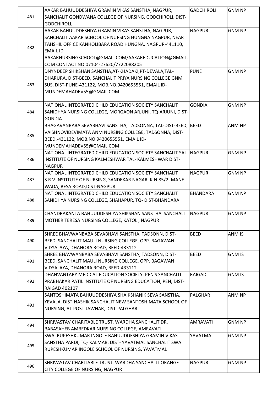|     | AAKAR BAHUUDDESHIYA GRAMIN VIKAS SANSTHA, NAGPUR,              | <b>GADCHIROLI</b> | <b>GNM NP</b> |
|-----|----------------------------------------------------------------|-------------------|---------------|
| 481 | SANCHALIT GONDWANA COLLEGE OF NURSING, GODCHIROLI, DIST-       |                   |               |
|     | GODCHIROLI,                                                    |                   |               |
|     | AAKAR BAHUUDDESHIYA GRAMIN VIKAS SANSTHA, NAGPUR,              | <b>NAGPUR</b>     | <b>GNM NP</b> |
|     | SANCHALIT AAKAR SCHOOL OF NURSING HUNGNA NAGPUR, NEAR          |                   |               |
|     | TAHSHIL OFFICE KANHOLIBARA ROAD HUNGNA, NAGPUR-441110,         |                   |               |
| 482 | <b>EMAIL ID-</b>                                               |                   |               |
|     | AAKARNURSINGSCHOOL@GMAIL.COM/AAKAREDUCATION@GMAIL.             |                   |               |
|     | COM CONTACT NO.07104-27620/7722088205                          |                   |               |
|     |                                                                |                   |               |
|     | DNYNDEEP SHIKSHAN SANSTHA, AT-KHADAKI, PT-DEVALA, TAL-         | <b>PUNE</b>       | <b>GNM NP</b> |
|     | DHARURA, DIST-BEED, SANCHALIT PRIYA NURSING COLLEGE GNM        |                   |               |
| 483 | SUS, DIST-PUNE-431122, MOB.NO.9420655551, EMAIL ID-            |                   |               |
|     | MUNDEMAHADEV55@GMAIL.COM                                       |                   |               |
|     |                                                                |                   |               |
|     | NATIONAL INTEGRATED CHILD EDUCATION SOCIETY SANCHALIT          | <b>GONDIA</b>     | <b>GNM NP</b> |
| 484 | SANIDHYA NURSING COLLEGE, MORGAON ARJUNI, TQ-ARJUNI, DIST-     |                   |               |
|     | <b>GONDIA</b>                                                  |                   |               |
|     | BHAGAVANBABA SEVABHAVI SANSTHA, TADSONNA, TAL-DIST-BEED, BEED  |                   | ANM NP        |
| 485 | VAISHNOVIDEVIMATA ANM NURSING COLLEGE, TADSONNA, DIST-         |                   |               |
|     | BEED.-431122, MOB.NO.9420655551, EMAIL ID-                     |                   |               |
|     | MUNDEMAHADEV55@GMAIL.COM                                       |                   |               |
|     | NATIONAL INTEGRATED CHILD EDUCATION SOCIETY SANCHALIT SAI      | <b>INAGPUR</b>    | <b>GNM NP</b> |
| 486 | INSTITUTE OF NURSING KALMESHWAR TAL-KALMESHWAR DIST-           |                   |               |
|     | <b>NAGPUR</b>                                                  |                   |               |
|     | NATIONAL INTEGRATED CHILD EDUCATION SOCIETY SANCHALIT          | <b>NAGPUR</b>     | <b>GNM NP</b> |
| 487 | S.R.V.INSTITUTE OF NURSING, SANDEKAR NAGAR, K.N.85/2, MANE     |                   |               |
|     | WADA, BESA ROAD, DIST-NAGPUR                                   |                   |               |
|     | NATIONAL INTEGRATED CHILD EDUCATION SOCIETY SANCHALIT          | <b>BHANDARA</b>   | <b>GNM NP</b> |
| 488 | SANIDHYA NURSING COLLEGE, SHAHAPUR, TQ- DIST-BHANDARA          |                   |               |
|     |                                                                |                   |               |
|     | CHANDRAKANTA BAHUUDDESHIYA SHIKSHAN SANSTHA SANCHALIT   NAGPUR |                   | <b>GNM NP</b> |
| 489 | MOTHER TERESA NURSING COLLEGE, KATOL, NAGPUR                   |                   |               |
|     |                                                                |                   |               |
|     | SHREE BHAVWANBABA SEVABHAVI SANSTHA, TADSONN, DIST-            | <b>BEED</b>       | ANM IS        |
| 490 | BEED, SANCHALIT MAULI NURSING COLLEGE, OPP. BAGAWAN            |                   |               |
|     | VIDYALAYA, DHANORA ROAD, BEED-433112                           |                   |               |
|     | SHREE BHAVWANBABA SEVABHAVI SANSTHA, TADSONN, DIST-            | <b>BEED</b>       | <b>GNM IS</b> |
| 491 | BEED, SANCHALIT MAULI NURSING COLLEGE, OPP. BAGAWAN            |                   |               |
|     | VIDYALAYA, DHANORA ROAD, BEED-433112                           |                   |               |
|     | DHANVANTARY MEDICAL EDUCATION SOCIETY, PEN'S SANCHALIT         | RAIGAD            | <b>GNM IS</b> |
| 492 | PRABHAKAR PATIL INSTITUTE OF NURSING EDUCATION, PEN, DIST-     |                   |               |
|     | <b>RAIGAD 402107</b>                                           |                   |               |
|     | SANTOSHIMATA BAHUUDDESHIYA SHAIKSHANIK SEVA SANSTHA,           | <b>PALGHAR</b>    | ANM NP        |
|     |                                                                |                   |               |
| 493 | YEVALA, DIST-NASHIK SANCHALIT NEW SANTOSHIMATA SCHOOL OF       |                   |               |
|     | NURSING, AT POST-JAWHAR, DIST-PALGHAR                          |                   |               |
|     | SHRIVASTAV CHARITABLE TRUST, WARDHA SANCHALIT DR.              | <b>AMRAVATI</b>   | <b>GNM NP</b> |
| 494 | BABASAHEB AMBEDKAR NURSING COLLEGE, AMRAVATI                   |                   |               |
|     | SWA. RUPESHKUMAR INGOLE BAHUUDDESHIYA GRAMIN VIKAS             | YAVATMAL          | <b>GNM NP</b> |
|     |                                                                |                   |               |
| 495 | SANSTHA PARDI, TQ- KALMAB, DIST- YAVATMAL SANCHALIT SWA        |                   |               |
|     | RUPESHKUMAR INGOLE SCHOOL OF NURSING, YAVATMAL                 |                   |               |
|     |                                                                |                   |               |
| 496 | SHRIVASTAV CHARITABLE TRUST, WARDHA SANCHALIT ORANGE           | <b>NAGPUR</b>     | <b>GNM NP</b> |
|     | CITY COLLEGE OF NURSING, NAGPUR                                |                   |               |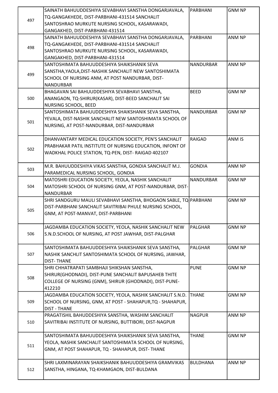|     | SAINATH BAHUUDDESHIYA SEVABHAVI SANSTHA DONGARJAVALA,             | PARBHANI         | <b>GNM NP</b> |
|-----|-------------------------------------------------------------------|------------------|---------------|
|     | TQ-GANGAKHEDE, DIST-PARBHANI-431514 SANCHALIT                     |                  |               |
| 497 | SANTOSHRAO MURKUTE NURSING SCHOOL, KASARAWADI,                    |                  |               |
|     | GANGAKHED, DIST-PARBHANI-431514                                   |                  |               |
|     | SAINATH BAHUUDDESHIYA SEVABHAVI SANSTHA DONGARJAVALA,             | PARBHANI         | ANM NP        |
|     | TQ-GANGAKHEDE, DIST-PARBHANI-431514 SANCHALIT                     |                  |               |
| 498 | SANTOSHRAO MURKUTE NURSING SCHOOL, KASARAWADI,                    |                  |               |
|     |                                                                   |                  |               |
|     | GANGAKHED, DIST-PARBHANI-431514                                   |                  |               |
|     | SANTOSHIMATA BAHUUDDESHIYA SHAIKSHANIK SEVA                       | <b>NANDURBAR</b> | ANM NP        |
| 499 | SANSTHA, YAOLA, DIST-NASHIK SANCHALIT NEW SANTOSHIMATA            |                  |               |
|     | SCHOOL OF NURSING ANM, AT POST NANDURBAR, DIST-                   |                  |               |
|     | <b>NANDURBAR</b>                                                  |                  |               |
|     | BHAGAVAN SAI BAHUUDDESHIYA SEVABHAVI SANSTHA,                     | <b>BEED</b>      | <b>GNM NP</b> |
| 500 | ANANGAON, TQ-SHIRUR(KASAR), DIST-BEED SANCHALIT SAI               |                  |               |
|     | NURSING SCHOOL, BEED                                              |                  |               |
|     | SANTOSHIMATA BAHUUDDESHIYA SHAIKSHANIK SEVA SANSTHA,              | <b>NANDURBAR</b> | <b>GNM NP</b> |
|     | YEVALA, DIST-NASHIK SANCHALIT NEW SANTOSHIMATA SCHOOL OF          |                  |               |
| 501 | NURSING, AT POST-NANDURBAR, DIST-NANDURBAR                        |                  |               |
|     |                                                                   |                  |               |
|     | DHANVANTARY MEDICAL EDUCATION SOCIETY, PEN'S SANCHALIT            | <b>RAIGAD</b>    | ANM IS        |
|     | PRABHAKAR PATIL INSTITUTE OF NURSING EDUCATION, INFONT OF         |                  |               |
| 502 | WADKHAL POLICE STATION, TQ-PEN, DIST-RAIGAD 402107                |                  |               |
|     |                                                                   |                  |               |
|     | M.R. BAHUUDDESHIYA VIKAS SANSTHA, GONDIA SANCHALIT M.J.           | <b>GONDIA</b>    | ANM NP        |
| 503 |                                                                   |                  |               |
|     | PARAMEDICAL NURSING SCHOOL, GONDIA                                |                  |               |
|     | MATOSHRI EDUCATION SOCIETY, YEOLA, NASHIK SANCHALIT               | <b>NANDURBAR</b> | <b>GNM NP</b> |
| 504 | MATOSHRI SCHOOL OF NURSING GNM, AT POST-NANDURBAR, DIST-          |                  |               |
|     | <b>NANDURBAR</b>                                                  |                  |               |
|     | SHRI SANDGURU MAULI SEVABHAVI SANSTHA, BHOGAON SABLE, TQ PARBHANI |                  | <b>GNM NP</b> |
| 505 | DIST-PARBHANI SANCHALIT SAVITRIBAI PHULE NURSING SCHOOL,          |                  |               |
|     | GNM, AT POST-MANVAT, DIST-PARBHANI                                |                  |               |
|     |                                                                   |                  |               |
|     | JAGDAMBA EDUCATION SOCIETY, YEOLA, NASHIK SANCHALIT NEW           | PALGHAR          | <b>GNM NP</b> |
| 506 | S.N.D.SCHOOL OF NURSING, AT POST JAWHAR, DIST-PALGHAR             |                  |               |
|     |                                                                   |                  |               |
|     | SANTOSHIMATA BAHUUDDESHIYA SHAIKSHANIK SEVA SANSTHA,              | <b>PALGHAR</b>   | <b>GNM NP</b> |
| 507 | NASHIK SANCHLIT SANTOSHIMATA SCHOOL OF NURSING, JAWHAR,           |                  |               |
|     |                                                                   |                  |               |
|     | <b>DIST-THANE</b>                                                 |                  |               |
|     | SHRI CHHATRAPATI SAMBHAJI SHIKSHAN SANSTHA,                       | <b>PUNE</b>      | <b>GNM NP</b> |
|     | SHIRUR(GHODNADI), DIST-PUNE SANCHALIT BAPUSAHEB THITE             |                  |               |
| 508 |                                                                   |                  |               |
|     | COLLEGE OF NURSING (GNM), SHIRUR (GHODNADI), DIST-PUNE-           |                  |               |
|     | 412210                                                            |                  |               |
|     | JAGDAMBA EDUCATION SOCIETY, YEOLA, NASHIK SANCHALIT S.N.D.        | <b>THANE</b>     | <b>GNM NP</b> |
| 509 | SCHOOL OF NURSING, GNM, AT POST - SHAHAPUR, TQ - SHAHAPUR,        |                  |               |
|     | <b>DIST - THANE</b>                                               |                  |               |
|     | PRAGATISHIL BAHUDDESHIYA SANSTHA, WASHIM SANCHALIT                | <b>NAGPUR</b>    | ANM NP        |
| 510 | SAVITRIBAI INSTITUTE OF NURSING, BUTTIBORI, DIST-NAGPUR           |                  |               |
|     |                                                                   |                  |               |
|     | SANTOSHIMATA BAHUUDDESHIYA SHAIKSHANIK SEVA SANSTHA,              | <b>THANE</b>     | <b>GNM NP</b> |
| 511 | YEOLA, NASHIK SANCHALIT SANTOSHIMATA SCHOOL OF NURSING,           |                  |               |
|     | GNM, AT POST SHAHAPUR, TQ - SHAHAPUR, DIST- THANE                 |                  |               |
|     |                                                                   |                  |               |
|     | SHRI LAXMINARAYAN SHAIKSHANIK BAHUUDDESHIYA GRAMVIKAS             | <b>BULDHANA</b>  | ANM NP        |
| 512 | SANSTHA, HINGANA, TQ-KHAMGAON, DIST-BULDANA                       |                  |               |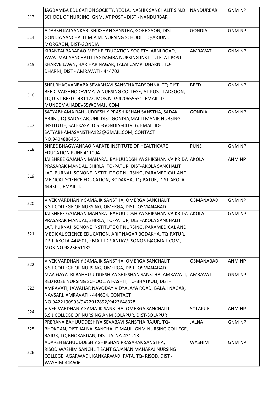| 513 | JAGDAMBA EDUCATION SOCIETY, YEOLA, NASHIK SANCHALIT S.N.D. NANDURBAR<br>SCHOOL OF NURSING, GNM, AT POST - DIST - NANDURBAR                                                                                                                                                                                                         |                  | <b>GNM NP</b> |
|-----|------------------------------------------------------------------------------------------------------------------------------------------------------------------------------------------------------------------------------------------------------------------------------------------------------------------------------------|------------------|---------------|
| 514 | ADARSH KALYANKARI SHIKSHAN SANSTHA, GOREGAON, DIST-<br>GONDIA SANCHALIT M.P.M. NURSING SCHOOL, TQ-ARJUNI,<br>MORGAON, DIST-GONDIA                                                                                                                                                                                                  | <b>GONDIA</b>    | <b>GNM NP</b> |
| 515 | KIRANTAI BABARAO MEGHE EDUCATION SOCIETY, ARNI ROAD,<br>YAVATMAL SANCHALIT JAGDAMBA NURSING INSTITUTE, AT POST -<br>KHARVE LAWN, HARIHAR NAGAR, TALAI CAMP. DHARNI, TQ-<br>DHARNI, DIST - AMRAVATI - 444702                                                                                                                        | <b>AMRAVATI</b>  | <b>GNM NP</b> |
| 516 | SHRI.BHAGVANBABA SEVABHAVI SANSTHA TADSONNA, TQ-DIST-<br>BEED, VAISHNODEVIMATA NURSING COLLEGE, AT POST-TADSOON,<br>TQ-DIST-BEED - 431122, MOB.NO.9420655551, EMAIL ID-<br>MUNDEMAHADEV55@GMAIL.COM                                                                                                                                | <b>BEED</b>      | <b>GNM NP</b> |
| 517 | SATYABHAMA BAHUUDDESHIY PRASHIKSHAN SANSTHA, SADAK<br>ARJINI, TQ-SADAK ARJUNI, DIST-GONDIA, MALTI MANIK NURSING<br>INSTITUTE, SALEKASA, DIST-GONDIA-441916, EMAIL ID-<br>SATYABHAMASANSTHA123@GMAIL.COM, CONTACT<br>NO.9404886455                                                                                                  | <b>GONDIA</b>    | <b>GNM NP</b> |
| 518 | SHREE BHAGWANRAO NAPATE INSTITUTE OF HEALTHCARE<br><b>EDUCATION PUNE 411004</b>                                                                                                                                                                                                                                                    | <b>PUNE</b>      | <b>GNM NP</b> |
| 519 | JAI SHREE GAJANAN MAHARAJ BAHUUDDSHIYA SHIKSHAN VA KRIDA AAKOLA<br>PRASARAK MANDAL, SHIRLA, TQ-PATUR, DIST-AKOLA SANCHALIT<br>LAT. PURNAJI SONONE INSTITUTE OF NURSING, PARAMEDICAL AND<br>MEDICAL SCIENCE EDUCATION, BODAKHA, TQ-PATUR, DIST-AKOLA-<br>444501, EMAIL ID                                                           |                  | ANM NP        |
| 520 | VIVEK VARDHANIY SAMAJIK SANSTHA, OMERGA SANCHALIT<br>S.S.J.COLLEGE OF NURSING, OMERGA, DIST- OSMANABAD                                                                                                                                                                                                                             | <b>OSMANABAD</b> | <b>GNM NP</b> |
| 521 | JAI SHREE GAJANAN MAHARAJ BAHUUDDSHIYA SHIKSHAN VA KRIDA AAKOLA<br>PRASARAK MANDAL, SHIRLA, TQ-PATUR, DIST-AKOLA SANCHALIT<br>LAT. PURNAJI SONONE INSTITUTE OF NURSING, PARAMEDICAL AND<br>MEDICAL SCIENCE EDUCATION, ARIF NAGAR BODAKHA, TQ-PATUR,<br>DIST-AKOLA-444501, EMAIL ID-SANJAY.S.SONONE@GMAIL.COM,<br>MOB.NO.9823651132 |                  | <b>GNM NP</b> |
| 522 | VIVEK VARDHANIY SAMAJIK SANSTHA, OMERGA SANCHALIT<br>S.S.J.COLLEGE OF NURSING, OMERGA, DIST-OSMANABAD                                                                                                                                                                                                                              | <b>OSMANABAD</b> | ANM NP        |
| 523 | MAA GAYATRI BAHHU-UDDESHIYA SHIKSHAN SANSTHA, AMRAVATI,<br>RED ROSE NURSING SCHOOL, AT-ASHTI, TQ-BHATKULI, DIST-<br>AMRAVATI, JAWAHAR NAVODAY VIDYALAYA ROAD, BALAJI NAGAR,<br>NAVSARI, AMRAVATI - 444604, CONTACT<br>NO.9422190993/9422917892/9423648328                                                                          | AMRAVATI         | <b>GNM NP</b> |
| 524 | VIVEK VARDHANIY SAMAJIK SANSTHA, OMERGA SANCHALIT<br>S.S.J.COLLEGE OF NURSING ANM SOLAPUR, DIST-SOLAPUR                                                                                                                                                                                                                            | <b>SOLAPUR</b>   | ANM NP        |
| 525 | PRERANA BAHUUDDESHIYA SEVABAVI SANSTHA RAJUR, TQ-<br>BHOKDAN, DIST-JALNA SANCHALIT MAULI GNM NURSING COLLEGE,<br>RAJUR, TQ-BHOKARDAN, DIST-JALNA-431213                                                                                                                                                                            | <b>JALNA</b>     | <b>GNM NP</b> |
| 526 | ADARSH BAHUUDDESHIY SHIKSHAN PRASARAK SANSTHA,<br>RISOD, WASHIM SANCHLIT SANT GAJANAN MAHARAJ NURSING<br>COLLEGE, AGARWADI, KANKARWADI FATA, TQ-RISOD, DIST -<br>WASHIM-444506                                                                                                                                                     | <b>WASHIM</b>    | <b>GNM NP</b> |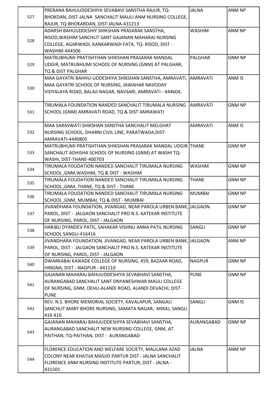|     | PRERANA BAHUUDDESHIYA SEVABAVI SANSTHA RAJUR, TQ-                                         | <b>JALNA</b>    | ANM NP        |
|-----|-------------------------------------------------------------------------------------------|-----------------|---------------|
| 527 | BHOKDAN, DIST-JALNA SANCHALIT MAULI ANM NURSING COLLEGE,                                  |                 |               |
|     | RAJUR, TQ-BHOKARDAN, DIST-JALNA-431213                                                    |                 |               |
|     | ADARSH BAHUUDDESHIY SHIKSHAN PRASARAK SANSTHA,                                            | <b>WASHIM</b>   | ANM NP        |
| 528 | RISOD, WASHIM SANCHLIT SANT GAJANAN MAHARAJ NURSING                                       |                 |               |
|     | COLLEGE, AGARWADI, KANKARWADI FATA, TQ-RISOD, DIST -                                      |                 |               |
|     | WASHIM-444506                                                                             |                 |               |
|     | MATRUBHUMI PRATISHTHAN SHIKSHAN PRASARAK MANDAL                                           | <b>PALGHAR</b>  | <b>GNM NP</b> |
| 529 | UDGIR, MATRUBHUMI SCHOOL OF NURSING (GNM) AT PALGHAR,                                     |                 |               |
|     | TQ & DIST PALGHAR                                                                         |                 |               |
|     | MAA GAYATRI BAHHU-UDDESHIYA SHIKSHAN SANSTHA, AMRAVATI, AMRAVATI                          |                 | ANM IS        |
| 530 | MAA GAYATRI SCHOOL OF NURSING, JAWAHAR NAVODAY                                            |                 |               |
|     | VIDYALAYA ROAD, BALAJI NAGAR, NAVSARI, AMRAVATI - 444604,                                 |                 |               |
|     | TIRUMALA FOUNDATION NANDED SANCHALIT TIRUMALA NURSING                                     | AMRAVATI        | <b>GNM NP</b> |
| 531 | SCHOOL (GNM) AMRAVATI ROAD, TQ & DIST AMRAWATI                                            |                 |               |
|     |                                                                                           |                 |               |
|     | MAA SARASWATI SHIKSHAN SANSTHA SANCHALIT MELGHAT                                          | <b>AMRAVATI</b> | ANM IS        |
| 532 | NURSING SCHOOL, DHARNI CIVIL LINE, PARATWADA, DIST-                                       |                 |               |
|     | AMRAVATI-4440805                                                                          |                 |               |
|     | MATRUBHUMI PRATISHTHAN SHIKSHAN PRASARAK MANDAL UDGIR THANE                               |                 | <b>GNM NP</b> |
| 533 | SANCHALIT ADHISHA SCHOOL OF NURSING (GNM) AT WASHI TQ-                                    |                 |               |
|     | WASHI, DIST-THANE-400703                                                                  |                 |               |
|     | TIRUMALA FOUDATION NANDED SANCHALIT TIRUMALA NURSING                                      | <b>WASHIM</b>   | <b>GNM NP</b> |
| 534 | SCHOOL, GNM, WASHIM, TQ & DIST - WASHIM                                                   |                 |               |
| 535 | TIRUMALA FOUDATION NANDED SANCHALIT TIRUMALA NURSING                                      | <b>THANE</b>    | <b>GNM NP</b> |
|     | SCHOOL, GNM, THANE, TQ & DIST - THANE                                                     |                 |               |
| 536 | TIRUMALA FOUDATION NANDED SANCHALIT TIRUMALA NURSING                                      | <b>MUMBAI</b>   | <b>GNM NP</b> |
|     | SCHOOL, GNM, MUMBAI, TQ & DIST - MUMBAI                                                   |                 |               |
|     | JIVANDHARA FOUNDATION, JIVANGAD, NEAR PAROLA URBEN BANK, JALGAON                          |                 | <b>GNM NP</b> |
| 537 | PAROL, DIST - JALGAON SANCHALIT PRO N.S. KATEKAR INSTITUTE                                |                 |               |
|     | OF NURSING, PAROL, DIST - JALGAON                                                         |                 |               |
| 538 | HARIBU DYANDEV PATIL, SAHAKAR VISHNU ANNA PATIL NURSING                                   | SANGLI          | <b>GNM NP</b> |
|     | SCHOOL SANGLI-416416                                                                      |                 |               |
|     | JIVANDHARA FOUNDATION, JIVANGAD, NEAR PAROLA URBEN BANK, JALGAON                          |                 | ANM NP        |
| 539 | PAROL, DIST - JALGAON SANCHALIT PRO N.S. KATEKAR INSTITUTE                                |                 |               |
|     | OF NURSING, PAROL, DIST - JALGAON                                                         |                 |               |
| 540 | DWARKABAI KAIKADE COLLEGE OF NURSING, 459, BAZAAR ROAD,<br>HINGNA, DIST - NAGPUR - 441110 | <b>NAGPUR</b>   | <b>GNM NP</b> |
|     | GAJANAN MAHARAJ BAHUUDDESHIYA SEVABHAVI SANSTHA,                                          | <b>PUNE</b>     | <b>GNM NP</b> |
|     | AURANGABAD SANCHALIT SANT DNYANESHWAR MAULI COLLEGE                                       |                 |               |
| 541 | OF NURSING, GNM, DEHU-ALANDI ROAD, ALANDI DEVACHI, DIST -                                 |                 |               |
|     | <b>PUNE</b>                                                                               |                 |               |
|     | REV. N.S. BHORE MEMORIAL SOCIETY, KAVALAPUR, SANGALI                                      | SANGLI          | <b>GNM IS</b> |
| 542 | SANCHLIT MARY BHORE NURSING, SAMATA NAGAR, MIRAJ, SANGLI                                  |                 |               |
|     | 416 410                                                                                   |                 |               |
|     | GAJANAN MAHARAJ BAHUUDDESHIYA SEVABHAVI SANSTHA,                                          | AURANGABAD      | <b>GNM NP</b> |
|     | AURANGABAD SANCHALIT NEW NURSING COLLEGE, GNM, AT.                                        |                 |               |
| 543 | PAITHAN, TQ-PAITHAN, DIST - AURANGABAD                                                    |                 |               |
|     |                                                                                           |                 |               |
|     | FLORENCE EDUCATION AND WELFARE SOCIETY, MAULANA AZAD                                      | <b>JALNA</b>    | ANM NP        |
|     | COLONY NEAR KHATIJA MASJID PARTUR DIST - JALNA SANCHALIT                                  |                 |               |
| 544 | FLORENCE ANM NURSING INSTITUTE PARTUR, DIST - JALNA -                                     |                 |               |
|     | 431501                                                                                    |                 |               |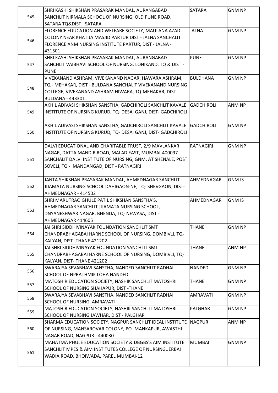|     | SHRI KASHI SHIKSHAN PRASARAK MANDAL, AURANGABAD                  | <b>SATARA</b>     | <b>GNM NP</b> |
|-----|------------------------------------------------------------------|-------------------|---------------|
| 545 | SANCHLIT NIRMALA SCHOOL OF NURSING, OLD PUNE ROAD,               |                   |               |
|     | SATARA TQ&DIST - SATARA                                          |                   |               |
|     | FLORENCE EDUCATION AND WELFARE SOCIETY, MAULANA AZAD             | <b>JALNA</b>      | <b>GNM NP</b> |
|     | COLONY NEAR KHATIJA MASJID PARTUR DIST - JALNA SANCHALIT         |                   |               |
| 546 | FLORENCE ANM NURSING INSTITUTE PARTUR, DIST - JALNA -            |                   |               |
|     | 431501                                                           |                   |               |
|     | SHRI KASHI SHIKSHAN PRASARAK MANDAL, AURANGABAD                  | <b>PUNE</b>       | <b>GNM NP</b> |
| 547 | SANCHLIT VAIBHAVI SCHOOL OF NURSING, LONIKAND, TQ & DIST -       |                   |               |
|     | <b>PUNE</b>                                                      |                   |               |
|     | VIVEKANAND ASHRAM, VIVEKANAND NAGAR, HAWARA ASHRAM,              | <b>BULDHANA</b>   | <b>GNM NP</b> |
|     | TQ - MEHAKAR, DIST - BULDANA SANCHALIT VIVEKANAND NURSING        |                   |               |
| 548 | COLLEGE, VIVEKANAND ASHRAM HIWARA, TQ-MEHAKAR, DIST -            |                   |               |
|     | <b>BULDANA - 443301</b>                                          |                   |               |
|     | AKHIL ADIVASI SHIKSHAN SANSTHA, GADCHIROLI SANCHLIT KAVALE       | <b>GADCHIROLI</b> | ANM NP        |
| 549 | INSTITUTE OF NURSING KURUD, TQ- DESAI GANJ, DIST- GADCHIROLI     |                   |               |
|     |                                                                  |                   |               |
|     | AKHIL ADIVASI SHIKSHAN SANSTHA, GADCHIROLI SANCHLIT KAVALE       | <b>GADCHIROLI</b> | <b>GNM NP</b> |
| 550 | INSTITUTE OF NURSING KURUD, TQ- DESAI GANJ, DIST- GADCHIROLI     |                   |               |
|     |                                                                  |                   |               |
|     | DALVI EDUCATIONAL AND CHARITABLE TRUST, 2/9 MAVLANKAR            | <b>RATNAGIRI</b>  | <b>GNM NP</b> |
|     | NAGAR, DATTA MANDIR ROAD, MALAD EAST, MUMBAI-400097              |                   |               |
|     |                                                                  |                   |               |
| 551 | SANCHALIT DALVI INSTITUTE OF NURSING, GNM, AT SHENALE, POST      |                   |               |
|     | SOVELI, TQ - MANDANGAD, DIST - RATNAGIRI                         |                   |               |
|     | JANTA SHIKSHAN PRASARAK MANDAL, AHMEDNAGAR SANCHLIT              | AHMEDNAGAR        | <b>GNM IS</b> |
| 552 | JIJAMATA NURSING SCHOOL DAHIGAON-NE, TQ- SHEVGAON, DIST-         |                   |               |
|     | AHMEDNAGAR - 414502                                              |                   |               |
|     | SHRI MARUTRAO GHULE PATIL SHIKSHAN SANSTHA'S,                    | AHMEDNAGAR        | <b>GNM IS</b> |
|     | AHMEDNAGAR SANCHLIT JIJAMATA NURSING SCHOOL,                     |                   |               |
| 553 | DNYANESHWAR NAGAR, BHENDA, TQ- NEWASA, DIST -                    |                   |               |
|     | AHMEDNAGAR 414605                                                |                   |               |
|     | JAI SHRI SIDDHIVINAYAK FOUNDATION SANCHLIT SMT                   | <b>THANE</b>      | <b>GNM NP</b> |
| 554 | CHANDRABHAGABAI HARNE SCHOOL OF NURSING, DOMBIVLI, TQ-           |                   |               |
|     | KALYAN, DIST-THANE 421202                                        |                   |               |
|     | JAI SHRI SIDDHIVINAYAK FOUNDATION SANCHLIT SMT                   | <b>THANE</b>      | ANM NP        |
| 555 | CHANDRABHAGABAI HARNE SCHOOL OF NURSING, DOMBIVLI, TQ-           |                   |               |
|     | KALYAN, DIST-THANE 421202                                        |                   |               |
|     | SWARAJYA SEVABHAVI SANSTHA, NANDED SANCHLIT RADHAI               | <b>NANDED</b>     | <b>GNM NP</b> |
| 556 | SCHOOL OF NPRATHMIK LOHA NANDED                                  |                   |               |
|     | MATOSHIR EDUCATION SOCIETY, NASHIK SANCHLIT MATOSHRI             | <b>THANE</b>      | <b>GNM NP</b> |
| 557 | SCHOOL OF NURSING SHAHAPUR, DIST-THANE                           |                   |               |
|     | SWARAJYA SEVABHAVI SANSTHA, NANDED SANCHLIT RADHAI               | <b>AMRAVATI</b>   | <b>GNM NP</b> |
| 558 | SCHOOL OF NURSING, AMRAVATI                                      |                   |               |
|     | MATOSHIR EDUCATION SOCIETY, NASHIK SANCHLIT MATOSHRI             | <b>PALGHAR</b>    | <b>GNM NP</b> |
| 559 | SCHOOL OF NURSING JAWHAR, DIST - PALGHAR                         |                   |               |
|     | SHARMA EDUCATION SOCIETY, NAGPUR SANCHLIT IDEAL INSTITUTE NAGPUR |                   | ANM NP        |
| 560 | OF NURSING, MANSAROVAR COLONY, PO- MANKAPUR, AWASTHI             |                   |               |
|     | NAGAR ROAD, NAGPUR - 440030                                      |                   |               |
|     | MAHATMA PHULE EDUCATION SOCIETY & DBGBS'S AIM INSTITUTE          | <b>MUMBAI</b>     | <b>GNM NP</b> |
|     | SANCHLIT MPES & AIM INSTITUTES COLLEGE OF NURSING, JERBAI        |                   |               |
| 561 | WADIA ROAD, BHOIWADA, PAREL MUMBAI-12                            |                   |               |
|     |                                                                  |                   |               |
|     |                                                                  |                   |               |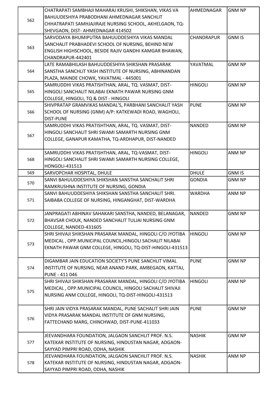|     | CHATRAPATI SAMBHAJI MAHARAJ KRUSHI, SHIKSHAN, VIKAS VA     | AHMEDNAGAR     | <b>GNM NP</b> |
|-----|------------------------------------------------------------|----------------|---------------|
|     | BAHUUDESHIYA PRABODHANI AHMEDNAGAR SANCHLIT                |                |               |
| 562 | CHHATRAPATI SAMHJAJIRAJE NURSING SCHOOL, AKHELGAON, TQ-    |                |               |
|     | SHEVGAON, DIST- AHMEDNAGAR 414502                          |                |               |
|     | SARVODAYA BHUMIPUTRA BAHUUDDESHIYA VIKAS MANDAL            | CHANDRAPUR     | <b>GNM IS</b> |
|     | SANCHALIT PRABHADEVI SCHOOL OF NURSING, BEHIND NEW         |                |               |
| 563 | ENGLISH HIGHSCHOOL, BESIDE RAJIV GANDHI KAMGAR BHAWAN,     |                |               |
|     | CHANDRAPUR-442401                                          |                |               |
|     | LATE RAMABHILASH BAHUUDDESHIYA SHIKSHAN PRASARAK           | YAVATMAL       | <b>GNM NP</b> |
| 564 | SANSTHA SANCHLIT YASH INSTITUTE OF NURSING, ABHINANDAN     |                |               |
|     | PLAZA, MAINDE CHOWK, YAVATMAL - 445001                     |                |               |
|     | SAMRUDDHI VIKAS PRATISHTHAN, ARAL, TQ. VASMAT, DIST-       | <b>HINGOLI</b> | <b>GNM NP</b> |
| 565 | HINGOLI SANCHALIT NILABAI EKNATH PAWAR NURSING GNM         |                |               |
|     | COLLEGE, HINGOLI, TQ & DIST - HINGOLI                      |                |               |
|     |                                                            | <b>PUNE</b>    | <b>GNM NP</b> |
|     | SHIVPRATAP GRAMVIKAS MANDAL'S, PARBHANI SANCHALIT YASH     |                |               |
| 566 | SCHOOL OF NURSING (GNM) A/P: KATKEWADI ROAD, WAGHOLI,      |                |               |
|     | <b>DIST-PUNE</b>                                           |                |               |
|     | SAMRUDDHI VIKAS PRATISHTHAN, ARAL, TQ. VASMAT, DIST-       | <b>NANDED</b>  | <b>GNM NP</b> |
| 567 | HINGOLI SANCHALIT SHRI SWAMI SAMARTH NURSING GNM           |                |               |
|     | COLLEGE, GANAPUR KAMATHA, TQ-ARDHAPUR, DIST-NANDED         |                |               |
|     |                                                            |                |               |
|     | SAMRUDDHI VIKAS PRATISHTHAN, ARAL, TQ-VASMAT, DIST-        | <b>HINGOLI</b> | <b>ANM NP</b> |
| 568 | HINGOLI SANCHALIT SHRI SWAMI SAMARTH NURSING COLLEGE,      |                |               |
|     | <b>HONGOLI-431513</b>                                      |                |               |
| 569 | SARVOPCHAR HOSPITAL, DHULE                                 | <b>DHULE</b>   | <b>GNM IS</b> |
| 570 | SANVI BAHUUDDESHIYA SHIKSHAN SANSTHA SANCHALIT SHRI        | <b>GONDIA</b>  | <b>GNM NP</b> |
|     | RAMKRUSHNA INSTITUTE OF NURSING, GONDIA                    |                |               |
|     | SANVI BAHUUDDESHIYA SHIKSHAN SANSTHA SANCHALIT SHRI.       | <b>WARDHA</b>  | ANM NP        |
| 571 | SAIBABA COLLEGE OF NURSING, HINGANGHAT, DIST-WARDHA        |                |               |
|     |                                                            |                |               |
|     | JANPRAGATI ABHINAV SAHAKARI SANSTHA, NANDED, BELANAGAR,    | <b>NANDED</b>  | <b>GNM NP</b> |
| 572 | BHAVSAR CHOUK, NANDED SANCHALIT TULJAI NURSING GNM         |                |               |
|     | COLLEGE, NANDED-431605                                     |                |               |
|     | SHRI SHIVAJI SHIKSHAN PRASARAK MANDAL, HINGOLI C/O JYOTIBA | <b>HINGOLI</b> | <b>GNM NP</b> |
|     | MEDICAL, OPP.MUNICIPAL COUNCIL, HINGOLI SACHALIT NILABAI   |                |               |
| 573 | EKNATH PAWAR GNM COLLEGE, HINGOLI, TQ-DIST-HINGOLI-431513  |                |               |
|     |                                                            |                |               |
|     | DIGAMBAR JAIN EDUCATION SOCIETY'S PUNE SANCHLIT VIMAL      | <b>PUNE</b>    | <b>GNM NP</b> |
| 574 | INSTITUTE OF NURSING, NEAR ANAND PARK, AMBEGAON, KATTAJ,   |                |               |
|     | PUNE - 411 046                                             |                |               |
|     | SHRI SHIVAJI SHIKSHAN PRASARAK MANDAL, HINGOLI C/O JYOTIBA | <b>HINGOLI</b> | ANM NP        |
|     | MEDICAL, OPP. MUNICIPAL COUNCIL, HINGOLI SACHALIT SHIVAJI  |                |               |
| 575 | NURSING ANM COLLEGE, HINGOLI, TQ-DIST-HINGOLI-431513       |                |               |
|     |                                                            |                |               |
|     | SHRI JAIN VIDYA PRASARAK MANDAL, PUNE SACHALIT SHRI JAIN   | <b>PUNE</b>    | <b>GNM NP</b> |
|     | VIDYA PRASARAK MANDAL INSTITUTE OF GNM NURSING,            |                |               |
| 576 | FATTECHAND MARG, CHINCHWAD, DIST-PUNE-411033               |                |               |
|     |                                                            |                |               |
|     | JEEVANDHARA FOUNDATION, JALGAON SANCHLIT PROF. N.S.        | <b>NASHIK</b>  | <b>GNM NP</b> |
| 577 | KATEKAR INSTITUTE OF NURSING, HINDUSTAN NAGAR, ADGAON-     |                |               |
|     |                                                            |                |               |
|     | SAYYAD PIMPRI ROAD, ODHA, NASHIK                           |                |               |
|     | JEEVANDHARA FOUNDATION, JALGAON SANCHLIT PROF. N.S.        | <b>NASHIK</b>  | ANM NP        |
| 578 | KATEKAR INSTITUTE OF NURSING, HINDUSTAN NAGAR, ADGAON-     |                |               |
|     | SAYYAD PIMPRI ROAD, ODHA, NASHIK                           |                |               |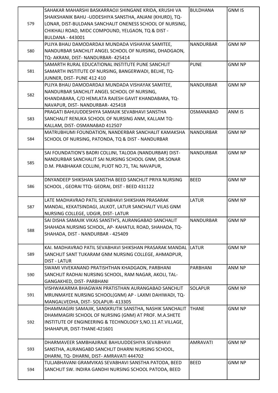|     | SAHAKAR MAHARSHI BASKARRAOJI SHINGANE KRIDA, KRUSHI VA      | <b>BULDHANA</b>  | <b>GNM IS</b> |
|-----|-------------------------------------------------------------|------------------|---------------|
|     | SHAIKSHANIK BAHU -UDDESHIYA SANSTHA, ANJANI (KHURD), TQ-    |                  |               |
| 579 | LONAR, DIST-BULDANA SANCHALIT ONENESS SCHOOL OF NURSING,    |                  |               |
|     | CHIKHALI ROAD, MIDC COMPOUND, YELGAON, TQ & DIST -          |                  |               |
|     | <b>BULDANA - 443001</b>                                     |                  |               |
|     | PUJYA BHAU DAMODARDAJI MUNDADA VISHAYAK SAMITEE,            | <b>NANDURBAR</b> | <b>GNM NP</b> |
| 580 | NANDURBAR SANCHLIT ANGEL SCHOOL OF NURSING, DHADGAON,       |                  |               |
|     | TQ- AKRANI, DIST- NANDURBAR- 425414                         |                  |               |
|     | SAMARTH RURAL EDUCATIONAL INSTITUTE PUNE SANCHLIT           | <b>PUNE</b>      | <b>GNM NP</b> |
| 581 | SAMARTH INSTITUTE OF NURSING, BANGERWADI, BELHE, TQ-        |                  |               |
|     | JUNNER, DIST- PUNE 412 410                                  |                  |               |
|     | PUJYA BHAU DAMODARDAJI MUNDADA VISHAYAK SAMITEE,            | <b>NANDURBAR</b> | <b>GNM NP</b> |
|     | NANDURBAR SANCHLIT ANGEL SCHOOL OF NURSING,                 |                  |               |
| 582 | KHANDABARA, C/O HEMLATA RAJESH GAVIT KHANDABARA, TQ-        |                  |               |
|     | NAVAPUR, DIST-NANDURBAR-425418                              |                  |               |
|     | PRAGATI BAHUUDDESHIYA SAMAJIK SEVABHAVI SANSTHA             | <b>OSMANABAD</b> | ANM IS        |
| 583 | SANCHALIT RENUKA SCHOOL OF NURSING ANM, KALLAM TQ-          |                  |               |
|     | KALLAM, DIST-OSMANABAD 412507                               |                  |               |
|     | MATRUBHUMI FOUNDATION, NANDERBAR SANCHALIT KAMAKSHA         | <b>NANDURBAR</b> | <b>GNM NP</b> |
| 584 | SCHOOL OF NURSING, PATONDA, TQ & DIST - NANDURBAR           |                  |               |
|     |                                                             |                  |               |
|     | SAI FOUNDATION'S BADRI COLLINI, TALODA (NANDURBAR) DIST-    | <b>NANDURBAR</b> | <b>GNM NP</b> |
|     | NANDURBAR SANCHALIT SAI NURSING SCHOOL GNM, DR.SONAR        |                  |               |
| 585 | D.M. PRABHAKAR COLLINI, PLIOT NO.71, TAL NAVAPUR,           |                  |               |
|     |                                                             |                  |               |
|     | DNYANDEEP SHIKSHAN SANSTHA BEED SANCHLIT PRIYA NURSING      | <b>BEED</b>      | <b>GNM NP</b> |
| 586 | SCHOOL, GEORAI TTQ- GEORAI, DIST - BEED 431122              |                  |               |
|     |                                                             |                  |               |
|     | LATE MADHAVRAO PATIL SEVABHAVI SHIKSHAN PRASARAK            | <b>LATUR</b>     | <b>GNM NP</b> |
| 587 | MANDAL, KEKATSINDAGI, JALKOT, LATUR SANCHALIT VILAS GNM     |                  |               |
|     | NURSING COLLEGE, UDGIR, DIST- LATUR                         |                  |               |
|     | SAI DISHA SAMAJIK VIKAS SANSTH'S, AURANGABAD SANCHALIT      | <b>NANDURBAR</b> | <b>GNM NP</b> |
| 588 | SHAHADA NURSING SCHOOL, AP- KAHATUL ROAD, SHAHADA, TQ-      |                  |               |
|     | SHAHADA, DIST - NANDURBAR - 425409                          |                  |               |
|     |                                                             |                  |               |
|     | KAI. MADHAVRAO PATIL SEVABHAVI SHIKSHAN PRASARAK MANDAL     | <b>LATUR</b>     | <b>GNM NP</b> |
| 589 | SANCHLIT SANT TUKARAM GNM NURSING COLLEGE, AHMADPUR,        |                  |               |
|     | <b>DIST - LATUR</b>                                         |                  |               |
|     | SWAMI VIVEKANAND PRATISHTHAN KHADGAON, PARBHANI             | <b>PARBHANI</b>  | ANM NP        |
| 590 | SANCHLIT RADHAI NURSING SCHOOL, RAM NAGAR, AKOLI, TAL-      |                  |               |
|     | GANGAKHED, DIST- PARBHANI                                   |                  |               |
|     | VISHWAKARMA BHAGWAN PRATISTHAN AURANGABAD SANCHLIT          | <b>SOLAPUR</b>   | <b>GNM NP</b> |
| 591 | MRUNMAYEE NURSING SCHOOL(GNM) AP - LAXMI DAHIWADI, TQ-      |                  |               |
|     | MANGALVEDHA, DIST-SOLAPUR-413305                            |                  |               |
|     | DHAMMAGIRI SAMAJIK, SANSKRUTIK SANSTHA, NASHIK SANCHALIT    | <b>THANE</b>     | <b>GNM NP</b> |
|     | DHAMMAGIRI SCHOOL OF NURSING (GNM) AT PROF. M.A.SHETE       |                  |               |
| 592 | INSTITUTE OF ENGINEERING & TECHNOLOGY S, NO.11 AT. VILLAGE, |                  |               |
|     | SHAHAPUR, DIST-THANE-421601                                 |                  |               |
|     |                                                             |                  |               |
|     | DHARMAVEER SAMBHAJIRAJE BAHUUDDESHIYA SEVABHAVI             | <b>AMRAVATI</b>  | <b>GNM NP</b> |
| 593 | SANSTHA, AURANGABD SANCHLIT DHARNI NURSING SCHOOL,          |                  |               |
|     | DHARNI, TQ- DHARNI, DIST- AMRAVATI 444702                   |                  |               |
|     | TULJABHAVANI GRAMVIKAS SEVABHAVI SANSTHA PATODA, BEED       | <b>BEED</b>      | <b>GNM NP</b> |
| 594 | SANCHLIT SW. INDIRA GANDHI NURSING SCHOOL PATODA, BEED      |                  |               |
|     |                                                             |                  |               |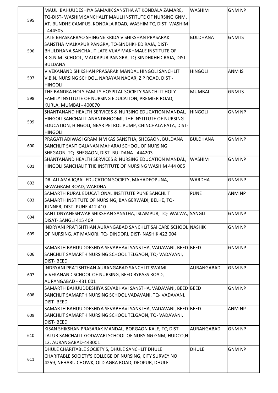|     | MAULI BAHUUDESHIYA SAMAJIK SANSTHA AT KONDALA ZAMARE,<br>TQ-DIST-WASHIM SANCHALIT MAULI INSTITUTE OF NURSING GNM, | <b>WASHIM</b>     | <b>GNM NP</b> |
|-----|-------------------------------------------------------------------------------------------------------------------|-------------------|---------------|
| 595 | AT. BUNDHE CAMPUS, KONDALA ROAD, WASHIM TQ-DIST-WASHIM                                                            |                   |               |
|     | - 444505                                                                                                          |                   |               |
|     | LATE BHASKARRAO SHINGNE KRIDA V SHIKSHAN PRASARAK                                                                 | <b>BULDHANA</b>   | <b>GNM IS</b> |
|     |                                                                                                                   |                   |               |
|     | SANSTHA MALKAPUR PANGRA, TQ-SINDHKHED RAJA, DIST-                                                                 |                   |               |
| 596 | BHULDHANA SANCHALIT LATE VIJAY MAKHMALE INSTITUTE OF                                                              |                   |               |
|     | R.G.N.M. SCHOOL, MALKAPUR PANGRA, TQ-SINDHKHED RAJA, DIST-                                                        |                   |               |
|     | <b>BULDANA</b>                                                                                                    |                   |               |
|     | VIVEKANAND SHIKSHAN PRASARAK MANDAL HINGOLI SANCHLIT                                                              | <b>HINGOLI</b>    | ANM IS        |
| 597 | V.B.N. NURSING SCHOOL, NARAYAN NAGAR, Z P ROAD, DIST -                                                            |                   |               |
|     | HINGOLI                                                                                                           |                   |               |
|     | THE BANDRA HOLY FAMILY HOSPITAL SOCIETY SANCHLIT HOLY                                                             | <b>MUMBAI</b>     | <b>GNM IS</b> |
| 598 | FAMILY INSTITUTE OF NURSING EDUCATION, PREMIER ROAD,                                                              |                   |               |
|     | KURLA, MUMBAI - 400070                                                                                            |                   |               |
|     | SHANTANAND HEALTH SERVICES & NURSING EDUCATION MANDAL,                                                            | <b>HINGOLI</b>    | <b>GNM NP</b> |
| 599 | HINGOLI SANCHALIT ANANDBHOOMI, THE INSTITUTE OF NURSING                                                           |                   |               |
|     | EDUCATION, HINGOLI, NEAR PETROL PUMP, CHINCHALA FATA, DIST-                                                       |                   |               |
|     | <b>HINGOLI</b>                                                                                                    |                   |               |
|     | PRAGATI ADIWASI GRAMIN VIKAS SANSTHA, SHEGAON, BULDANA                                                            | <b>BULDHANA</b>   | <b>GNM NP</b> |
| 600 | SANCHLIT SANT GAJANAN MAHARAJ SCHOOL OF NURSING                                                                   |                   |               |
|     | SHEGAON, TQ-SHEGAON, DIST-BULDANA - 444203                                                                        |                   |               |
|     | SHANTANAND HEALTH SERVICES & NURSING EDUCATION MANDAL,                                                            | <b>WASHIM</b>     | <b>GNM NP</b> |
| 601 | HINGOLI SANCHALIT THE INSTITUTE OF NURSING WASHIM 444 005                                                         |                   |               |
|     |                                                                                                                   |                   |               |
|     | DR. ALLAMA IQBAL EDUCATION SOCIETY, MAHADEOPUNA,                                                                  | <b>WARDHA</b>     | <b>GNM NP</b> |
| 602 | SEWAGRAM ROAD, WARDHA                                                                                             |                   |               |
|     | SAMARTH RURAL EDUCATIONAL INSTITUTE PUNE SANCHLIT                                                                 | <b>PUNE</b>       | ANM NP        |
| 603 | SAMARTH INSTITUTE OF NURSING, BANGERWADI, BELHE, TQ-                                                              |                   |               |
|     | JUNNER, DIST- PUNE 412 410                                                                                        |                   |               |
|     | SANT DNYANESHWAR SHIKSHAN SANSTHA, ISLAMPUR, TQ-WALWA, SANGLI                                                     |                   | <b>GNM NP</b> |
| 604 | DISAT-SANGLI 415 409                                                                                              |                   |               |
|     | INDRYANI PRATISHTHAN AURANGABAD SANCHLIT SAI CARE SCHOOL NASHIK                                                   |                   | <b>GNM NP</b> |
| 605 | OF NURSING, AT MANORI, TQ- DINDORI, DIST- NASHIK 422 004                                                          |                   |               |
|     |                                                                                                                   |                   |               |
|     | SAMARTH BAHUUDDESHIYA SEVABHAVI SANSTHA, VADAVANI, BEED BEED                                                      |                   | <b>GNM NP</b> |
| 606 | SANCHLIT SAMARTH NURSING SCHOOL TELGAON, TQ-VADAVANI,                                                             |                   |               |
|     | <b>DIST-BEED</b>                                                                                                  |                   |               |
|     | INDRYANI PRATISHTHAN AURANGABAD SANCHLIT SWAMI                                                                    | AURANGABAD        | <b>GNM NP</b> |
| 607 | VIVEKANAND SCHOOL OF NURSING, BEED BYPASS ROAD,                                                                   |                   |               |
|     | AURANGABAD - 431 001                                                                                              |                   |               |
|     |                                                                                                                   |                   | <b>GNM NP</b> |
|     | SAMARTH BAHUUDDESHIYA SEVABHAVI SANSTHA, VADAVANI, BEED BEED                                                      |                   |               |
| 608 | SANCHLIT SAMARTH NURSING SCHOOL VADAVANI, TQ- VADAVANI,                                                           |                   |               |
|     | <b>DIST-BEED</b>                                                                                                  |                   |               |
|     | SAMARTH BAHUUDDESHIYA SEVABHAVI SANSTHA, VADAVANI, BEED BEED                                                      |                   | ANM NP        |
| 609 | SANCHLIT SAMARTH NURSING SCHOOL TELGAON, TQ-VADAVANI,                                                             |                   |               |
|     | <b>DIST-BEED</b>                                                                                                  |                   |               |
|     | KISAN SHIKSHAN PRASARAK MANDAL, BORGAON KALE, TQ-DIST-                                                            | <b>AURANGABAD</b> | <b>GNM NP</b> |
| 610 | LATUR SANCHALIT GODAVARI SCHOOL OF NURSING GNM, HUDCO,N                                                           |                   |               |
|     | 12, AURANGABAD-443001                                                                                             |                   |               |
|     | DHULE CHARITABLE SOCIETY'S, DHULE SANCHLIT DHULE                                                                  | <b>DHULE</b>      | <b>GNM NP</b> |
| 611 | CHARITABLE SOCIETY'S COLLEGE OF NURSING, CITY SURVEY NO                                                           |                   |               |
|     | 4259, NEHARU CHOWK, OLD AGRA ROAD, DEOPUR, DHULE                                                                  |                   |               |
|     |                                                                                                                   |                   |               |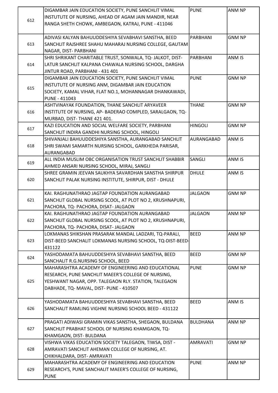|     | DIGAMBAR JAIN EDUCATION SOCIETY, PUNE SANCHLIT VIMAL       | <b>PUNE</b>     | <b>ANM NP</b> |
|-----|------------------------------------------------------------|-----------------|---------------|
|     | INSTUTUTE OF NURSING, AHEAD OF AGAM JAIN MANDIR, NEAR      |                 |               |
| 612 | RANGA SHETH CHOWK, AMBEGAON, KATRAJ, PUNE - 411046         |                 |               |
|     |                                                            |                 |               |
|     | ADIVASI KALYAN BAHUUDDESHIYA SEVABHAVI SANSTHA, BEED       | PARBHANI        | <b>GNM NP</b> |
| 613 | SANCHLIT RAJSHREE SHAHU MAHARAJ NURSING COLLEGE, GAUTAM    |                 |               |
|     | NAGAR, DIST- PARBHANI                                      |                 |               |
|     | SHRI SHRIKANT CHARITABLE TRUST, SONWALA, TQ- JALKOT, DIST- | PARBHANI        | ANM IS        |
| 614 | LATUR SANCHLIT KALPANA CHAWALA NURSING SCHOOL, DARGHA      |                 |               |
|     | JINTUR ROAD, PARBHANI - 431 401                            |                 |               |
|     | DIGAMBAR JAIN EDUCATION SOCIETY, PUNE SANCHLIT VIMAL       | <b>PUNE</b>     | <b>GNM NP</b> |
|     | INSTUTUTE OF NURSING ANM, DIGAMBAR JAIN EDUCATION          |                 |               |
| 615 | SOCIETY, KAMAL VIHAR, FLAT NO.1, MOHANNAGAR DHANKAWADI,    |                 |               |
|     | <b>PUNE - 411043</b>                                       |                 |               |
|     | ASHTVINAYAK FOUNDATION, THANE SANCHLIT ARYAVEER            | <b>THANE</b>    | <b>GNM NP</b> |
|     | INSTITUTE OF NURSING, AP- BADERAO COMPLED, SARALGAON, TQ-  |                 |               |
| 616 |                                                            |                 |               |
|     | MURBAD, DIST-THANE 421 401.                                | <b>HINGOLI</b>  | <b>GNM NP</b> |
| 617 | KAZI EDUCATION AND SOCIAL WELFARE SOCIETY, PARBHANI        |                 |               |
|     | SANCHLIT INDIRA GANDHI NURSING SCHOOL, HINGOLI             | AURANGABAD      |               |
|     | SHIVANJALI BAHUUDDESHIYA SANSTHA, AURANGABAD SANCHLIT      |                 | ANM IS        |
| 618 | SHRI SWAMI SAMARTH NURSING SCHOOL, GARKHEDA PARISAR,       |                 |               |
|     | <b>AURANGABAD</b>                                          |                 |               |
| 619 | ALL INDIA MUSLIM OBC ORGANISATION TRUST SANCHLIT SHABBIR   | SANGLI          | ANM IS        |
|     | AHMED ANSARI NURSING SCHOOL, MIRAJ, SANGLI                 |                 |               |
|     | SHREE GRAMIN JEEVAN SAUKHYA SAVARDHAN SANSTHA SHIRPUR      | <b>DHULE</b>    | ANM IS        |
| 620 | SANCHLIT PALAK NURSING INSTITUTE, SHIRPUR, DIST - DHULE    |                 |               |
|     |                                                            | <b>JALGAON</b>  | <b>GNM NP</b> |
|     | KAI. RAGHUNATHRAO JAGTAP FOUNDATION AURANGABAD             |                 |               |
| 621 | SANCHLIT GLOBAL NURSING SCOOL, AT PLOT NO 2, KRUSHNAPURI,  |                 |               |
|     | PACHORA, TQ- PACHORA, DISAT- JALGAON                       |                 |               |
| 622 | KAI. RAGHUNATHRAO JAGTAP FOUNDATION AURANGABAD             | <b>JALGAON</b>  | <b>ANM NP</b> |
|     | SANCHLIT GLOBAL NURSING SCOOL, AT PLOT NO 2, KRUSHNAPURI,  |                 |               |
|     | PACHORA, TQ- PACHORA, DISAT- JALGAON                       | <b>BEED</b>     | ANM NP        |
| 623 | LOKMANAS SHIKSHAN PRASARAK MANDAL LADZARI, TQ-PARALI,      |                 |               |
|     | DIST-BEED SANCHALIT LOKMANAS NURSING SCHOOL, TQ-DIST-BEED- |                 |               |
|     | 431122                                                     | <b>BEED</b>     | <b>GNM NP</b> |
| 624 | YASHODAMATA BAHUUDDESHIYA SEVABHAVI SANSTHA, BEED          |                 |               |
|     | SANCHALIT R.G.NURSING SCHOOL, BEED                         |                 |               |
|     | MAHARASHTRA ACADEMY OF ENGINEERING AND EDUCATIONAL         | <b>PUNE</b>     | <b>GNM NP</b> |
|     | RESEARCH, PUNE SANCHLIT MAEER'S COLLEGE OF NURSING,        |                 |               |
| 625 | YESHWANT NAGAR, OPP. TALEGAON RLY. STATION, TALEGAON       |                 |               |
|     | DABHADE, TQ- MAVAL, DIST- PUNE - 410507                    |                 |               |
|     |                                                            |                 |               |
|     | YASHODAMATA BAHUUDDESHIYA SEVABHAVI SANSTHA, BEED          | <b>BEED</b>     | ANM IS        |
| 626 | SANCHALIT RAMLING VIGHNE NURSING SCHOOL BEED - 431122      |                 |               |
|     |                                                            |                 |               |
|     | PRAGATI ADIWASI GRAMIN VIKAS SANSTHA, SHEGAON, BULDANA     | <b>BULDHANA</b> | ANM NP        |
| 627 | SANCHLIT PRABHAT SCHOOL OF NURSING KHAMGAON, TQ-           |                 |               |
|     | KHAMGAON, DIST- BULDANA                                    |                 |               |
|     | VISHWA VIKAS EDUCATION SOCIETY TALEGAON, TIWSA, DIST -     | <b>AMRAVATI</b> | <b>GNM NP</b> |
| 628 | AMRAVATI SANCHLIT AHEMAN COLLEGE OF NURSING, AT.           |                 |               |
|     | CHIKHALDARA, DIST- AMRAVATI                                |                 |               |
|     | MAHARASHTRA ACADEMY OF ENGINEERING AND EDUCATION           | <b>PUNE</b>     | ANM NP        |
| 629 | RESEARCH'S, PUNE SANCHALIT MAEER'S COLLEGE OF NURSING,     |                 |               |
|     | <b>PUNE</b>                                                |                 |               |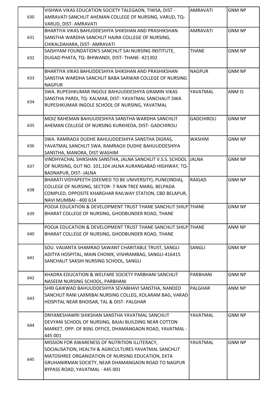|     | VISHWA VIKAS EDUCATION SOCIETY TALEGAON, TIWSA, DIST -                                                            | <b>AMRAVATI</b>   | <b>GNM NP</b> |
|-----|-------------------------------------------------------------------------------------------------------------------|-------------------|---------------|
| 630 | AMRAVATI SANCHLIT AHEMAN COLLEGE OF NURSING, VARUD, TQ-                                                           |                   |               |
|     | VARUD, DIST- AMRAVATI                                                                                             |                   |               |
|     | BHARTIYA VIKAS BAHUDDESHIYA SHIKSHAN AND PRASHIKSHAN                                                              | <b>AMRAVATI</b>   | <b>GNM NP</b> |
| 631 | SANSTHA WARDHA SANCHLIT HAJRA COLLEGE OF NURSING,                                                                 |                   |               |
|     | CHIKALDAHARA, DIST- AMRAVATI                                                                                      |                   |               |
|     | SAISHYAM FOUNDATION'S SANCHLIT SAI NURSING INSTITUTE,                                                             | <b>THANE</b>      | <b>GNM NP</b> |
| 632 | DUGAD PHATA, TQ- BHIWANDI, DIST- THANE- 421302                                                                    |                   |               |
|     |                                                                                                                   |                   |               |
|     | BHARTIYA VIKAS BAHUDDESHIYA SHIKSHAN AND PRASHIKSHAN                                                              | <b>NAGPUR</b>     | <b>GNM NP</b> |
| 633 | SANSTHA WARDHA SANCHLIT BABA SARWAR COLLEGE OF NURSING                                                            |                   |               |
|     | <b>NAGPUR</b>                                                                                                     |                   |               |
|     | SWA. RUPESHKUMAR INGOLE BAHUUDDESHIYA GRAMIN VIKAS                                                                | YAVATMAL          | ANM IS        |
|     | SANSTHA PARDI, TQ- KALMAB, DIST- YAVATMAL SANCHALIT SWA                                                           |                   |               |
| 634 | RUPESHKUMAR INGOLE SCHOOL OF NURSING, YAVATMAL                                                                    |                   |               |
|     |                                                                                                                   |                   |               |
|     | MOIZ RAHEMAN BAHUUDESHIYA SANSTHA WARDHA SANCHLIT                                                                 | <b>GADCHIROLI</b> | <b>GNM NP</b> |
| 635 | AHEMAN COLLEGE OF NURSING KURKHEDA, DIST- GADCHIROLI                                                              |                   |               |
|     |                                                                                                                   |                   |               |
|     | SWA. RAMRAOJI DUDHE BAHUUDDESHIYA SANSTHA DIGRAS,                                                                 | <b>WASHIM</b>     | <b>GNM NP</b> |
| 636 | YAVATMAL SANCHLIT SWA. RAMRAOJI DUDHE BAHUUDDESHIYA                                                               |                   |               |
|     | SANSTHA, MANORA, DIST WASHIM                                                                                      |                   |               |
|     | VINDHYACHAL SHIKSHAN SANSTHA, JALNA SANCHLIT V.S.S. SCHOOL JALNA                                                  |                   | <b>GNM NP</b> |
| 637 | OF NURSING, GUT NO. 101,104 JALNA AURANGABAD HIGHWAY, TQ-                                                         |                   |               |
|     | BADNAPUR, DIST- JALNA                                                                                             |                   |               |
|     | BHARATI VIDYAPEETH (DEEMED TO BE UNIVERSITY), PUNE(INDIA),                                                        | <b>RAIGAD</b>     | <b>GNM NP</b> |
|     | COLLEGE OF NURSING, SECTOR- 7 RAIN TREE MARG, BELPADA                                                             |                   |               |
| 638 |                                                                                                                   |                   |               |
|     | COMPLED, OPPOSITE KHARGHAR RAILWAY STATION, CBD BELAPUR,                                                          |                   |               |
|     | NAVI MUMBAI - 400 614<br>POOJA EDUCATION & DEVELOPMENT TRUST THANE SANCHLIT SHILP THANE                           |                   |               |
|     |                                                                                                                   |                   | <b>GNM NP</b> |
| 639 | BHARAT COLLEGE OF NURSING, GHODBUNDER ROAD, THANE                                                                 |                   |               |
|     | POOJA EDUCATION & DEVELOPMENT TRUST THANE SANCHLIT SHILP THANE                                                    |                   | ANM NP        |
| 640 | BHARAT COLLEGE OF NURSING, GHODBUNDER ROAD, THANE                                                                 |                   |               |
|     |                                                                                                                   |                   |               |
|     | SOU. VAIJANTA SHAMRAO SAWANT CHARITABLE TRUST, SANGLI                                                             | SANGLI            | <b>GNM NP</b> |
|     | ADITYA HOSPITAL, MAIN CHOWK, VISHRAMBAG, SANGLI-416415                                                            |                   |               |
| 641 | SANCHALIT SAKSHI NURSING SCHOOL, SANGLI                                                                           |                   |               |
|     |                                                                                                                   |                   |               |
|     | KHADRA EDUCATION & WELFARE SOCIETY PARBHANI SANCHLIT                                                              | PARBHANI          | <b>GNM NP</b> |
| 642 | NASEEM NURSING SCHOOL, PARBHANI                                                                                   |                   |               |
|     | SHRI GAIKWAD BAHUUDDESHIYA SEVABHAVI SANSTHA, NANDED                                                              | PALGHAR           | ANM NP        |
|     | SANCHLIT RANI LAXMIBAI NURSING COLLEG, KOLARAM BAG, VARAD                                                         |                   |               |
| 643 | HOSPITAL NEAR BHOISAR, TAL & DIST- PALGHAR                                                                        |                   |               |
|     |                                                                                                                   |                   |               |
|     | DNYANESHAWRI SHIKSHAN SANSTHA YAVATMAL SANCHLIT                                                                   | YAVATMAL          | <b>GNM NP</b> |
|     |                                                                                                                   |                   |               |
| 644 | DEVYANI SCHOOL OF NURSING, BAJAJ BUILDING NEAR COTTON<br>MARKET, OPP. OF BSNL OFFICE, DHAMANGAON ROAD, YAVATMAL - |                   |               |
|     |                                                                                                                   |                   |               |
|     | 445 001                                                                                                           |                   |               |
|     | MISSION FOR AWARENESS OF NUTRITION ILLITERACY,                                                                    | YAVATMAL          | <b>GNM NP</b> |
|     | SOCIALISATION, HEALTH & AGRICULTURES YAVATMAL SANCHLIT                                                            |                   |               |
| 645 | MATOSHREE ORGANIZATION OF NURSING EDUCATION, EKTA                                                                 |                   |               |
|     | GRUHANIRMAN SOCIETY, NEAR DHAMANGAON ROAD TO NAGPUR                                                               |                   |               |
|     | BYPASS ROAD, YAVATMAL - 445 001                                                                                   |                   |               |
|     |                                                                                                                   |                   |               |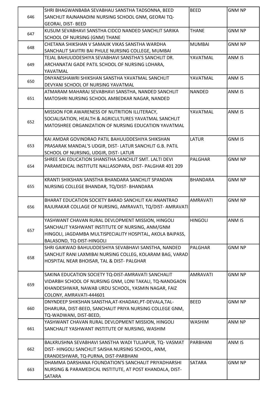| 646 | SHRI BHAGWANBABA SEVABHAU SANSTHA TADSONNA, BEED<br>SANCHLIT RAJNANADINI NURSING SCHOOL GNM, GEORAI TQ-<br><b>GEORAI, DIST- BEED</b>                                                             | <b>BEED</b>     | <b>GNM NP</b> |
|-----|--------------------------------------------------------------------------------------------------------------------------------------------------------------------------------------------------|-----------------|---------------|
| 647 | KUSUM SEVABHAVI SANSTHA CIDCO NANDED SANCHLIT SARIKA<br>SCHOOL OF NURSING (GNM) THANE                                                                                                            | <b>THANE</b>    | <b>GNM NP</b> |
| 648 | CHETANA SHIKSHAN V SAMAJIK VIKAS SANSTHA WARDHA<br>SANCHALIT SAVITRI BAI PHULE NURSING COLLEGE, MUMBAI                                                                                           | <b>MUMBAI</b>   | <b>GNM NP</b> |
| 649 | TEJAL BAHUUDDESHIYA SEVABHAVI SANSTHA'S SANCHLIT DR.<br>ARCHANATAI GADE PATIL SCHOOL OF NURSING LOHARA,<br>YAVATMAL                                                                              | YAVATMAL        | <b>ANM IS</b> |
| 650 | DNYANESHAWRI SHIKSHAN SANSTHA YAVATMAL SANCHLIT<br>DEVYANI SCHOOL OF NURSING YAVATMAL                                                                                                            | YAVATMAL        | ANM IS        |
| 651 | ATMARAM MAHARAJ SEVABHAVI SANSTHA, NANDED SANCHLIT<br>MATOSHRI NURSING SCHOOL AMBEDKAR NAGAR, NANDED                                                                                             | <b>NANDED</b>   | ANM IS        |
| 652 | MISSION FOR AWARENESS OF NUTRITION ILLITERACY,<br>SOCIALISATION, HEALTH & AGRICULTURES YAVATMAL SANCHLIT<br>MATOSHREE ORGANIZATION OF NURSING EDUCATION YAVATMAL                                 | YAVATMAL        | ANM IS        |
| 653 | KAI AMDAR GOVINDRAO PATIL BAHUUDDESHIYA SHIKSHAN<br>PRASARAK MANDAL'S UDGIR, DIST- LATUR SANCHLIT G.B. PATIL<br>SCHOOL OF NURSING, UDGIR, DIST-LATUR                                             | <b>LATUR</b>    | <b>GNM IS</b> |
| 654 | SHREE SAI EDUCATION SHANSTHA SANCHLIT SMT. LALTI DEVI<br>PARAMEDICAL INSTITUTE NALLASOPARA, DIST- PALGHAR 401 209                                                                                | <b>PALGHAR</b>  | <b>GNM NP</b> |
| 655 | KRANTI SHIKSHAN SANSTHA BHANDARA SANCHLIT SPANDAN<br>NURSING COLLEGE BHANDAR, TQ/DIST- BHANDARA                                                                                                  | <b>BHANDARA</b> | <b>GNM NP</b> |
| 656 | BHARAT EDUCATION SOCIETY BARAD SANCHLIT KAI ANANTRAO<br>RAJURAKAR COLLAGE OF NURSING, AMRAVATI, TQ/DIST-AMRAVATI                                                                                 | <b>AMRAVATI</b> | <b>GNM NP</b> |
| 657 | YASHWANT CHAVAN RURAL DEVLOPMENT MISSION, HINGOLI<br>SANCHALIT YASHWANT INSTITUTE OF NURSING, ANM/GNM<br>HINGOLI, JAGDAMBA MULTISPECIALITY HOSPITAL, AKOLA BAIPASS,<br>BALASOND, TQ-DIST-HINGOLI | <b>HINGOLI</b>  | ANM IS        |
| 658 | SHRI GAIKWAD BAHUUDDESHIYA SEVABHAVI SANSTHA, NANDED<br>SANCHLIT RANI LAXMIBAI NURSING COLLEG, KOLARAM BAG, VARAD<br>HOSPITAL NEAR BHOISAR, TAL & DIST- PALGHAR                                  | <b>PALGHAR</b>  | <b>GNM NP</b> |
| 659 | SAKINA EDUCATION SOCIETY TQ-DIST-AMRAVATI SANCHALIT<br>VIDARBH SCHOOL OF NURSING GNM, LONI TAKALI, TQ-NANDGAON<br>KHANDESHWAR, NAWAB URDU SCHOOL, YASMIN NAGAR, FAIZ<br>COLONY, AMRAVATI-444601  | <b>AMRAVATI</b> | <b>GNM NP</b> |
| 660 | DNYNDEEP SHIKSHAN SANSTHA, AT-KHADAKI, PT-DEVALA, TAL-<br>DHARURA, DIST-BEED, SANCHALIT PRIYA NURSING COLLEGE GNM,<br>TQ-WADWANI, DIST-BEED,                                                     | <b>BEED</b>     | <b>GNM NP</b> |
| 661 | YASHWANT CHAVAN RURAL DEVLOPMENT MISSION, HINGOLI<br>SANCHALIT YASHWANT INSTITUTE OF NURSING, WASHIM                                                                                             | <b>WASHIM</b>   | ANM NP        |
| 662 | BALKRUSHNA SEVABHAVI SANSTHA WADI TULJAPUR, TQ- VASMAT<br>DIST-HINGOLI SANCHLIT SAISHA NURSING SCHOOL, ANM,<br>ERANDESHWAR, TQ-PURNA, DIST-PARBHANI                                              | PARBHANI        | ANM IS        |
| 663 | DHAMMA DARSHANA FOUNDATION'S SANCHALIT PRIYADHARSHI<br>NURSING & PARAMEDICAL INSTITUTE, AT POST KHANDALA, DIST-<br><b>SATARA</b>                                                                 | <b>SATARA</b>   | <b>GNM NP</b> |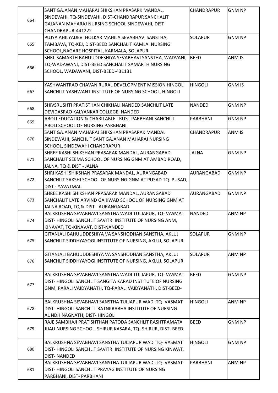|     | SANT GAJANAN MAHARAJ SHIKSHAN PRASARK MANDAL,                                         | CHANDRAPUR     | <b>GNM NP</b> |
|-----|---------------------------------------------------------------------------------------|----------------|---------------|
|     | SINDEVAHI, TQ-SINDEVAHI, DIST-CHANDRAPUR SANCHALIT                                    |                |               |
| 664 | GAJANAN MAHARAJ NURSING SCHOOL SINDEWAHI, DIST-                                       |                |               |
|     | CHANDRAPUR-441222                                                                     |                |               |
|     | PUJYA AHILYADEVI HOLKAR MAHILA SEVABHAVI SANSTHA,                                     | <b>SOLAPUR</b> | <b>GNM NP</b> |
| 665 | TAMBAVA, TQ-KEJ, DIST-BEED SANCHALIT KAMLAI NURSING                                   |                |               |
|     | SCHOOL, NAGARE HOSPITAL, KARMALA, SOLAPUR                                             |                |               |
|     | SHRI. SAMARTH BAHUUDDESHIYA SEVABHAVI SANSTHA, WADVANI,                               | BEED           | ANM IS        |
|     |                                                                                       |                |               |
| 666 | TQ-WADAWANI, DIST-BEED SANCHALIT SAMARTH NURSING                                      |                |               |
|     | SCHOOL, WADAWANI, DIST-BEED-431131                                                    |                |               |
|     |                                                                                       |                |               |
|     | YASHWANTRAO CHAVAN RURAL DEVELOPMENT MISSION HINGOLI                                  | HINGOLI        | <b>GNM IS</b> |
| 667 | SANCHLIT YASHWANT INSTITUTE OF NURSING SCHOOL, HINGOLI                                |                |               |
|     | SHIVSRUSHTI PRATISTHAN CHIKHALI NANDED SANCHLIT LATE                                  | <b>NANDED</b>  | <b>GNM NP</b> |
| 668 |                                                                                       |                |               |
|     | DEVIDASRAO KALYANKAR COLLEGE, NANDED                                                  |                |               |
| 669 | ABOLI EDUCATION & CHARITABLE TRUST PARBHANI SANCHLIT                                  | PARBHANI       | <b>GNM NP</b> |
|     | ABOLI SCHOOL OF NURSING PARBHANI                                                      |                |               |
|     | SANT GAJANAN MAHARAJ SHIKSHAN PRASARAK MANDAL                                         | CHANDRAPUR     | ANM IS        |
| 670 | SINDEWAHI, SANCHLIT SANT GAJANAN MAHARAJ NURSING                                      |                |               |
|     | SCHOOL, SINDEWAHI CHANDRAPUR                                                          |                |               |
|     | SHREE KASHI SHIKSHAN PRASARAK MANDAL, AURANGABAD                                      | <b>JALNA</b>   | <b>GNM NP</b> |
| 671 | SANCHALIT SEEMA SCHOOL OF NURSING GNM AT AMBAD ROAD,                                  |                |               |
|     | JALNA, TQ & DIST - JALNA                                                              |                |               |
|     | SHRI KASHI SHIKSHAN PRASARAK MANDAL, AURANGABAD                                       | AURANGABAD     | <b>GNM NP</b> |
| 672 | SANCHLIT SAKSHI SCHOOL OF NURSING GNM AT PUSAD TQ- PUSAD,                             |                |               |
|     | <b>DIST - YAVATMAL</b>                                                                |                |               |
|     | SHREE KASHI SHIKSHAN PRASARAK MANDAL, AURANGABAD                                      | AURANGABAD     | <b>GNM NP</b> |
| 673 | SANCHALIT LATE ARVIND GAIKWAD SCHOOL OF NURSING GNM AT                                |                |               |
|     | JALNA ROAD, TQ & DIST - AURANGABAD                                                    |                |               |
|     | BALKRUSHNA SEVABHAVI SANSTHA WADI TULJAPUR, TQ- VASMAT                                | NANDED         | <b>ANM NP</b> |
| 674 | DIST-HINGOLI SANCHLIT SAVITRI INSTITUTE OF NURSING ANM,                               |                |               |
|     | KINAVAT, TQ-KINAVAT, DIST-NANDED                                                      |                |               |
|     | GITANJALI BAHUUDDESHIYA VA SANSHODHAN SANSTHA, AKLUJ                                  | <b>SOLAPUR</b> | <b>GNM NP</b> |
| 675 | SANCHLIT SIDDHYAYOGI INSTITUTE OF NURSING, AKLUJ, SOLAPUR                             |                |               |
|     |                                                                                       |                |               |
|     | GITANJALI BAHUUDDESHIYA VA SANSHODHAN SANSTHA, AKLUJ                                  | <b>SOLAPUR</b> | ANM NP        |
| 676 | SANCHLIT SIDDHYAYOGI INSTITUTE OF NURSING, AKLUJ, SOLAPUR                             |                |               |
|     |                                                                                       |                |               |
|     | BALKRUSHNA SEVABHAVI SANSTHA WADI TULJAPUR, TQ- VASMAT                                | <b>BEED</b>    | <b>GNM NP</b> |
|     | DIST-HINGOLI SANCHLIT SANGITA KARAD INSTITUTE OF NURSING                              |                |               |
| 677 | GNM, PARALI VAIDYANATH, TQ-PARALI VAIDYANATH, DIST-BEED-                              |                |               |
|     |                                                                                       |                |               |
|     | BALKRUSHNA SEVABHAVI SANSTHA TULJAPUR WADI TQ- VASMAT                                 | <b>HINGOLI</b> | ANM NP        |
| 678 | DIST-HINGOLI SANCHLIT RATNPRABHA INSTITUTE OF NURSING                                 |                |               |
|     |                                                                                       |                |               |
|     | AUNDH NAGNATH, DIST- HINGOLI<br>RAJE SAMBHAJI PRATISHTHAN PATODA SANCHLIT RASHTRAMATA | <b>BEED</b>    | <b>GNM NP</b> |
|     |                                                                                       |                |               |
| 679 | JIJAU NURSING SCHOOL, SHIRUR KASARA, TQ- SHIRUR, DIST- BEED                           |                |               |
|     | BALKRUSHNA SEVABHAVI SANSTHA TULJAPUR WADI TQ- VASMAT                                 | <b>HINGOLI</b> | <b>GNM NP</b> |
| 680 | DIST-HINGOLI SANCHLIT SAVITRI INSTITUTE OF NURSING KINWAT,                            |                |               |
|     | <b>DIST-NANDED</b>                                                                    |                |               |
|     | BALKRUSHNA SEVABHAVI SANSTHA TULJAPUR WADI TQ- VASMAT                                 | PARBHANI       | ANM NP        |
| 681 | DIST-HINGOLI SANCHLIT PRAYAG INSTITUTE OF NURSING                                     |                |               |
|     |                                                                                       |                |               |
|     | PARBHANI, DIST- PARBHANI                                                              |                |               |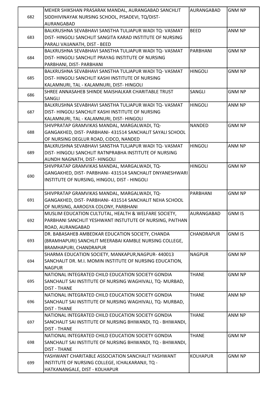|     | MEHER SHIKSHAN PRASARAK MANDAL, AURANGABAD SANCHLIT                                    | <b>AURANGABAD</b> | <b>GNM NP</b> |
|-----|----------------------------------------------------------------------------------------|-------------------|---------------|
| 682 | SIDDHIVINAYAK NURSING SCHOOL, PISADEVI, TQ/DIST-                                       |                   |               |
|     | AURANGABAD                                                                             |                   |               |
|     | BALKRUSHNA SEVABHAVI SANSTHA TULJAPUR WADI TQ- VASMAT                                  | <b>BEED</b>       | ANM NP        |
| 683 | DIST-HINGOLI SANCHLIT SANGITA KARAD INSTITUTE OF NURSING                               |                   |               |
|     | PARALI VAIJANATH, DIST - BEED<br>BALKRUSHNA SEVABHAVI SANSTHA TULJAPUR WADI TQ- VASMAT | PARBHANI          | <b>GNM NP</b> |
|     | DIST-HINGOLI SANCHLIT PRAYAG INSTITUTE OF NURSING                                      |                   |               |
| 684 | PARBHANI, DIST- PARBHANI                                                               |                   |               |
|     | BALKRUSHNA SEVABHAVI SANSTHA TULJAPUR WADI TQ- VASMAT                                  | <b>HINGOLI</b>    | <b>GNM NP</b> |
| 685 | DIST-HINGOLI SANCHLIT KASHI INSTITUTE OF NURSING                                       |                   |               |
|     | KALAMNURI, TAL - KALAMNURI, DIST- HINGOLI                                              |                   |               |
|     | SHREE ANNASAHEB SHINDE MAISHALKAR CHARITABLE TRUST                                     | SANGLI            | <b>GNM NP</b> |
| 686 | <b>SANGLI</b>                                                                          |                   |               |
|     | BALKRUSHNA SEVABHAVI SANSTHA TULJAPUR WADI TQ- VASMAT                                  | <b>HINGOLI</b>    | ANM NP        |
| 687 | DIST-HINGOLI SANCHLIT KASHI INSTITUTE OF NURSING                                       |                   |               |
|     | KALAMNURI, TAL - KALAMNURI, DIST- HINGOLI                                              |                   |               |
|     | SHIVPRATAP GRAMVIKAS MANDAL, MARGALWADI, TQ-                                           | <b>NANDED</b>     | <b>GNM NP</b> |
| 688 | GANGAKHED, DIST- PARBHANI-431514 SANCHALIT SAYALI SCHOOL                               |                   |               |
|     | OF NURSING DEGLUR ROAD, CIDCO, NANDED                                                  |                   |               |
|     | BALKRUSHNA SEVABHAVI SANSTHA TULJAPUR WADI TQ- VASMAT                                  | <b>HINGOLI</b>    | ANM NP        |
| 689 | DIST-HINGOLI SANCHLIT RATNPRABHA INSTITUTE OF NURSING                                  |                   |               |
|     | AUNDH NAGNATH, DIST- HINGOLI                                                           |                   |               |
|     | SHIVPRATAP GRAMVIKAS MANDAL, MARGALWADI, TQ-                                           | <b>HINGOLI</b>    | <b>GNM NP</b> |
|     | GANGAKHED, DIST- PARBHANI- 431514 SANCHALIT DNYANESHWARI                               |                   |               |
| 690 | INSTITUTE OF NURSING, HINGOLI, DIST - HINGOLI                                          |                   |               |
|     |                                                                                        |                   |               |
|     | SHIVPRATAP GRAMVIKAS MANDAL, MARGALWADI, TQ-                                           | PARBHANI          | <b>GNM NP</b> |
| 691 | GANGAKHED, DIST- PARBHANI- 431514 SANCHALIT NEHA SCHOOL                                |                   |               |
|     | OF NURSING, AAROGYA COLONY, PARBHANI                                                   |                   |               |
|     | MUSLIM EDUCATION CULTUTAL, HEALTH & WELFARE SOCIETY,                                   | AURANGABAD        | <b>GNM IS</b> |
| 692 | PARBHANI SANCHLIT YESHWANT INSTUTUTE OF NURSING, PAITHAN                               |                   |               |
|     | ROAD, AURANGABAD                                                                       |                   |               |
|     |                                                                                        |                   |               |
|     | DR. BABASAHEB AMBEDKAR EDUCATION SOCIETY, CHANDA                                       | CHANDRAPUR        | <b>GNM IS</b> |
| 693 | (BRAMHAPURI) SANCHLIT MEERABAI KAMBLE NURSING COLLEGE,                                 |                   |               |
|     | <b>BRAMHAPURI, CHANDRAPUR</b>                                                          |                   |               |
|     | SHARMA EDUCATION SOCIETY, MANKAPUR, NAGPUR-440013                                      | <b>NAGPUR</b>     | <b>GNM NP</b> |
| 694 | SANCHALIT DR. M.I. MOMIN INSTITUTE OF NURSING EDUCATION,                               |                   |               |
|     | <b>NAGPUR</b>                                                                          |                   |               |
|     | NATIONAL INTEGRATED CHILD EDUCATION SOCIETY GONDIA                                     | <b>THANE</b>      | <b>GNM NP</b> |
| 695 | SANCHALIT SAI INSTITUTE OF NURSING WAGHIVALI, TQ- MURBAD,                              |                   |               |
|     | <b>DIST - THANE</b>                                                                    |                   |               |
|     | NATIONAL INTEGRATED CHILD EDUCATION SOCIETY GONDIA                                     | <b>THANE</b>      | ANM NP        |
| 696 | SANCHALIT SAI INSTITUTE OF NURSING WAGHIVALI, TQ- MURBAD,                              |                   |               |
|     | <b>DIST - THANE</b>                                                                    |                   |               |
|     | NATIONAL INTEGRATED CHILD EDUCATION SOCIETY GONDIA                                     | <b>THANE</b>      | ANM NP        |
| 697 | SANCHALIT SAI INSTITUTE OF NURSING BHIWANDI, TQ - BHIWANDI,                            |                   |               |
|     | <b>DIST - THANE</b>                                                                    |                   |               |
|     | NATIONAL INTEGRATED CHILD EDUCATION SOCIETY GONDIA                                     | <b>THANE</b>      | <b>GNM NP</b> |
| 698 | SANCHALIT SAI INSTITUTE OF NURSING BHIWANDI, TQ - BHIWANDI,                            |                   |               |
|     | <b>DIST - THANE</b>                                                                    |                   |               |
|     | YASHWANT CHARITABLE ASSOCIATION SANCHALIT YASHWANT                                     | <b>KOLHAPUR</b>   | <b>GNM NP</b> |
| 699 | INSTITUTE OF NURSING COLLEGE, ICHALKARANJI, TQ -<br>HATKANANGALE, DIST - KOLHAPUR      |                   |               |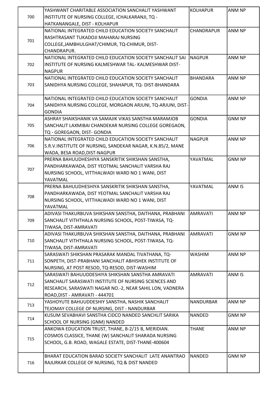|     | YASHWANT CHARITABLE ASSOCIATION SANCHALIT YASHWANT         | <b>KOLHAPUR</b>  | ANM NP        |
|-----|------------------------------------------------------------|------------------|---------------|
| 700 | INSTITUTE OF NURSING COLLEGE, ICHALKARANJI, TQ -           |                  |               |
|     | HATKANANGALE, DIST - KOLHAPUR                              |                  |               |
|     | NATIONAL INTEGRATED CHILD EDUCATION SOCIETY SANCHALIT      | CHANDRAPUR       | ANM NP        |
|     | RASHTRASANT TUKADOJI MAHARAJ NURSING                       |                  |               |
| 701 | COLLEGE, JAMBHULGHAT/CHIMUR, TQ-CHIMUR, DIST-              |                  |               |
|     | CHANDRAPUR.                                                |                  |               |
|     | NATIONAL INTEGRATED CHILD EDUCATION SOCIETY SANCHALIT SAI  | INAGPUR          | ANM NP        |
| 702 | INSTITUTE OF NURSING KALMESHWAR TAL- KALMESHWAR DIST-      |                  |               |
|     | <b>NAGPUR</b>                                              |                  |               |
|     | NATIONAL INTEGRATED CHILD EDUCATION SOCIETY SANCHALIT      | <b>BHANDARA</b>  | ANM NP        |
| 703 | SANIDHYA NURSING COLLEGE, SHAHAPUR, TQ- DIST-BHANDARA      |                  |               |
|     |                                                            |                  |               |
|     | NATIONAL INTEGRATED CHILD EDUCATION SOCIETY SANCHALIT      | <b>GONDIA</b>    | ANM NP        |
|     | SANIDHYA NURSING COLLEGE, MORGAON ARJUNI, TQ-ARJUNI, DIST- |                  |               |
| 704 |                                                            |                  |               |
|     | <b>GONDIA</b>                                              | <b>GONDIA</b>    |               |
|     | ASHRAY SHAIKSHANIK VA SAMAJIK VIKAS SANSTHA MARAMJOB       |                  | <b>GNM NP</b> |
| 705 | SANCHALIT LAXMIBAI CHANDEKAR NURSING COLLEGE GOREGAON,     |                  |               |
|     | TQ - GOREGAON, DIST- GONDIA                                |                  |               |
|     | NATIONAL INTEGRATED CHILD EDUCATION SOCIETY SANCHALIT      | <b>NAGPUR</b>    | ANM NP        |
| 706 | S.R.V.INSTITUTE OF NURSING, SANDEKAR NAGAR, K.N.85/2, MANE |                  |               |
|     | WADA, BESA ROAD, DIST-NAGPUR                               |                  |               |
|     | PRERNA BAHUUDHESHIYA SANSKRITIK SHIKSHAN SANSTHA,          | YAVATMAL         | <b>GNM NP</b> |
| 707 | PANDHARKAWADA, DIST YEOTMAL SANCHALIT VARSHA RAJ           |                  |               |
|     | NURSING SCHOOL, VITTHALWADI WARD NO 1 WANI, DIST           |                  |               |
|     | YAVATMAL                                                   |                  |               |
|     | PRERNA BAHUUDHESHIYA SANSKRITIK SHIKSHAN SANSTHA,          | YAVATMAL         | <b>ANM IS</b> |
| 708 | PANDHARKAWADA, DIST YEOTMAL SANCHALIT VARSHA RAJ           |                  |               |
|     | NURSING SCHOOL, VITTHALWADI WARD NO 1 WANI, DIST           |                  |               |
|     | YAVATMAL                                                   |                  |               |
|     | ADIVASI THAKURBUVA SHIKSHAN SANSTHA, DAITHANA, PRABHANI    | IAMRAVATI        | <b>ANM NP</b> |
| 709 | SANCHALIT VITHTHALA NURSING SCHOOL, POST-TIWASA, TQ-       |                  |               |
|     | TIWASA, DIST-AMRAVATI                                      |                  |               |
|     | ADIVASI THAKURBUVA SHIKSHAN SANSTHA, DAITHANA, PRABHANI    | <b>AMRAVATI</b>  | <b>GNM NP</b> |
| 710 | SANCHALIT VITHTHALA NURSING SCHOOL, POST-TIWASA, TQ-       |                  |               |
|     | TIWASA, DIST-AMRAVATI                                      |                  |               |
|     | SARASWATI SHIKSHAN PRASARAK MANDAL TIVATHANA, TQ-          | <b>WASHIM</b>    | ANM NP        |
| 711 | SONPETH, DIST-PRABHANI SANCHALIT ABHISHEK INSTITUTE OF     |                  |               |
|     | NURSING, AT POST RESOD, TQ-RESOD, DIST-WASHIM              |                  |               |
|     | SARASWATI BAHUUDDESHIYA SHIKSHAN SANSTHA AMRAVATI          | <b>AMRAVATI</b>  | ANM IS        |
| 712 | SANCHALIT SARASWATI INSTITUTE OF NURSING SCIENCES AND      |                  |               |
|     | RESEARCH, SARASWATI NAGAR NO.-2, NEAR SAHIL LON, VADNERA   |                  |               |
|     | ROAD, DIST - AMRAVATI - 444701                             |                  |               |
| 713 | YASHOYUTE BAHUUDDESHIY SANSTHA, NASHIK SANCHALIT           | <b>NANDURBAR</b> | ANM NP        |
|     | TEJOMAY COLLEGE OF NURSING, DIST - NANDURBAR               |                  |               |
| 714 | KUSUM SEVABHAVI SANSTHA CIDCO NANDED SANCHLIT SARIKA       | <b>NANDED</b>    | <b>GNM NP</b> |
|     | SCHOOL OF NURSING (GNM) NANDED                             |                  |               |
|     | ANKOWA EDUCATION TRUST, THANE, B-2/15 B, MERIDIAN.         | <b>THANE</b>     | ANM NP        |
| 715 | COSMOS CLASSICE, THANE (W) SANCHALIT SHARADA NURSING       |                  |               |
|     | SCHOOL, G.B. ROAD, WAGALE ESTATE, DIST-THANE-400604        |                  |               |
|     |                                                            |                  |               |
|     | BHARAT EDUCATION BARAD SOCIETY SANCHALIT LATE ANANTRAO     | <b>NANDED</b>    | <b>GNM NP</b> |
| 716 | RAJURKAR COLLEGE OF NURSING, TQ & DIST NANDED              |                  |               |
|     |                                                            |                  |               |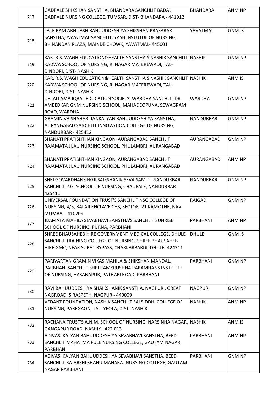| 717 | GADPALE SHIKSHAN SANSTHA, BHANDARA SANCHLIT BADAL<br>GADPALE NURSING COLLEGE, TUMSAR, DIST- BHANDARA - 441912                                                               | <b>BHANDARA</b>  | ANM NP        |
|-----|-----------------------------------------------------------------------------------------------------------------------------------------------------------------------------|------------------|---------------|
| 718 | LATE RAM ABHILASH BAHUUDDESHIYA SHIKSHAN PRASARAK<br>SANSTHA, YAVATMAL SANCHLIT, YASH INSTUTUE OF NURSING,<br>BHINANDAN PLAZA, MAINDE CHOWK, YAVATMAL-445001                | YAVATMAL         | <b>GNM IS</b> |
| 719 | KAR. R.S. WAGH EDUCATION&HEALTH SANSTHA'S NASHIK SANCHLIT NASHIK<br>KADWA SCHOOL OF NURSING, R. NAGAR MATEREWADI, TAL-<br>DINDORI, DIST- NASHIK                             |                  | <b>GNM NP</b> |
| 720 | KAR. R.S. WAGH EDUCATION&HEALTH SANSTHA'S NASHIK SANCHLIT NASHIK<br>KADWA SCHOOL OF NURSING, R. NAGAR MATEREWADI, TAL-<br>DINDORI, DIST- NASHIK                             |                  | ANM IS        |
| 721 | DR. ALLAMA IQBAL EDUCATION SOCIETY, WARDHA SANCHLIT DR.<br>AMBEDKAR GNM NURSING SCHOOL, MAHADEOPUNA, SEWAGRAM<br>ROAD, WARDHA                                               | <b>WARDHA</b>    | <b>GNM NP</b> |
| 722 | GRAMIN VA SHAHARI JANKALYAN BAHUUDDESHIYA SANSTHA,<br>AURANGABAD SANCHLIT INNOVATION COLLEGE OF NURSING,<br>NANDURBAR - 425412                                              | <b>NANDURBAR</b> | <b>GNM NP</b> |
| 723 | SHANATI PRATISHTHAN KINGAON, AURANGABAD SANCHLIT<br>RAJAMATA JIJAU NURSING SCHOOL, PHULAMBRI, AURANGABAD                                                                    | AURANGABAD       | <b>GNM NP</b> |
| 724 | SHANATI PRATISHTHAN KINGAON, AURANGABAD SANCHLIT<br>RAJAMATA JIJAU NURSING SCHOOL, PHULAMBRI, AURANGABAD                                                                    | AURANGABAD       | ANM NP        |
| 725 | SHRI GOVARDHANSINGJI SAIKSHANIK SEVA SAMITI, NANDURBAR<br>SANCHLIT P.G. SCHOOL OF NURSING, CHAUPALE, NANDURBAR-<br>425411                                                   | <b>NANDURBAR</b> | <b>GNM NP</b> |
| 726 | UNIVERSAL FOUNDATION TRUST'S SANCHLIT NSG COLLEGE OF<br>NURSING, 4/5, BALAJI ENCLAVE CHS, SECTOR- 21 KAMOTHE, NAVI<br>MUMBAI - 410209                                       | <b>RAIGAD</b>    | <b>GNM NP</b> |
| 727 | JIJAMATA MAHILA SEVABHAVI SANSTHA'S SANCHLIT SUNRISE<br>SCHOOL OF NURSING, PURNA, PARBHANI                                                                                  | <b>PARBHANI</b>  | ANM NP        |
| 728 | SHREE BHAUSAHEB HIRE GOVERNMENT MEDICAL COLLEGE, DHULE<br>SANCHLIT TRAINING COLLEGE OF NURSING, SHREE BHAUSAHEB<br>HIRE GMC, NEAR SURAT BYPASS, CHAKKARBARDI, DHULE- 424311 | <b>DHULE</b>     | <b>GNM IS</b> |
| 729 | PARIVARTAN GRAMIN VIKAS MAHILA & SHIKSHAN MANDAL,<br>PARBHANI SANCHLIT SHRI RAMKRUSHNA PARAMHANS INSTITUTE<br>OF NURSING, HASANAPUR, PATHARI ROAD, PARBHANI                 | PARBHANI         | <b>GNM NP</b> |
| 730 | RAVI BAHUUDDESHIYA SHAIKSHANIK SANSTHA, NAGPUR, GREAT<br>NAGROAD, SIRASPETH, NAGPUR - 440009                                                                                | <b>NAGPUR</b>    | <b>GNM NP</b> |
| 731 | VEDANT FOUNDATION, NASHIK SANCHLIT SAI SIDDHI COLLEGE OF<br>NURSING, PAREGAON, TAL-YEOLA, DIST-NASHIK                                                                       | <b>NASHIK</b>    | ANM NP        |
| 732 | RACHANA TRUST'S A.N.M. SCHOOL OF NURSING, NARSINHA NAGAR, NASHIK<br>GANGAPUR ROAD, NASHIK - 422 013                                                                         |                  | ANM IS        |
| 733 | ADIVASI KALYAN BAHUUDDESHIYA SEVABHAVI SANSTHA, BEED<br>SANCHLIT MAHATMA FULE NURSING COLLEGE, GAUTAM NAGAR,<br>PARBHANI                                                    | PARBHANI         | ANM NP        |
| 734 | ADIVASI KALYAN BAHUUDDESHIYA SEVABHAVI SANSTHA, BEED<br>SANCHLIT RAJARSHI SHAHU MAHARAJ NURSING COLLEGE, GAUTAM<br><b>NAGAR PARBHANI</b>                                    | PARBHANI         | <b>GNM NP</b> |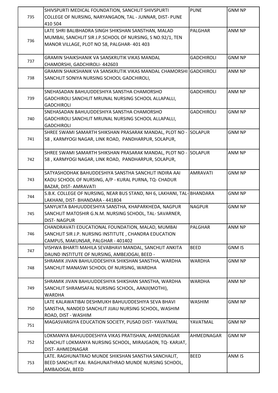|     | SHIVSPURTI MEDICAL FOUNDATION, SANCHLIT SHIVSPURTI                      | <b>PUNE</b>       | <b>GNM NP</b> |
|-----|-------------------------------------------------------------------------|-------------------|---------------|
| 735 | COLLEGE OF NURSING, NARYANGAON, TAL - JUNNAR, DIST- PUNE                |                   |               |
|     | 410 504                                                                 |                   |               |
|     | LATE SHRI BALIBHADRA SINGH SHIKSHAN SANSTHAN, MALAD                     | <b>PALGHAR</b>    | ANM NP        |
|     | MUMBAI, SANCHLIT SIR J.P.SCHOOL OF NURSING, S NO.92/1, TEN              |                   |               |
| 736 | MANOR VILLAGE, PLOT NO 58, PALGHAR- 401 403                             |                   |               |
|     |                                                                         |                   |               |
|     | GRAMIN SHAIKSHANIK VA SANSKRUTIK VIKAS MANDAL                           | <b>GADCHIROLI</b> | <b>GNM NP</b> |
| 737 | CHAMORSHI, GADCHIROLI-442603                                            |                   |               |
|     | GRAMIN SHAIKSHANIK VA SANSKRUTIK VIKAS MANDAL CHAMORSHI İGADCHIROLI     |                   | ANM NP        |
| 738 | SANCHLIT SONIYA NURSING SCHOOL GADCHIROLI,                              |                   |               |
|     |                                                                         |                   |               |
|     | SNEHASADAN BAHUUDDESHIYA SANSTHA CHAMORSHO                              | <b>GADCHIROLI</b> | ANM NP        |
| 739 | GADCHIROLI SANCHLIT MRUNAL NURSING SCHOOL ALLAPALLI,                    |                   |               |
|     | <b>GADCHIROLI</b>                                                       |                   |               |
|     | SNEHASADAN BAHUUDDESHIYA SANSTHA CHAMORSHO                              | <b>GADCHIROLI</b> | <b>GNM NP</b> |
| 740 | GADCHIROLI SANCHLIT MRUNAL NURSING SCHOOL ALLAPALLI,                    |                   |               |
|     | <b>GADCHIROLI</b>                                                       |                   |               |
|     | SHREE SWAMI SAMARTH SHIKSHAN PRASARAK MANDAL, PLOT NO -                 | <b>SOLAPUR</b>    | <b>GNM NP</b> |
| 741 | 58, KARMYOGI NAGAR, LINK ROAD, PANDHARPUR, SOLAPUR,                     |                   |               |
|     |                                                                         |                   |               |
|     | SHREE SWAMI SAMARTH SHIKSHAN PRASARAK MANDAL, PLOT NO -                 | <b>SOLAPUR</b>    | ANM NP        |
| 742 | 58, KARMYOGI NAGAR, LINK ROAD, PANDHARPUR, SOLAPUR,                     |                   |               |
|     |                                                                         |                   |               |
|     | SATYASHODHAK BAHUDDESHIYA SANSTHA SANCHLIT INDIRA AAI                   | <b>AMRAVATI</b>   | <b>GNM NP</b> |
| 743 | KADU SCHOOL OF NURSING, A/P - KURAL PURNA, TQ- CHADUR                   |                   |               |
|     | BAZAR, DIST- AMRAVATI                                                   |                   |               |
| 744 | S.B.K. COLLEGE OF NURSING, NEAR BUS STAND, NH 6, LAKHANI, TAL- BHANDARA |                   | <b>GNM NP</b> |
|     | LAKHANI, DIST- BHANDARA - 441804                                        |                   |               |
|     | SANYUKTA BAHUUDDESHIYA SANSTHA, KHAPARKHEDA, NAGPUR                     | <b>NAGPUR</b>     | <b>GNM NP</b> |
| 745 | SANCHLIT MATOSHIR G.N.M. NURSING SCHOOL, TAL-SAVARNER,                  |                   |               |
|     | <b>DIST-NAGPUR</b>                                                      |                   |               |
|     | CHANDRAVATI EDUCATIONAL FOUNDATION, MALAD, MUMBAI                       | <b>PALGHAR</b>    | <b>ANM NP</b> |
| 746 | SANCHLIT SIR J.P. NURSING INSTITUTE, CHANDRA EDUCATION                  |                   |               |
|     | CAMPUS, MAKUNSAR, PALGHAR - 401402                                      |                   |               |
| 747 | VISHWA BHARTI MAHILA SEVABHAVI MANDAL, SANCHLIT ANKITA                  | <b>BEED</b>       | <b>GNM IS</b> |
|     | DAUND INSTITUTE OF NURSING, AMBEJOGAI, BEED -                           |                   |               |
|     | SHRAMIK JIVAN BAHUUDDESHIYA SHIKSHAN SANSTHA, WARDHA                    | <b>WARDHA</b>     | <b>GNM NP</b> |
| 748 | SANCHLIT MANASWI SCHOOL OF NURSING, WARDHA                              |                   |               |
|     |                                                                         |                   |               |
|     | SHRAMIK JIVAN BAHUUDDESHIYA SHIKSHAN SANSTHA, WARDHA                    | WARDHA            | ANM NP        |
| 749 | SANCHLIT SHRAMSAFAL NURSING SCHOOL, AANJI(MOTHI),                       |                   |               |
|     | WARDHA                                                                  |                   |               |
|     | LATE KALAWATIBAI DESHMUKH BAHUUDDESHIYA SEVA BHAVI                      | WASHIM            | <b>GNM NP</b> |
| 750 | SANSTHA, NANDED SANCHLIT JIJAU NURSING SCHOOL, WASHIM                   |                   |               |
|     | ROAD, DIST - WASHIM                                                     |                   |               |
| 751 | MAGASVARGIYA EDUCATION SOCIETY, PUSAD DIST-YAVATMAL                     | YAVATMAL          | <b>GNM NP</b> |
|     |                                                                         |                   |               |
|     | LOKMANYA BAHUUDDESHIYA VIKAS PRATISHAN, AHMEDNAGAR                      | AHMEDNAGAR        | <b>GNM NP</b> |
| 752 | SANCHLIT LOKMANYA NURSING SCHOOL, MIRAJGAON, TQ-KARJAT,                 |                   |               |
|     | DIST-AHMEDNAGAR                                                         |                   |               |
|     | LATE. RAGHUNATRAO MUNDE SHIKSHAN SANSTHA SANCHALIT,                     | <b>BEED</b>       | ANM IS        |
| 753 | BEED SANCHLIT KAI. RAGHUNATHRAO MUNDE NURSING SCHOOL,                   |                   |               |
|     | AMBAJOGAI, BEED                                                         |                   |               |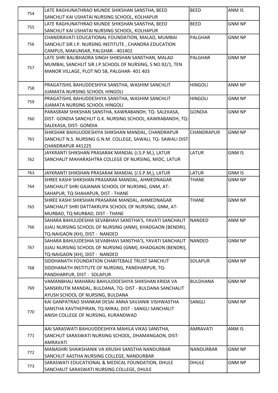| 754 | LATE RAGHUNATHRAO MUNDE SHIKSHAN SANSTHA, BEED                | <b>BEED</b>       | ANM IS        |
|-----|---------------------------------------------------------------|-------------------|---------------|
|     | SANCHLIT KAI USHATAI NURSING SCHOOL, KOLHAPUR                 |                   |               |
|     | LATE RAGHUNATHRAO MUNDE SHIKSHAN SANSTHA, BEED                | <b>BEED</b>       | <b>GNM NP</b> |
| 755 | SANCHLIT KAI USHATAI NURSING SCHOOL, KOLHAPUR                 |                   |               |
|     | CHANDRAVATI EDUCATIONAL FOUNDATION, MALAD, MUMBAI             | <b>PALGHAR</b>    | <b>GNM NP</b> |
| 756 | SANCHLIT SIR J.P. NURSING INSTITUTE, CHANDRA EDUCATION        |                   |               |
|     | CAMPUS, MAKUNSAR, PALGHAR - 401402                            |                   |               |
|     | LATE SHRI BALIBHADRA SINGH SHIKSHAN SANSTHAN, MALAD           | <b>PALGHAR</b>    | <b>GNM NP</b> |
|     | MUMBAI, SANCHLIT SIR J.P.SCHOOL OF NURSING, S NO.92/1, TEN    |                   |               |
| 757 | MANOR VILLAGE, PLOT NO 58, PALGHAR- 401 403                   |                   |               |
|     |                                                               |                   |               |
|     | PRAGATISHIL BAHUDDESHIYA SANSTHA, WASHIM SANCHLIT             | <b>HINGOLI</b>    | ANM NP        |
| 758 | <b>JIJAMATA NURSING SCHOOL HINGOLI</b>                        |                   |               |
|     | PRAGATISHIL BAHUDDESHIYA SANSTHA, WASHIM SANCHLIT             | <b>HINGOLI</b>    | <b>GNM NP</b> |
| 759 | JIJAMATA NURSING SCHOOL HINGOLI                               |                   |               |
|     | PARASRAM SHIKSHAN SANSTHA, KAWRABANDH, TQ-SALEKASA,           | <b>GONDIA</b>     | <b>GNM NP</b> |
| 760 | DIST- GONDIA SANCHLIT G.K. NURSING SCHOOL, KAWRABANDH, TQ-    |                   |               |
|     | SALEKASA, DIST- GONDIA                                        |                   |               |
|     | SHIKSHAK BAHUUDDESHIYA SHIKSHAN MANDAL, CHANDRAPUR            | <b>CHANDRAPUR</b> | <b>GNM NP</b> |
| 761 | SANCHLIT N.S. NURSING G.N.M. COLLEGE, SAWALI, TQ-SAWALI DIST- |                   |               |
|     | CHANDRAPUR 441225                                             |                   |               |
|     | JAYKRANTI SHIKSHAN PRASARAK MANDAL (J.S.P.M,), LATUR          | <b>LATUR</b>      | <b>GNM IS</b> |
| 762 | SANCHALIT MAHARASHTRA COLLEGE OF NURSING, MIDC, LATUR         |                   |               |
|     |                                                               |                   |               |
| 763 | JAYKRANTI SHIKSHAN PRASARAK MANDAL (J.S.P.M,), LATUR          | <b>LATUR</b>      | <b>GNM IS</b> |
|     | SHREE KASHI SHIKSHAN PRASARAK MANDAL, AHMEDNAGAR              | <b>THANE</b>      | <b>GNM NP</b> |
| 764 | SANCHALIT SHRI GAJANAN SCHOOL OF NURSING, GNM, AT-            |                   |               |
|     | SAHAPUR, TQ-SHAHAPUR, DIST - THANE                            |                   |               |
|     | SHREE KASHI SHIKSHAN PRASARAK MANDAL, AHMEDNAGAR              | <b>THANE</b>      | <b>GNM NP</b> |
| 765 | SANCHALIT SHRI DATTAKRUPA SCHOOL OF NURSING, GNM, AT-         |                   |               |
|     | MURBAD, TQ-MURBAD, DIST - THANE                               |                   |               |
|     | SAHARA BAHUUDESHIA SEVABHAVI SANSTHA'S, YAVATI SANCHALIT      | <b>NANDED</b>     | ANM NP        |
| 766 | JIJAU NURSING SCHOOL OF NURSING (ANM), KHADGAON (BENDRI),     |                   |               |
|     | TQ-NAIGAON (KH), DIST - NANDED                                |                   |               |
|     | SAHARA BAHUUDESHIA SEVABHAVI SANSTHA'S, YAVATI SANCHALIT      | <b>NANDED</b>     | <b>GNM NP</b> |
| 767 | JIJAU NURSING SCHOOL OF NURSING (GNM), KHADGAON (BENDRI),     |                   |               |
|     | TQ-NAIGAON (KH), DIST - NANDED                                |                   |               |
|     | SIDDHANATH FOUNDATION CHARITEBALE TRUST SANCHLIT              | <b>SOLAPUR</b>    | <b>GNM NP</b> |
| 768 | SIDDHANATH INSTITUTE OF NURSING, PANDHARPUR, TQ-              |                   |               |
|     | PANDHARPUR, DIST - SOLAPUR                                    |                   |               |
|     | VAMANBHAU MAHARAJ BAHUUDDESHIYA SHIKSHAN KRIDA VA             | <b>BULDHANA</b>   | <b>GNM NP</b> |
| 769 | SANSKRUTIK MANDAL, BULDANA, TQ- DIST - BULDANA SANCHALIT      |                   |               |
|     | AYUSH SCHOOL OF NURSING, BULDANA                              |                   |               |
|     | KAI GANPATRAO SHANKAR DESAI ANNA SAVJANIK VISHWASTHA          | SANGLI            | <b>GNM NP</b> |
|     | SANSTHA KAVTHEPIRAN, TQ-MIRAJ, DIST - SANGLI SANCHALIT        |                   |               |
| 770 | ANISH COLLEGE OF NURSING, KURANDWAD                           |                   |               |
|     |                                                               |                   |               |
|     | AAI SARASWATI BAHUUDDESHIYA MAHILA VIKAS SANSTHA,             | <b>AMRAVATI</b>   | ANM IS        |
| 771 | SANCHLIT SARASWATI NURSING SCHOOL, DHAMANGAON, DIST-          |                   |               |
|     | <b>AMRAVATI</b>                                               |                   |               |
|     | MANASHRI SHAIKSHANIK VA KRUSHI SANSTHA NANDURBAR              | <b>NANDURBAR</b>  | <b>GNM NP</b> |
| 772 | SANCHLIT AASTHA NURSING COLLEGE, NANDURBAR                    |                   |               |
|     | SARASWATI EDUCATIONAL & MEDICAL FOUNDATION, DHULE             | <b>DHULE</b>      | <b>GNM NP</b> |
| 773 | SANCHALIT SARASWATI NURSING COLLEGE, DHULE                    |                   |               |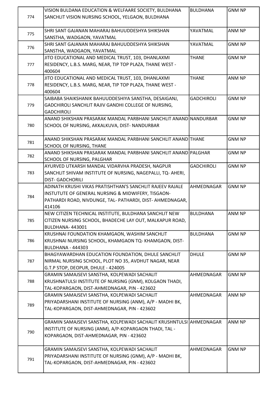| 774 | VISION BULDANA EDUCATION & WELFAARE SOCIETY, BULDHANA<br>SANCHLIT VISION NURSING SCHOOL, YELGAON, BULDHANA                                                                             | <b>BULDHANA</b>   | <b>GNM NP</b> |
|-----|----------------------------------------------------------------------------------------------------------------------------------------------------------------------------------------|-------------------|---------------|
| 775 | SHRI SANT GAJANAN MAHARAJ BAHUUDDESHYA SHIKSHAN<br>SANSTHA, WADGAON, YAVATMAL                                                                                                          | YAVATMAL          | ANM NP        |
| 776 | SHRI SANT GAJANAN MAHARAJ BAHUUDDESHYA SHIKSHAN<br>SANSTHA, WADGAON, YAVATMAL                                                                                                          | YAVATMAL          | <b>GNM NP</b> |
| 777 | JITO EDUCATIONAL AND MEDICAL TRUST, 103, DHANLAXMI<br>RESIDENCY, L.B.S. MARG, NEAR, TIP TOP PLAZA, THANE WEST -<br>400604                                                              | <b>THANE</b>      | <b>GNM NP</b> |
| 778 | JITO EDUCATIONAL AND MEDICAL TRUST, 103, DHANLAXMI<br>RESIDENCY, L.B.S. MARG, NEAR, TIP TOP PLAZA, THANE WEST -<br>400604                                                              | <b>THANE</b>      | ANM NP        |
| 779 | SAIBABA SHAIKSHANIK BAHUUDDESHIYA SANSTHA, DESAIGANJ,<br>GADCHIROLI SANCHLIT RAJIV GANDHI COLLEGE OF NURSING,<br><b>GADCHIROLI</b>                                                     | <b>GADCHIROLI</b> | <b>GNM NP</b> |
| 780 | ANAND SHIKSHAN PRASARAK MANDAL PARBHANI SANCHLIT ANAND $\sf INANDURBAR$<br>SCHOOL OF NURSING, AKKALKUVA, DIST- NANDURBAR                                                               |                   | <b>GNM NP</b> |
| 781 | ANAND SHIKSHAN PRASARAK MANDAL PARBHANI SANCHLIT ANAND THANE<br>SCHOOL OF NURSING, THANE                                                                                               |                   | <b>GNM NP</b> |
| 782 | ANAND SHIKSHAN PRASARAK MANDAL PARBHANI SANCHLIT ANAND PALGHAR<br><b>SCHOOL OF NURSING, PALGHAR</b>                                                                                    |                   | <b>GNM NP</b> |
| 783 | AYURVED UTKARSH MANDAL VIDARVHA PRADESH, NAGPUR<br>SANCHLIT SHIVAM INSTITUTE OF NURSING, NAGEPALLI, TQ-AHERI,<br><b>DIST- GADCHORILI</b>                                               | <b>GADCHIROLI</b> | <b>GNM NP</b> |
| 784 | ADINATH KRUSHI VIKAS PRATISHTHAN'S SANCHLIT RAJEEV RAJALE<br>INSTUTUTE OF GENERAL NURSING & MIDWIFERY, TISGAON-<br>PATHARDI ROAD, NIVDUNGE, TAL- PATHARDI, DIST- AHMEDNAGAR,<br>414106 | AHMEDNAGAR        | <b>GNM NP</b> |
| 785 | NEW CITIZEN TECHNICAL INSTITUTE, BULDHANA SANCHLIT NEW<br>CITIZEN NURSING SCHOOL, BHADECHE LAY OUT, MALKAPUR ROAD,<br>BULDHANA-443001                                                  | <b>BULDHANA</b>   | <b>ANM NP</b> |
| 786 | KRUSHNAI FOUNDATION KHAMGAON, WASHIM SANCHLIT<br>KRUSHNAI NURSING SCHOOL, KHAMGAON TQ-KHAMGAON, DIST-<br>BULDHANA - 444303                                                             | <b>BULDHANA</b>   | <b>GNM NP</b> |
| 787 | BHAGYAWARDHAN EDUCATION FOUNDATION, DHULE SANCHLIT<br>NIRMAL NURSING SCHOOL, PLOT NO 35, AVDHUT NAGAR, NEAR<br>G.T.P STOP, DEOPUR, DHULE - 424005                                      | <b>DHULE</b>      | <b>GNM NP</b> |
| 788 | GRAMIN SAMAJSEVI SANSTHA, KOLPEWADI SACHALIT<br>KRUSHNATULSI INSTITUTE OF NURSING (GNM), KOLGAON THADI,<br>TAL-KOPARGAON, DIST-AHMEDNAGAR, PIN - 423602                                | AHMEDNAGAR        | <b>GNM NP</b> |
| 789 | GRAMIN SAMAJSEVI SANSTHA, KOLPEWADI SACHALIT<br>PRIYADARSHANI INSTITUTE OF NURSING (ANM), A/P - MADHI BK,<br>TAL-KOPARGAON, DIST-AHMEDNAGAR, PIN - 423602                              | AHMEDNAGAR        | ANM NP        |
| 790 | GRAMIN SAMAJSEVI SANSTHA, KOLPEWADI SACHALIT KRUSHNTULSI AHMEDNAGAR<br>INSTITUTE OF NURSING (ANM), A/P-KOPARGAON THADI, TAL -<br>KOPARGAON, DIST-AHMEDNAGAR, PIN - 423602              |                   | ANM NP        |
| 791 | GRAMIN SAMAJSEVI SANSTHA, KOLPEWADI SACHALIT<br>PRIYADARSHANI INSTITUTE OF NURSING (GNM), A/P - MADHI BK,<br>TAL-KOPARGAON, DIST-AHMEDNAGAR, PIN - 423602                              | AHMEDNAGAR        | <b>GNM NP</b> |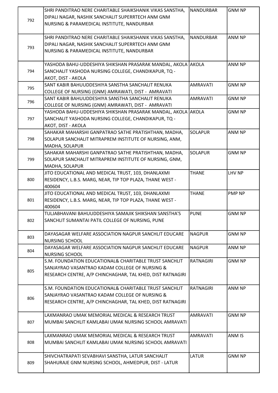|     | SHRI PANDITRAO NERE CHARITABLE SHAIKSHANIK VIKAS SANSTHA,    | NANDURBAR        | <b>GNM NP</b> |
|-----|--------------------------------------------------------------|------------------|---------------|
|     | DIPALI NAGAR, NASHIK SANCHALIT SUPERRTECH ANM GNM            |                  |               |
| 792 | NURSING & PARAMEDICAL INSTITUTE, NANDURBAR                   |                  |               |
|     |                                                              |                  |               |
|     | SHRI PANDITRAO NERE CHARITABLE SHAIKSHANIK VIKAS SANSTHA,    | <b>NANDURBAR</b> | ANM NP        |
|     | DIPALI NAGAR, NASHIK SANCHALIT SUPERRTECH ANM GNM            |                  |               |
| 793 | NURSING & PARAMEDICAL INSTITUTE, NANDURBAR                   |                  |               |
|     |                                                              |                  |               |
|     | YASHODA BAHU-UDDESHIYA SHIKSHAN PRASARAK MANDAL, AKOLA AKOLA |                  | ANM NP        |
| 794 | SANCHALIT YASHODA NURSING COLLEGE, CHANDIKAPUR, TQ -         |                  |               |
|     | AKOT, DIST - AKOLA                                           |                  |               |
|     | SANT KABIR BAHUUDDESHIYA SANSTHA SANCHALIT RENUKA            | <b>AMRAVATI</b>  | <b>GNM NP</b> |
| 795 | COLLEGE OF NURSING (GNM) AMRAWATI, DIST - AMRAVATI           |                  |               |
|     | SANT KABIR BAHUUDDESHIYA SANSTHA SANCHALIT RENUKA            | AMRAVATI         | <b>GNM NP</b> |
| 796 | COLLEGE OF NURSING (GNM) AMRAWATI, DIST - AMRAVATI           |                  |               |
|     | YASHODA BAHU-UDDESHIYA SHIKSHAN PRASARAK MANDAL, AKOLA AKOLA |                  | <b>GNM NP</b> |
| 797 | SANCHALIT YASHODA NURSING COLLEGE, CHANDIKAPUR, TQ -         |                  |               |
|     |                                                              |                  |               |
|     | AKOT, DIST - AKOLA                                           | <b>SOLAPUR</b>   |               |
|     | SAHAKAR MAHARSHI GANPATRAO SATHE PRATISHTHAN, MADHA,         |                  | ANM NP        |
| 798 | SOLAPUR SANCHALIT MITRAPREM INSTITUTE OF NURSING, ANM,       |                  |               |
|     | MADHA, SOLAPUR                                               |                  |               |
|     | SAHAKAR MAHARSHI GANPATRAO SATHE PRATISHTHAN, MADHA,         | <b>SOLAPUR</b>   | <b>GNM NP</b> |
| 799 | SOLAPUR SANCHALIT MITRAPREM INSTITUTE OF NURSING, GNM,       |                  |               |
|     | <b>MADHA, SOLAPUR</b>                                        |                  |               |
|     | JITO EDUCATIONAL AND MEDICAL TRUST, 103, DHANLAXMI           | <b>THANE</b>     | LHV NP        |
| 800 | RESIDENCY, L.B.S. MARG, NEAR, TIP TOP PLAZA, THANE WEST -    |                  |               |
|     | 400604                                                       |                  |               |
|     | JITO EDUCATIONAL AND MEDICAL TRUST, 103, DHANLAXMI           | <b>THANE</b>     | <b>PMP NP</b> |
| 801 | RESIDENCY, L.B.S. MARG, NEAR, TIP TOP PLAZA, THANE WEST -    |                  |               |
|     | 400604                                                       |                  |               |
|     | TULJABHAVANI BAHUUDDESHIYA SAMAJIK SHIKSHAN SANSTHA'S        | <b>PUNE</b>      | <b>GNM NP</b> |
| 802 | SANCHLIT SUMANTAI PATIL COLLEGE OF NURSING, PUNE             |                  |               |
|     |                                                              |                  |               |
| 803 | DAYASAGAR WELFARE ASSOCIATION NAGPUR SANCHLIT EDUCARE        | <b>NAGPUR</b>    | <b>GNM NP</b> |
|     | <b>NURSING SCHOOL</b>                                        |                  |               |
| 804 | DAYASAGAR WELFARE ASSOCIATION NAGPUR SANCHLIT EDUCARE        | <b>NAGPUR</b>    | ANM NP        |
|     | <b>NURSING SCHOOL</b>                                        |                  |               |
|     | S.M. FOUNDATION EDUCATIONAL& CHARITABLE TRUST SANCHLIT       | RATNAGIRI        | <b>GNM NP</b> |
| 805 | SANJAYRAO VASANTRAO KADAM COLLEGE OF NURSING &               |                  |               |
|     | RESEARCH CENTRE, A/P CHINCHAGHAR, TAL KHED, DIST RATNAGIRI   |                  |               |
|     |                                                              |                  |               |
|     | S.M. FOUNDATION EDUCATIONAL& CHARITABLE TRUST SANCHLIT       | RATNAGIRI        | ANM NP        |
| 806 | SANJAYRAO VASANTRAO KADAM COLLEGE OF NURSING &               |                  |               |
|     | RESEARCH CENTRE, A/P CHINCHAGHAR, TAL KHED, DIST RATNAGIRI   |                  |               |
|     |                                                              |                  |               |
|     | LAXMANRAO UMAK MEMORIAL MEDICAL & RESEARCH TRUST             | <b>AMRAVATI</b>  | <b>GNM NP</b> |
| 807 | MUMBAI SANCHLIT KAMLABAI UMAK NURSING SCHOOL AMRAVATI        |                  |               |
|     |                                                              |                  |               |
|     | LAXMANRAO UMAK MEMORIAL MEDICAL & RESEARCH TRUST             | <b>AMRAVATI</b>  | ANM IS        |
| 808 | MUMBAI SANCHLIT KAMLABAI UMAK NURSING SCHOOL AMRAVATI        |                  |               |
|     |                                                              |                  |               |
|     | SHIVCHATRAPATI SEVABHAVI SANSTHA, LATUR SANCHALIT            | <b>LATUR</b>     | <b>GNM NP</b> |
| 809 | SHAHURAJE GNM NURSING SCHOOL, AHMEDPUR, DIST - LATUR         |                  |               |
|     |                                                              |                  |               |